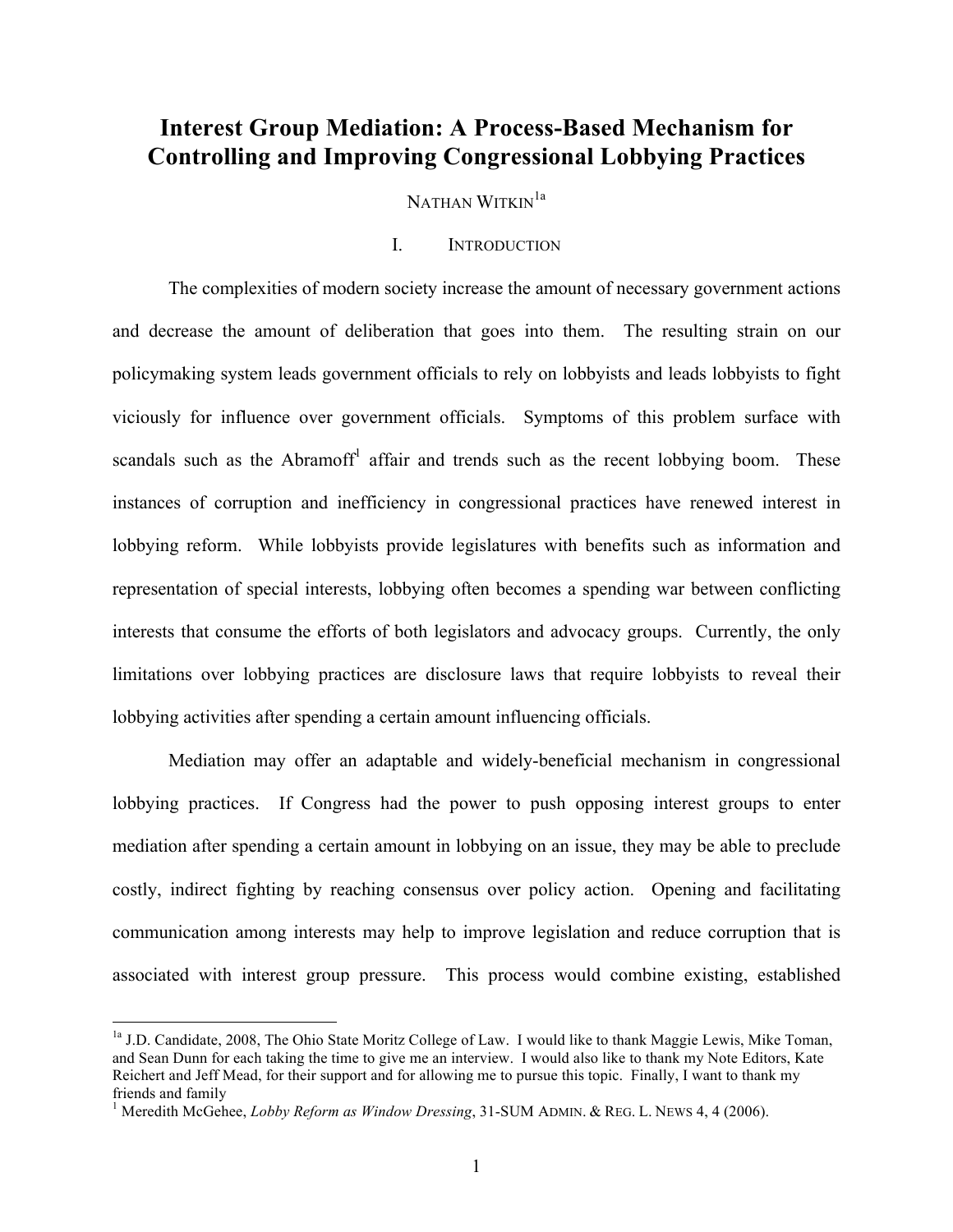# **Interest Group Mediation: A Process-Based Mechanism for Controlling and Improving Congressional Lobbying Practices**

NATHAN WITKIN<sup>1a</sup>

## I. INTRODUCTION

The complexities of modern society increase the amount of necessary government actions and decrease the amount of deliberation that goes into them. The resulting strain on our policymaking system leads government officials to rely on lobbyists and leads lobbyists to fight viciously for influence over government officials. Symptoms of this problem surface with scandals such as the Abramoff<sup>1</sup> affair and trends such as the recent lobbying boom. These instances of corruption and inefficiency in congressional practices have renewed interest in lobbying reform. While lobbyists provide legislatures with benefits such as information and representation of special interests, lobbying often becomes a spending war between conflicting interests that consume the efforts of both legislators and advocacy groups. Currently, the only limitations over lobbying practices are disclosure laws that require lobbyists to reveal their lobbying activities after spending a certain amount influencing officials.

Mediation may offer an adaptable and widely-beneficial mechanism in congressional lobbying practices. If Congress had the power to push opposing interest groups to enter mediation after spending a certain amount in lobbying on an issue, they may be able to preclude costly, indirect fighting by reaching consensus over policy action. Opening and facilitating communication among interests may help to improve legislation and reduce corruption that is associated with interest group pressure. This process would combine existing, established

<sup>&</sup>lt;sup>1a</sup> J.D. Candidate, 2008, The Ohio State Moritz College of Law. I would like to thank Maggie Lewis, Mike Toman, and Sean Dunn for each taking the time to give me an interview. I would also like to thank my Note Editors, Kate Reichert and Jeff Mead, for their support and for allowing me to pursue this topic. Finally, I want to thank my friends and family

<sup>&</sup>lt;sup>1</sup> Meredith McGehee, *Lobby Reform as Window Dressing*, 31-SUM ADMIN. & REG. L. NEWS 4, 4 (2006).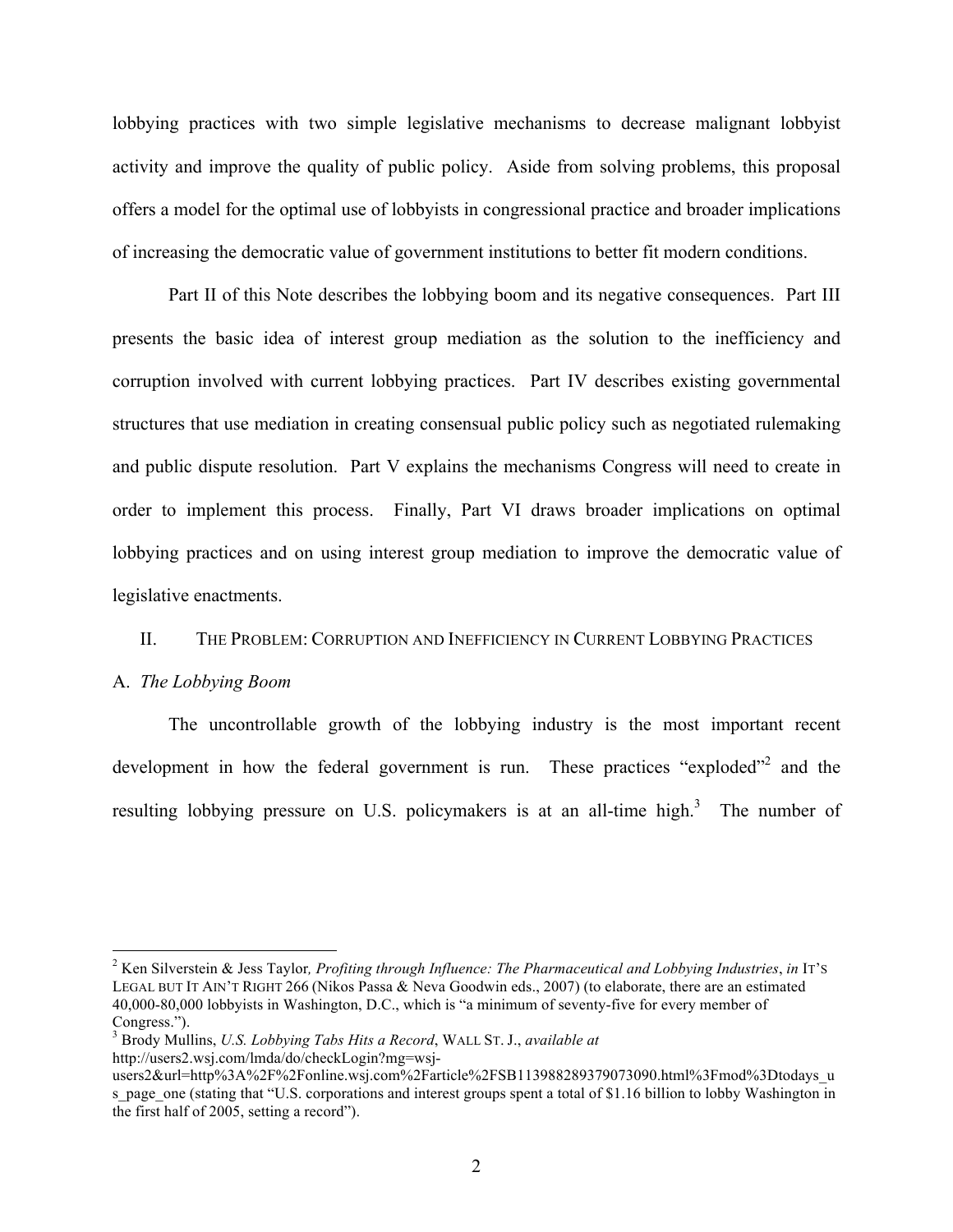lobbying practices with two simple legislative mechanisms to decrease malignant lobbyist activity and improve the quality of public policy. Aside from solving problems, this proposal offers a model for the optimal use of lobbyists in congressional practice and broader implications of increasing the democratic value of government institutions to better fit modern conditions.

Part II of this Note describes the lobbying boom and its negative consequences. Part III presents the basic idea of interest group mediation as the solution to the inefficiency and corruption involved with current lobbying practices. Part IV describes existing governmental structures that use mediation in creating consensual public policy such as negotiated rulemaking and public dispute resolution. Part V explains the mechanisms Congress will need to create in order to implement this process. Finally, Part VI draws broader implications on optimal lobbying practices and on using interest group mediation to improve the democratic value of legislative enactments.

#### II. THE PROBLEM: CORRUPTION AND INEFFICIENCY IN CURRENT LOBBYING PRACTICES

#### A. *The Lobbying Boom*

The uncontrollable growth of the lobbying industry is the most important recent development in how the federal government is run. These practices "exploded"<sup>2</sup> and the resulting lobbying pressure on U.S. policymakers is at an all-time high.<sup>3</sup> The number of

 <sup>2</sup> Ken Silverstein & Jess Taylor*, Profiting through Influence: The Pharmaceutical and Lobbying Industries*, *in* IT'S LEGAL BUT IT AIN'T RIGHT 266 (Nikos Passa & Neva Goodwin eds., 2007) (to elaborate, there are an estimated 40,000-80,000 lobbyists in Washington, D.C., which is "a minimum of seventy-five for every member of Congress.").

<sup>3</sup> Brody Mullins, *U.S. Lobbying Tabs Hits a Record*, WALL ST. J., *available at* http://users2.wsj.com/lmda/do/checkLogin?mg=wsj-

users2&url=http%3A%2F%2Fonline.wsj.com%2Farticle%2FSB113988289379073090.html%3Fmod%3Dtodays\_u s page one (stating that "U.S. corporations and interest groups spent a total of \$1.16 billion to lobby Washington in the first half of 2005, setting a record").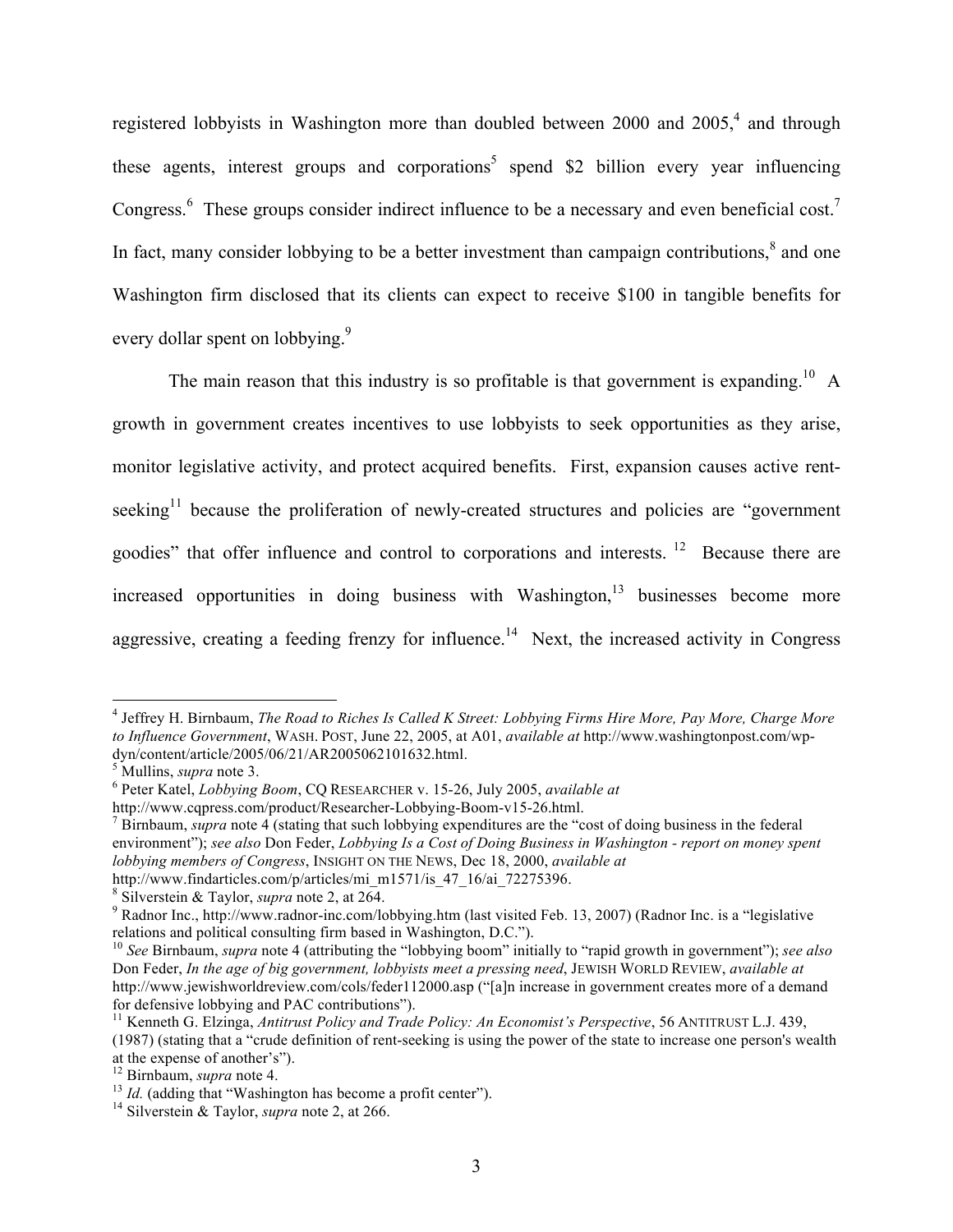registered lobbyists in Washington more than doubled between 2000 and 2005,<sup>4</sup> and through these agents, interest groups and corporations<sup>5</sup> spend \$2 billion every year influencing Congress.<sup>6</sup> These groups consider indirect influence to be a necessary and even beneficial cost.<sup>7</sup> In fact, many consider lobbying to be a better investment than campaign contributions, $\delta$  and one Washington firm disclosed that its clients can expect to receive \$100 in tangible benefits for every dollar spent on lobbying.<sup>9</sup>

The main reason that this industry is so profitable is that government is expanding.<sup>10</sup> A growth in government creates incentives to use lobbyists to seek opportunities as they arise, monitor legislative activity, and protect acquired benefits. First, expansion causes active rentseeking<sup>11</sup> because the proliferation of newly-created structures and policies are "government" goodies" that offer influence and control to corporations and interests. 12 Because there are increased opportunities in doing business with Washington,<sup>13</sup> businesses become more aggressive, creating a feeding frenzy for influence.<sup>14</sup> Next, the increased activity in Congress

 <sup>4</sup> Jeffrey H. Birnbaum, *The Road to Riches Is Called K Street: Lobbying Firms Hire More, Pay More, Charge More to Influence Government*, WASH. POST, June 22, 2005, at A01, *available at* http://www.washingtonpost.com/wpdyn/content/article/2005/06/21/AR2005062101632.html.<br>
<sup>5</sup> Mullins, *supra* note 3.<br>
<sup>6</sup> Peter Katel, *Lobbying Boom*, CQ RESEARCHER v. 15-26, July 2005, *available at* 

http://www.cqpress.com/product/Researcher-Lobbying-Boom-v15-26.html. <sup>7</sup> Birnbaum, *supra* note 4 (stating that such lobbying expenditures are the "cost of doing business in the federal environment"); *see also* Don Feder, *Lobbying Is a Cost of Doing Business in Washington - report on money spent lobbying members of Congress*, INSIGHT ON THE NEWS, Dec 18, 2000, *available at*

http://www.findarticles.com/p/articles/mi\_m1571/is\_47\_16/ai\_72275396.<br>
<sup>8</sup> Silverstein & Taylor, *supra* note 2, at 264.<br>
<sup>9</sup> Radnor Inc., http://www.radnor-inc.com/lobbying.htm (last visited Feb. 13, 2007) (Radnor Inc. is

<sup>&</sup>lt;sup>10</sup> See Birnbaum, *supra* note 4 (attributing the "lobbying boom" initially to "rapid growth in government"); *see also* Don Feder, *In the age of big government, lobbyists meet a pressing need*, JEWISH WORLD REVIEW, *available at* http://www.jewishworldreview.com/cols/feder112000.asp ("[a]n increase in government creates more of a demand for defensive lobbying and PAC contributions").<br><sup>11</sup> Kenneth G. Elzinga, *Antitrust Policy and Trade Policy: An Economist's Perspective*, 56 ANTITRUST L.J. 439,

<sup>(1987) (</sup>stating that a "crude definition of rent-seeking is using the power of the state to increase one person's wealth at the expense of another's"). <sup>12</sup> Birnbaum, *supra* note 4. <sup>13</sup> *Id.* (adding that "Washington has become a profit center"). <sup>14</sup> Silverstein & Taylor, *supra* note 2, at 266.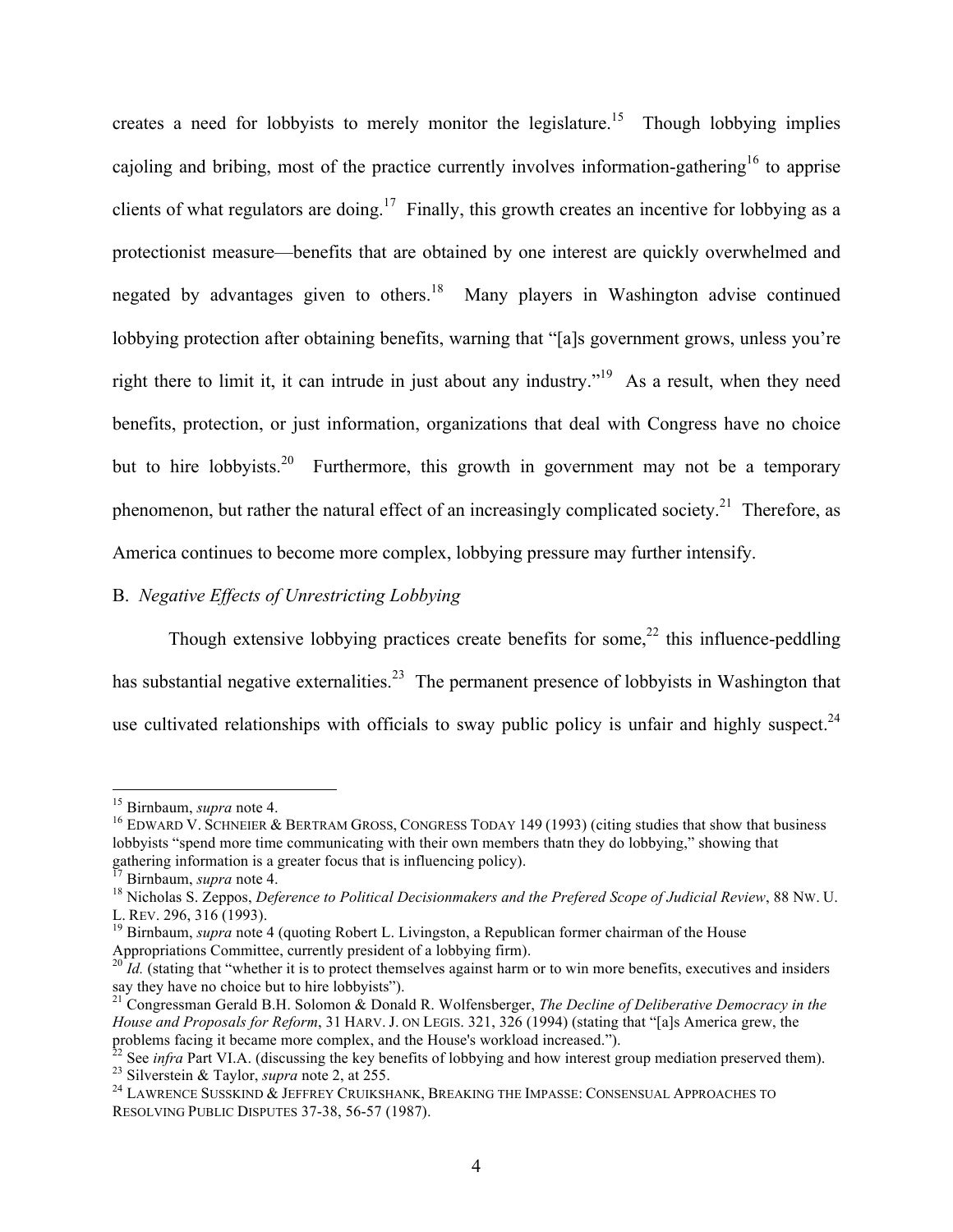creates a need for lobbyists to merely monitor the legislature.<sup>15</sup> Though lobbying implies cajoling and bribing, most of the practice currently involves information-gathering<sup>16</sup> to apprise clients of what regulators are doing.<sup>17</sup> Finally, this growth creates an incentive for lobbying as a protectionist measure—benefits that are obtained by one interest are quickly overwhelmed and negated by advantages given to others.<sup>18</sup> Many players in Washington advise continued lobbying protection after obtaining benefits, warning that "[a]s government grows, unless you're right there to limit it, it can intrude in just about any industry."<sup>19</sup> As a result, when they need benefits, protection, or just information, organizations that deal with Congress have no choice but to hire lobbyists.<sup>20</sup> Furthermore, this growth in government may not be a temporary phenomenon, but rather the natural effect of an increasingly complicated society.<sup>21</sup> Therefore, as America continues to become more complex, lobbying pressure may further intensify.

## B. *Negative Effects of Unrestricting Lobbying*

Though extensive lobbying practices create benefits for some, $22$  this influence-peddling has substantial negative externalities.<sup>23</sup> The permanent presence of lobbyists in Washington that use cultivated relationships with officials to sway public policy is unfair and highly suspect.<sup>24</sup>

<sup>&</sup>lt;sup>15</sup> Birnbaum, *supra* note 4.<br><sup>16</sup> EDWARD V. SCHNEIER & BERTRAM GROSS, CONGRESS TODAY 149 (1993) (citing studies that show that business lobbyists "spend more time communicating with their own members thatn they do lobbying," showing that gathering information is a greater focus that is influencing policy).<br><sup>17</sup> Birnbaum, *supra* note 4.

<sup>&</sup>lt;sup>18</sup> Nicholas S. Zeppos, *Deference to Political Decisionmakers and the Prefered Scope of Judicial Review*, 88 Nw. U.

L. REV. 296, 316 (1993).<br><sup>19</sup> Birnbaum, *supra* note 4 (quoting Robert L. Livingston, a Republican former chairman of the House<br>Appropriations Committee, currently president of a lobbying firm).

 $\overline{Id}$ . (stating that "whether it is to protect themselves against harm or to win more benefits, executives and insiders say they have no choice but to hire lobbyists"). <sup>21</sup> Congressman Gerald B.H. Solomon & Donald R. Wolfensberger, *The Decline of Deliberative Democracy in the* 

*House and Proposals for Reform*, 31 HARV. J. ON LEGIS. 321, 326 (1994) (stating that "[a]s America grew, the problems facing it became more complex, and the House's workload increased.").<br><sup>22</sup> See *infra* Part VI.A. (discussing the key benefits of lobbying and how interest group mediation preserved them).

<sup>&</sup>lt;sup>23</sup> Silverstein & Taylor, *supra* note 2, at 255.<br><sup>24</sup> LAWRENCE SUSSKIND & JEFFREY CRUIKSHANK, BREAKING THE IMPASSE: CONSENSUAL APPROACHES TO

RESOLVING PUBLIC DISPUTES 37-38, 56-57 (1987).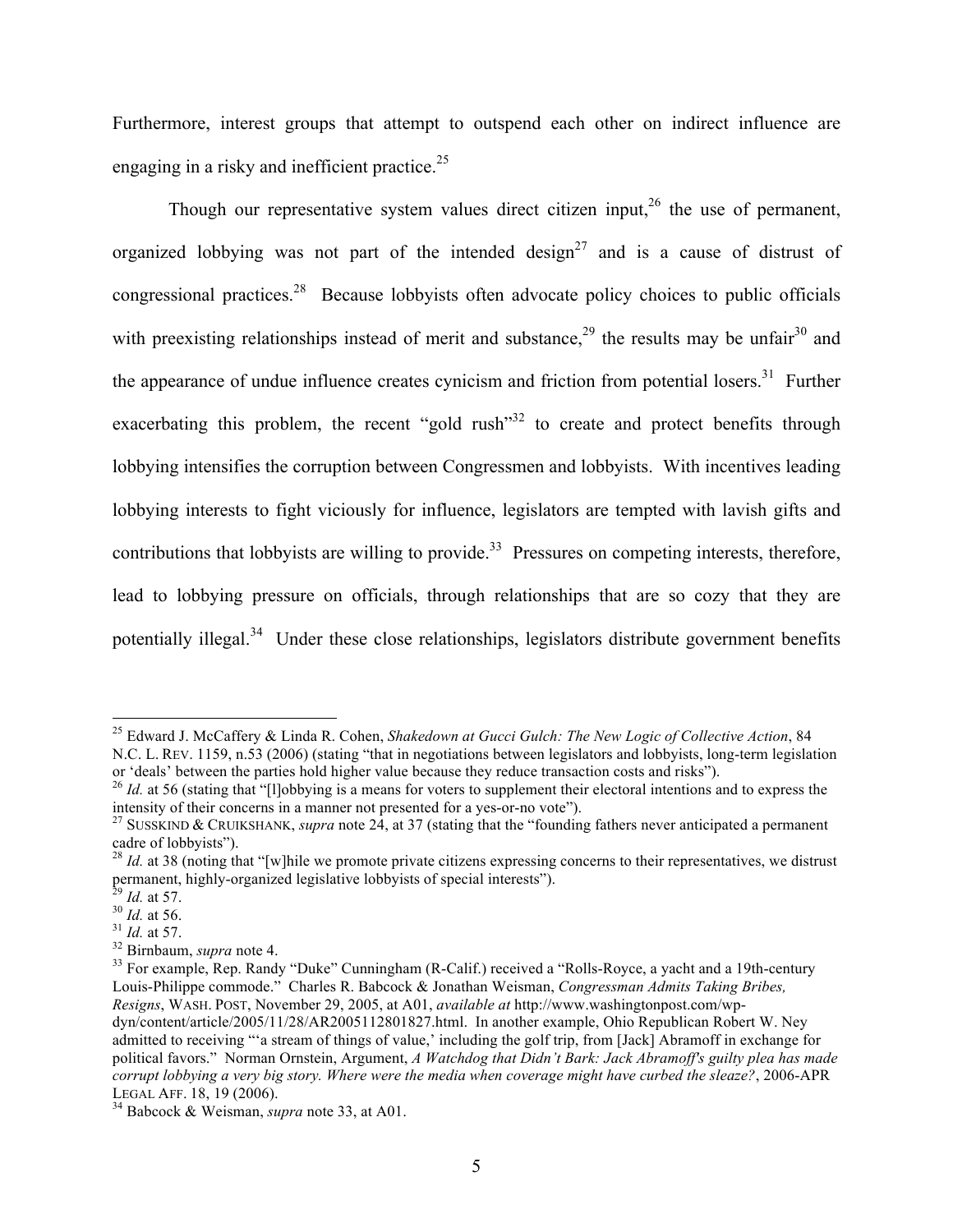Furthermore, interest groups that attempt to outspend each other on indirect influence are engaging in a risky and inefficient practice.<sup>25</sup>

Though our representative system values direct citizen input, $26$  the use of permanent, organized lobbying was not part of the intended design<sup>27</sup> and is a cause of distrust of congressional practices.<sup>28</sup> Because lobbyists often advocate policy choices to public officials with preexisting relationships instead of merit and substance,  $2^9$  the results may be unfair  $3^0$  and the appearance of undue influence creates cynicism and friction from potential losers.<sup>31</sup> Further exacerbating this problem, the recent "gold rush"<sup>32</sup> to create and protect benefits through lobbying intensifies the corruption between Congressmen and lobbyists. With incentives leading lobbying interests to fight viciously for influence, legislators are tempted with lavish gifts and contributions that lobbyists are willing to provide.<sup>33</sup> Pressures on competing interests, therefore, lead to lobbying pressure on officials, through relationships that are so cozy that they are potentially illegal.<sup>34</sup> Under these close relationships, legislators distribute government benefits

 <sup>25</sup> Edward J. McCaffery & Linda R. Cohen, *Shakedown at Gucci Gulch: The New Logic of Collective Action*, 84

N.C. L. REV. 1159, n.53 (2006) (stating "that in negotiations between legislators and lobbyists, long-term legislation or 'deals' between the parties hold higher value because they reduce transaction costs and risks").

<sup>&</sup>lt;sup>26</sup> *Id.* at 56 (stating that "[1]obbying is a means for voters to supplement their electoral intentions and to express the intensity of their concerns in a manner not presented for a yes-or-no vote"). <sup>27</sup> SUSSKIND & CRUIKSHANK, *supra* note 24, at 37 (stating that the "founding fathers never anticipated a permanent

cadre of lobbyists").<br><sup>28</sup> *Id.* at 38 (noting that "[w]hile we promote private citizens expressing concerns to their representatives, we distrust

permanent, highly-organized legislative lobbyists of special interests").<br>
<sup>29</sup> *Id.* at 57.<br>
<sup>30</sup> *Id.* at 57.<br>
<sup>31</sup> *Id.* at 57.<br>
<sup>32</sup> Birnbaum, *supra* note 4.<br>
<sup>33</sup> For example, Rep. Randy "Duke" Cunningham (R-Calif.)

Louis-Philippe commode." Charles R. Babcock & Jonathan Weisman, *Congressman Admits Taking Bribes, Resigns*, WASH. POST, November 29, 2005, at A01, *available at* http://www.washingtonpost.com/wpdyn/content/article/2005/11/28/AR2005112801827.html. In another example, Ohio Republican Robert W. Ney admitted to receiving "'a stream of things of value,' including the golf trip, from [Jack] Abramoff in exchange for political favors." Norman Ornstein, Argument, *A Watchdog that Didn't Bark: Jack Abramoff's guilty plea has made corrupt lobbying a very big story. Where were the media when coverage might have curbed the sleaze?*, 2006-APR LEGAL AFF. 18, 19 (2006). <sup>34</sup> Babcock & Weisman, *supra* note 33, at A01.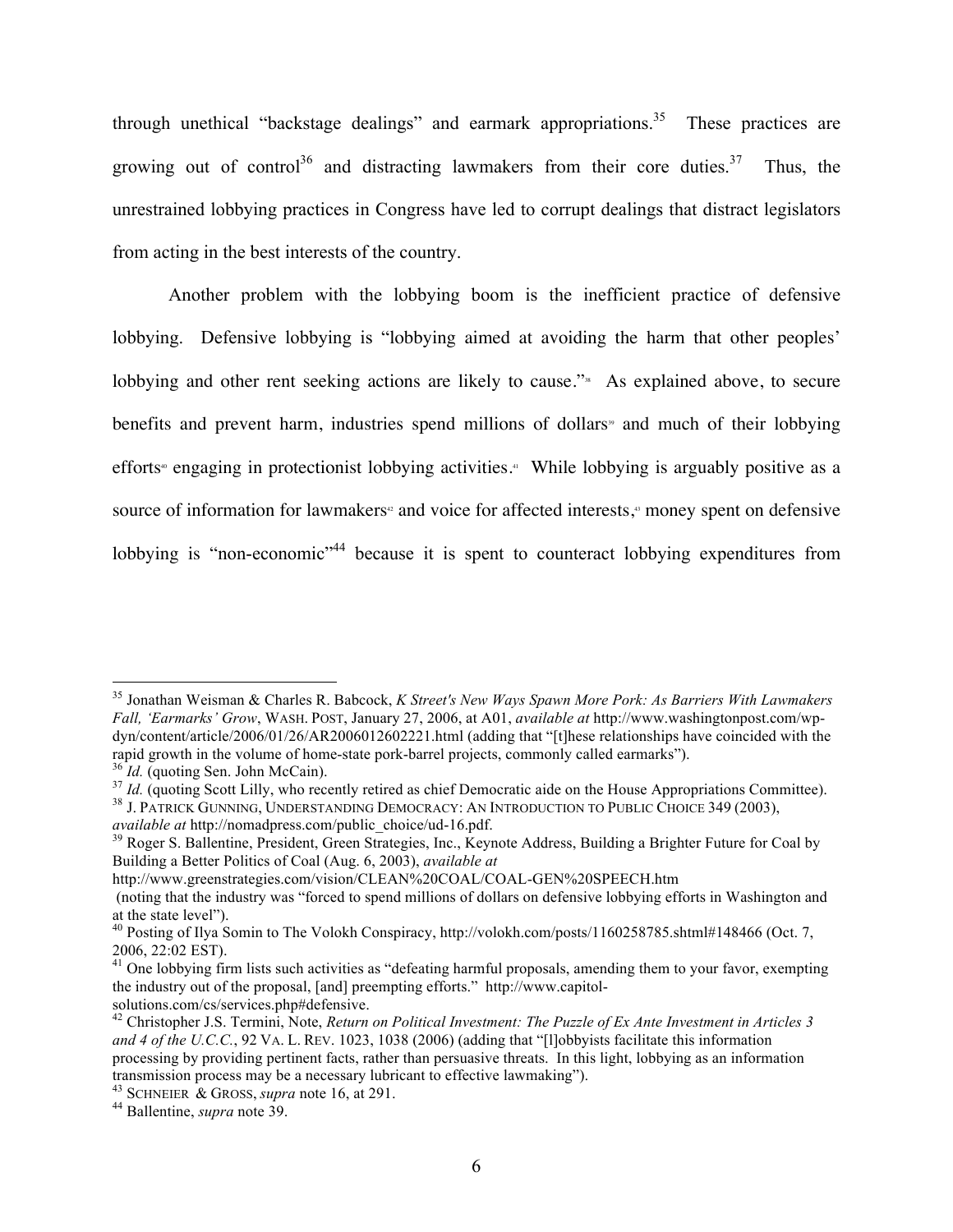through unethical "backstage dealings" and earmark appropriations.<sup>35</sup> These practices are growing out of control<sup>36</sup> and distracting lawmakers from their core duties.<sup>37</sup> Thus, the unrestrained lobbying practices in Congress have led to corrupt dealings that distract legislators from acting in the best interests of the country.

Another problem with the lobbying boom is the inefficient practice of defensive lobbying. Defensive lobbying is "lobbying aimed at avoiding the harm that other peoples' lobbying and other rent seeking actions are likely to cause."<sup>38</sup> As explained above, to secure benefits and prevent harm, industries spend millions of dollars<sup>39</sup> and much of their lobbying efforts<sup>®</sup> engaging in protectionist lobbying activities.<sup>41</sup> While lobbying is arguably positive as a source of information for lawmakers<sup>®</sup> and voice for affected interests,<sup>®</sup> money spent on defensive lobbying is "non-economic"<sup>44</sup> because it is spent to counteract lobbying expenditures from

rapid growth in the volume of home-state pork-barrel projects, commonly called earmarks").<br>
<sup>36</sup> *Id.* (quoting Sen. John McCain).<br>
<sup>37</sup> *Id.* (quoting Scott Lilly, who recently retired as chief Democratic aide on the Hou

http://www.greenstrategies.com/vision/CLEAN%20COAL/COAL-GEN%20SPEECH.htm

 <sup>35</sup> Jonathan Weisman & Charles R. Babcock, *K Street's New Ways Spawn More Pork: As Barriers With Lawmakers Fall, 'Earmarks' Grow*, WASH. POST, January 27, 2006, at A01, *available at* http://www.washingtonpost.com/wpdyn/content/article/2006/01/26/AR2006012602221.html (adding that "[t]hese relationships have coincided with the

<sup>&</sup>lt;sup>39</sup> Roger S. Ballentine, President, Green Strategies, Inc., Keynote Address, Building a Brighter Future for Coal by Building a Better Politics of Coal (Aug. 6, 2003), *available at*

<sup>(</sup>noting that the industry was "forced to spend millions of dollars on defensive lobbying efforts in Washington and at the state level").<br><sup>40</sup> Posting of Ilya Somin to The Volokh Conspiracy, http://volokh.com/posts/1160258785.shtml#148466 (Oct. 7,

<sup>2006, 22:02</sup> EST).

 $41$  One lobbying firm lists such activities as "defeating harmful proposals, amending them to your favor, exempting the industry out of the proposal, [and] preempting efforts." http://www.capitolsolutions.com/cs/services.php#defensive.

<sup>42</sup> Christopher J.S. Termini, Note, *Return on Political Investment: The Puzzle of Ex Ante Investment in Articles 3 and 4 of the U.C.C.*, 92 VA. L. REV. 1023, 1038 (2006) (adding that "[l]obbyists facilitate this information processing by providing pertinent facts, rather than persuasive threats. In this light, lobbying as an information transmission process may be a necessary lubricant to effective lawmaking"). <sup>43</sup> SCHNEIER & GROSS, *supra* note 16, at 291. <sup>44</sup> Ballentine, *supra* note 39.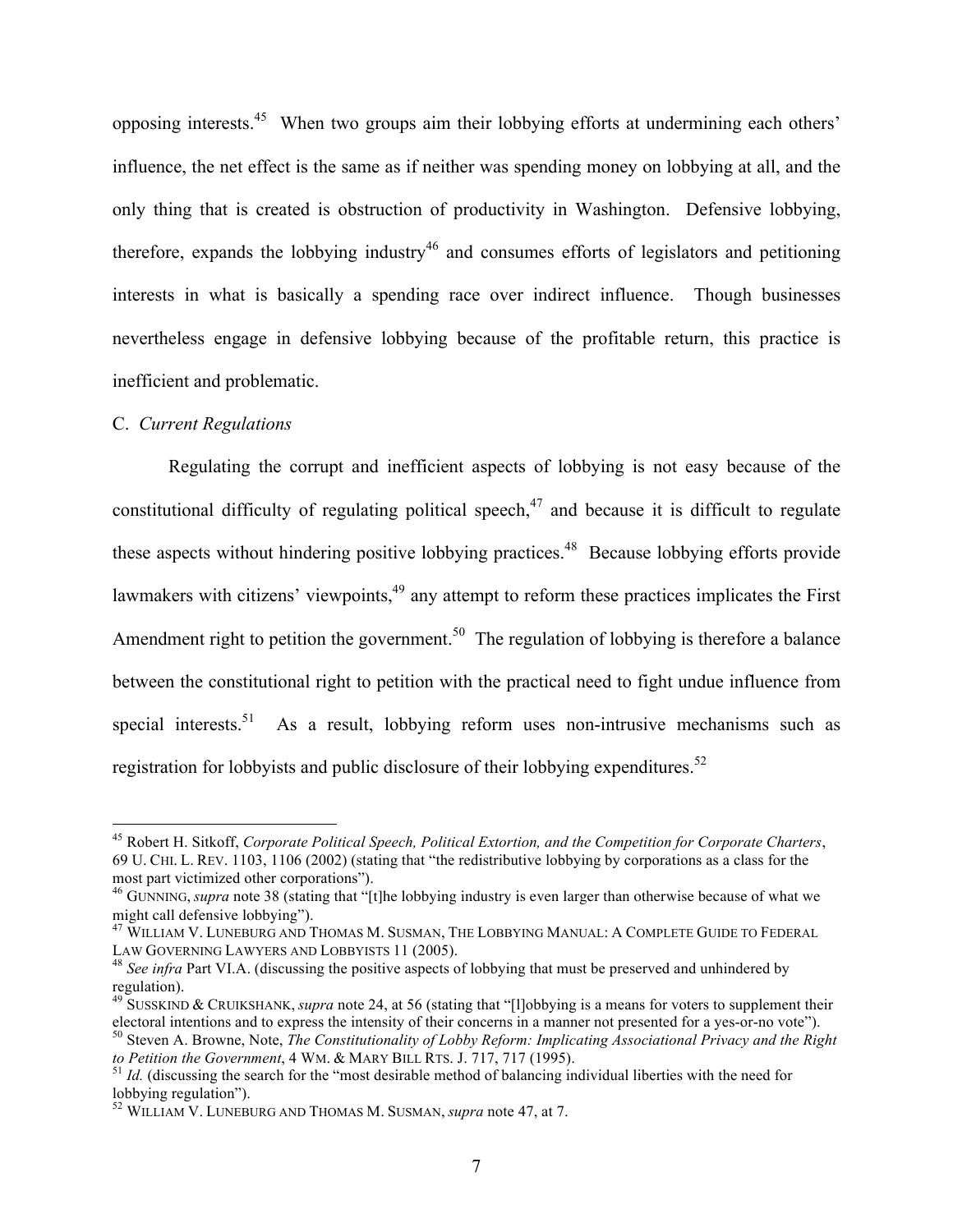opposing interests.45 When two groups aim their lobbying efforts at undermining each others' influence, the net effect is the same as if neither was spending money on lobbying at all, and the only thing that is created is obstruction of productivity in Washington. Defensive lobbying, therefore, expands the lobbying industry<sup>46</sup> and consumes efforts of legislators and petitioning interests in what is basically a spending race over indirect influence. Though businesses nevertheless engage in defensive lobbying because of the profitable return, this practice is inefficient and problematic.

#### C. *Current Regulations*

Regulating the corrupt and inefficient aspects of lobbying is not easy because of the constitutional difficulty of regulating political speech,  $47$  and because it is difficult to regulate these aspects without hindering positive lobbying practices.<sup>48</sup> Because lobbying efforts provide lawmakers with citizens' viewpoints,<sup>49</sup> any attempt to reform these practices implicates the First Amendment right to petition the government.<sup>50</sup> The regulation of lobbying is therefore a balance between the constitutional right to petition with the practical need to fight undue influence from special interests.<sup>51</sup> As a result, lobbying reform uses non-intrusive mechanisms such as registration for lobbyists and public disclosure of their lobbying expenditures.<sup>52</sup>

 <sup>45</sup> Robert H. Sitkoff, *Corporate Political Speech, Political Extortion, and the Competition for Corporate Charters*, 69 U. CHI. L. REV. 1103, 1106 (2002) (stating that "the redistributive lobbying by corporations as a class for the most part victimized other corporations").

<sup>&</sup>lt;sup>46</sup> GUNNING, *supra* note 38 (stating that "[t]he lobbying industry is even larger than otherwise because of what we might call defensive lobbying").

 $^{47}$  WILLIAM V. LUNEBURG AND THOMAS M. SUSMAN, THE LOBBYING MANUAL: A COMPLETE GUIDE TO FEDERAL LAW GOVERNING LAWYERS AND LOBBYISTS 11 (2005).

<sup>&</sup>lt;sup>48</sup> See infra Part VI.A. (discussing the positive aspects of lobbying that must be preserved and unhindered by regulation).

<sup>&</sup>lt;sup>49</sup> SUSSKIND & CRUIKSHANK, *supra* note 24, at 56 (stating that "[l]obbying is a means for voters to supplement their electoral intentions and to express the intensity of their concerns in a manner not presented for a ye

so Steven A. Browne, Note, *The Constitutionality of Lobby Reform: Implicating Associational Privacy and the Right*<br>to Petition the Government, 4 WM. & MARY BILL RTS. J. 717, 717 (1995).

 $t_1$  *Id.* (discussing the search for the "most desirable method of balancing individual liberties with the need for lobbying regulation").

<sup>&</sup>lt;sup>52</sup> WILLIAM V. LUNEBURG AND THOMAS M. SUSMAN, *supra* note 47, at 7.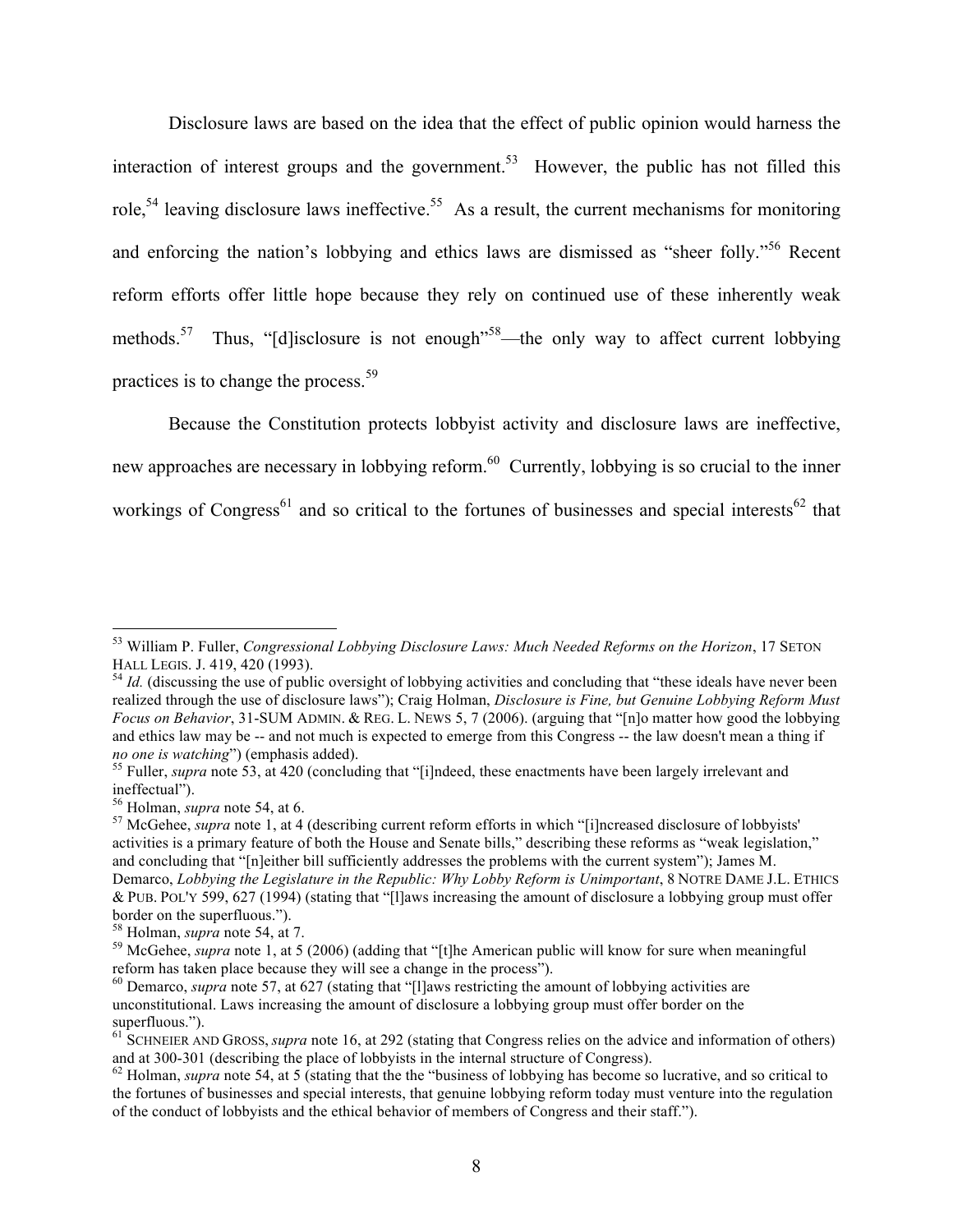Disclosure laws are based on the idea that the effect of public opinion would harness the interaction of interest groups and the government.<sup>53</sup> However, the public has not filled this role,<sup>54</sup> leaving disclosure laws ineffective.<sup>55</sup> As a result, the current mechanisms for monitoring and enforcing the nation's lobbying and ethics laws are dismissed as "sheer folly."<sup>56</sup> Recent reform efforts offer little hope because they rely on continued use of these inherently weak methods.<sup>57</sup> Thus, "[d]isclosure is not enough<sup>"58</sup>—the only way to affect current lobbying practices is to change the process.<sup>59</sup>

Because the Constitution protects lobbyist activity and disclosure laws are ineffective, new approaches are necessary in lobbying reform.<sup>60</sup> Currently, lobbying is so crucial to the inner workings of Congress<sup>61</sup> and so critical to the fortunes of businesses and special interests<sup>62</sup> that

<sup>&</sup>lt;sup>53</sup> William P. Fuller, *Congressional Lobbying Disclosure Laws: Much Needed Reforms on the Horizon*, 17 SETON HALL LEGIS. J. 419, 420 (1993).

 $^{54}$  *Id.* (discussing the use of public oversight of lobbying activities and concluding that "these ideals have never been realized through the use of disclosure laws"); Craig Holman, *Disclosure is Fine, but Genuine Lobbying Reform Must Focus on Behavior*, 31-SUM ADMIN. & REG. L. NEWS 5, 7 (2006). (arguing that "[n]o matter how good the lobbying and ethics law may be -- and not much is expected to emerge from this Congress -- the law doesn't mean a thing if *no one is watching*") (emphasis added).<br><sup>55</sup> Fuller, *supra* note 53, at 420 (concluding that "[i]ndeed, these enactments have been largely irrelevant and

ineffectual").<br><sup>56</sup> Holman, *supra* note 54, at 6.<br><sup>57</sup> McGehee, *supra* note 1, at 4 (describing current reform efforts in which "[i]ncreased disclosure of lobbyists'

activities is a primary feature of both the House and Senate bills," describing these reforms as "weak legislation," and concluding that "[n]either bill sufficiently addresses the problems with the current system"); James M. Demarco, *Lobbying the Legislature in the Republic: Why Lobby Reform is Unimportant*, 8 NOTRE DAME J.L. ETHICS & PUB. POL'Y 599, 627 (1994) (stating that "[l]aws increasing the amount of disclosure a lobbying group must offer

border on the superfluous.").<br><sup>58</sup> Holman, *supra* note 54, at 7.

<sup>&</sup>lt;sup>59</sup> McGehee, *supra* note 1, at 5 (2006) (adding that "[t]he American public will know for sure when meaningful reform has taken place because they will see a change in the process").

<sup>&</sup>lt;sup>60</sup> Demarco, *supra* note 57, at 627 (stating that "[l]aws restricting the amount of lobbying activities are unconstitutional. Laws increasing the amount of disclosure a lobbying group must offer border on the superfluous.").

<sup>&</sup>lt;sup>61</sup> SCHNEIER AND GROSS, *supra* note 16, at 292 (stating that Congress relies on the advice and information of others) and at 300-301 (describing the place of lobbyists in the internal structure of Congress).

<sup>&</sup>lt;sup>62</sup> Holman, *supra* note 54, at 5 (stating that the the "business of lobbying has become so lucrative, and so critical to the fortunes of businesses and special interests, that genuine lobbying reform today must venture into the regulation of the conduct of lobbyists and the ethical behavior of members of Congress and their staff.").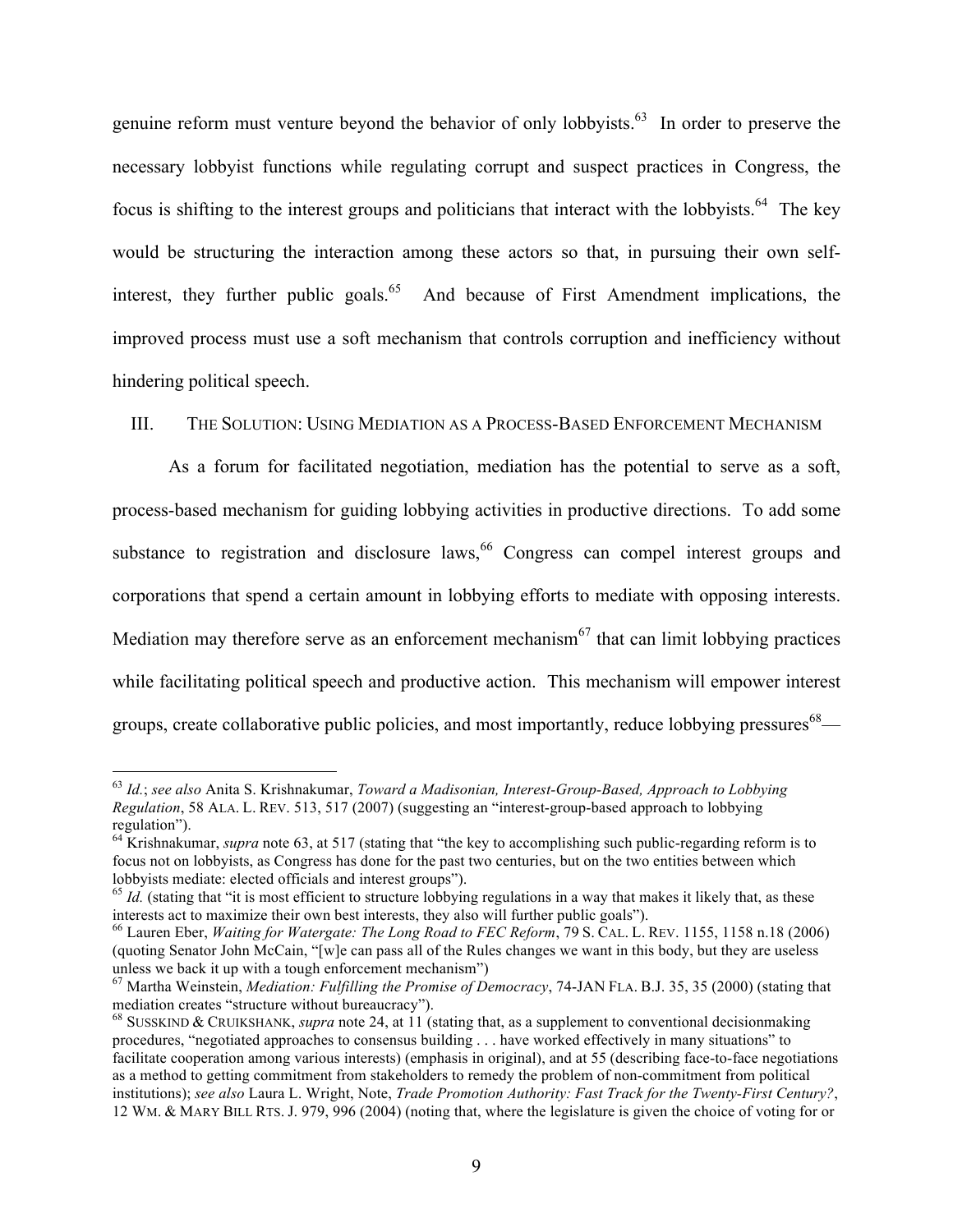genuine reform must venture beyond the behavior of only lobbyists.<sup>63</sup> In order to preserve the necessary lobbyist functions while regulating corrupt and suspect practices in Congress, the focus is shifting to the interest groups and politicians that interact with the lobbyists.<sup>64</sup> The key would be structuring the interaction among these actors so that, in pursuing their own selfinterest, they further public goals.<sup>65</sup> And because of First Amendment implications, the improved process must use a soft mechanism that controls corruption and inefficiency without hindering political speech.

## III. THE SOLUTION: USING MEDIATION AS A PROCESS-BASED ENFORCEMENT MECHANISM

As a forum for facilitated negotiation, mediation has the potential to serve as a soft, process-based mechanism for guiding lobbying activities in productive directions. To add some substance to registration and disclosure laws,  $66$  Congress can compel interest groups and corporations that spend a certain amount in lobbying efforts to mediate with opposing interests. Mediation may therefore serve as an enforcement mechanism<sup> $67$ </sup> that can limit lobbying practices while facilitating political speech and productive action. This mechanism will empower interest groups, create collaborative public policies, and most importantly, reduce lobbying pressures<sup>68</sup>—

 <sup>63</sup> *Id.*; *see also* Anita S. Krishnakumar, *Toward a Madisonian, Interest-Group-Based, Approach to Lobbying Regulation*, 58 ALA. L. REV. 513, 517 (2007) (suggesting an "interest-group-based approach to lobbying regulation").

<sup>&</sup>lt;sup>64</sup> Krishnakumar, *supra* note 63, at 517 (stating that "the key to accomplishing such public-regarding reform is to focus not on lobbyists, as Congress has done for the past two centuries, but on the two entities between which lobbyists mediate: elected officials and interest groups").

 $<sup>65</sup>$  *Id.* (stating that "it is most efficient to structure lobbying regulations in a way that makes it likely that, as these</sup> interests act to maximize their own best interests, they also will further public goals").

<sup>66</sup> Lauren Eber, *Waiting for Watergate: The Long Road to FEC Reform*, 79 S. CAL. L. REV. 1155, 1158 n.18 (2006) (quoting Senator John McCain, "[w]e can pass all of the Rules changes we want in this body, but they are useless unless we back it up with a tough enforcement mechanism")

<sup>&</sup>lt;sup>67</sup> Martha Weinstein, *Mediation: Fulfilling the Promise of Democracy*, 74-JAN FLA. B.J. 35, 35 (2000) (stating that mediation creates "structure without bureaucracy").

<sup>&</sup>lt;sup>68</sup> SUSSKIND & CRUIKSHANK, *supra* note 24, at 11 (stating that, as a supplement to conventional decisionmaking procedures, "negotiated approaches to consensus building . . . have worked effectively in many situations" to facilitate cooperation among various interests) (emphasis in original), and at 55 (describing face-to-face negotiations as a method to getting commitment from stakeholders to remedy the problem of non-commitment from political institutions); *see also* Laura L. Wright, Note, *Trade Promotion Authority: Fast Track for the Twenty-First Century?*, 12 WM. & MARY BILL RTS. J. 979, 996 (2004) (noting that, where the legislature is given the choice of voting for or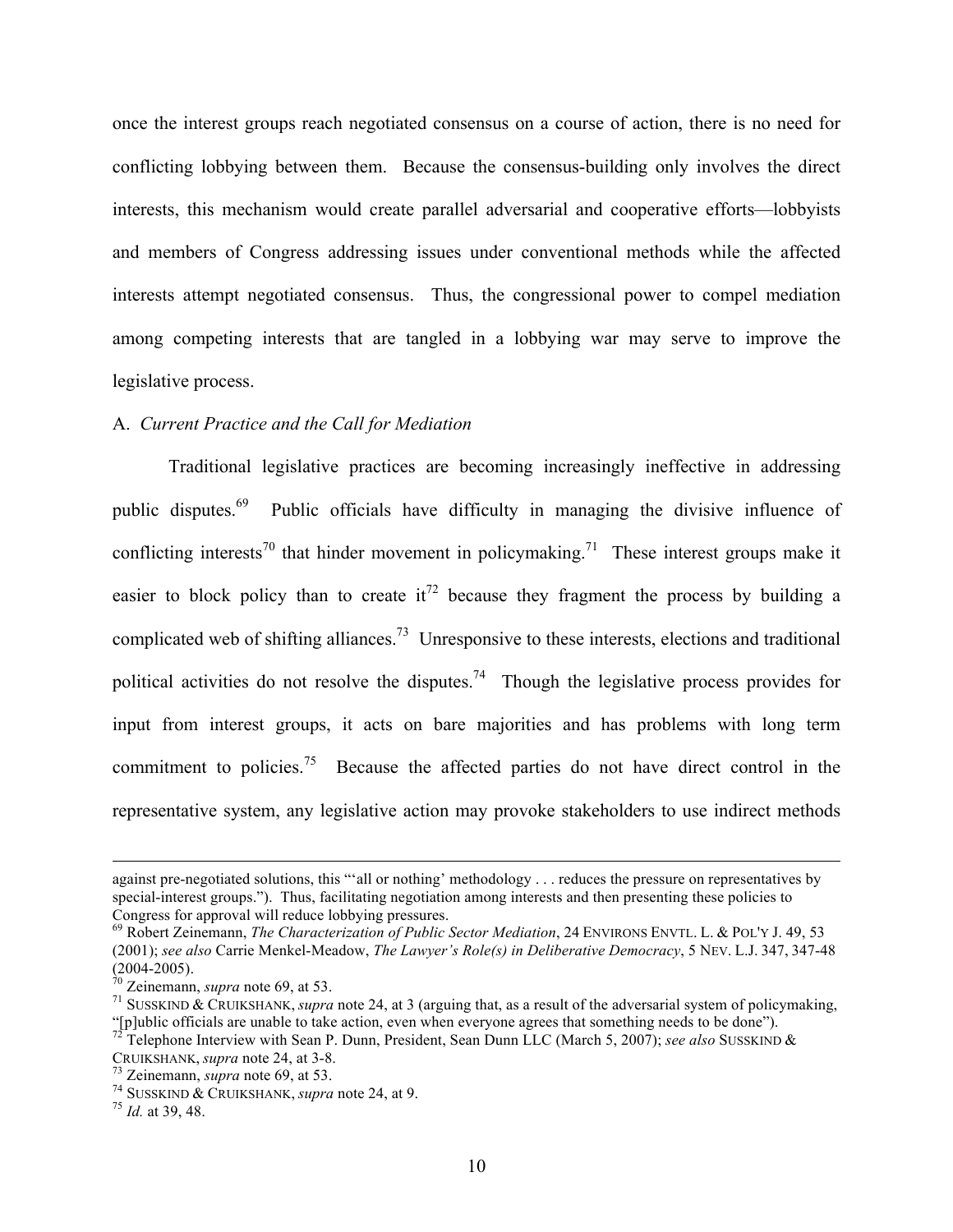once the interest groups reach negotiated consensus on a course of action, there is no need for conflicting lobbying between them. Because the consensus-building only involves the direct interests, this mechanism would create parallel adversarial and cooperative efforts—lobbyists and members of Congress addressing issues under conventional methods while the affected interests attempt negotiated consensus. Thus, the congressional power to compel mediation among competing interests that are tangled in a lobbying war may serve to improve the legislative process.

## A. *Current Practice and the Call for Mediation*

Traditional legislative practices are becoming increasingly ineffective in addressing public disputes.69 Public officials have difficulty in managing the divisive influence of conflicting interests<sup>70</sup> that hinder movement in policymaking.<sup>71</sup> These interest groups make it easier to block policy than to create it<sup>72</sup> because they fragment the process by building a complicated web of shifting alliances.<sup>73</sup> Unresponsive to these interests, elections and traditional political activities do not resolve the disputes.<sup>74</sup> Though the legislative process provides for input from interest groups, it acts on bare majorities and has problems with long term commitment to policies.<sup>75</sup> Because the affected parties do not have direct control in the representative system, any legislative action may provoke stakeholders to use indirect methods

against pre-negotiated solutions, this "'all or nothing' methodology . . . reduces the pressure on representatives by special-interest groups."). Thus, facilitating negotiation among interests and then presenting these policies to Congress for approval will reduce lobbying pressures.<br><sup>69</sup> Robert Zeinemann, *The Characterization of Public Sector Mediation*, 24 ENVIRONS ENVTL. L. & POL'Y J. 49, 53

<sup>(2001);</sup> *see also* Carrie Menkel-Meadow, *The Lawyer's Role(s) in Deliberative Democracy*, 5 NEV. L.J. 347, 347-48

<sup>&</sup>lt;sup>71</sup> SUSSKIND & CRUIKSHANK, *supra* note 24, at 3 (arguing that, as a result of the adversarial system of policymaking,

<sup>&</sup>quot;[p]ublic officials are unable to take action, even when everyone agrees that something needs to be done"). <sup>72</sup> Telephone Interview with Sean P. Dunn, President, Sean Dunn LLC (March 5, 2007); *see also* SUSSKIND & CRUIKSHANK, *supra* note 24, at 3-8. <sup>73</sup> Zeinemann, *supra* note 69, at 53. <sup>74</sup> SUSSKIND & CRUIKSHANK, *supra* note 24, at 9. <sup>75</sup> *Id.* at 39, 48.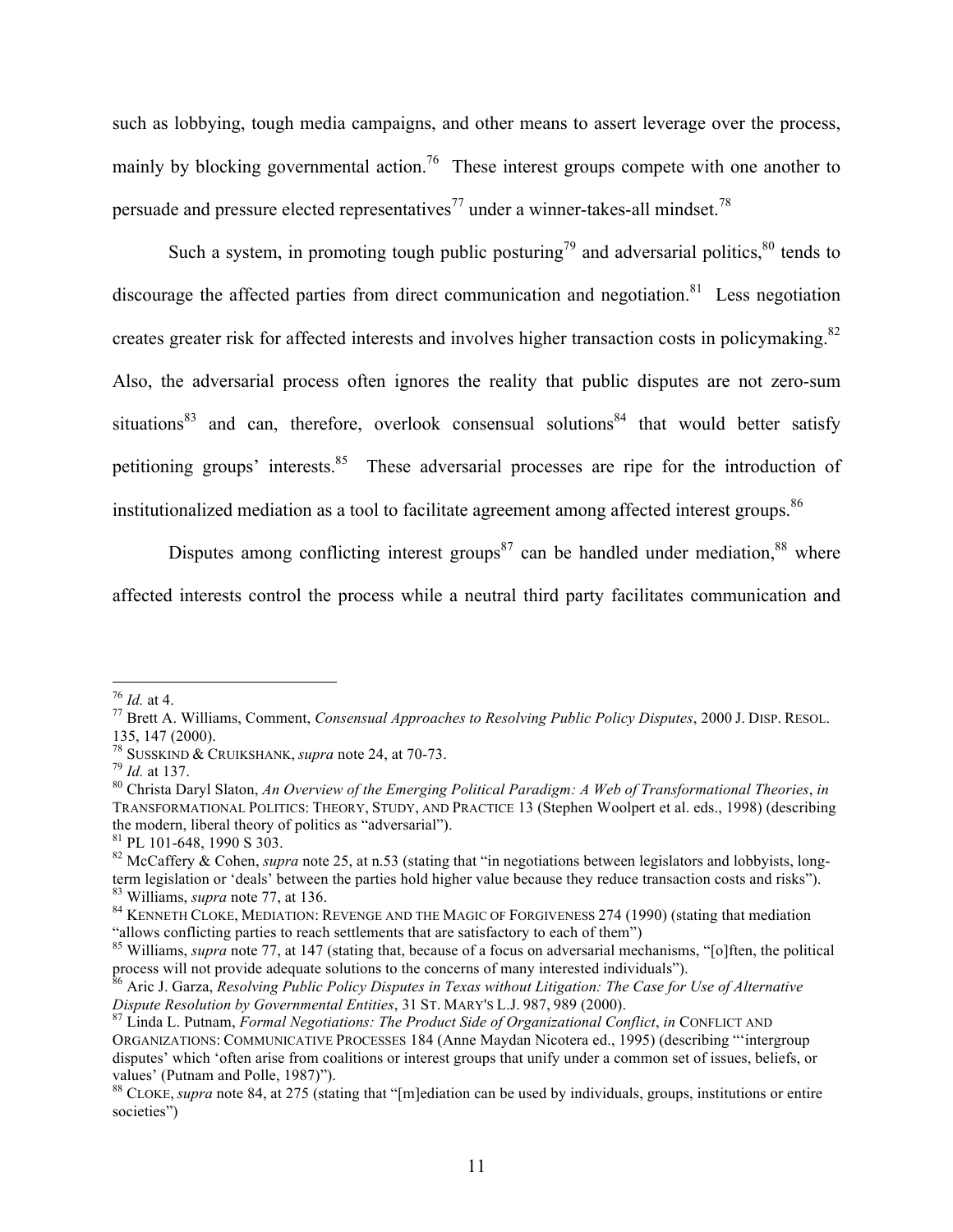such as lobbying, tough media campaigns, and other means to assert leverage over the process, mainly by blocking governmental action.<sup>76</sup> These interest groups compete with one another to persuade and pressure elected representatives<sup>77</sup> under a winner-takes-all mindset.<sup>78</sup>

Such a system, in promoting tough public posturing<sup>79</sup> and adversarial politics,  $80$  tends to discourage the affected parties from direct communication and negotiation.<sup>81</sup> Less negotiation creates greater risk for affected interests and involves higher transaction costs in policymaking.<sup>82</sup> Also, the adversarial process often ignores the reality that public disputes are not zero-sum situations<sup>83</sup> and can, therefore, overlook consensual solutions<sup>84</sup> that would better satisfy petitioning groups' interests.<sup>85</sup> These adversarial processes are ripe for the introduction of institutionalized mediation as a tool to facilitate agreement among affected interest groups.<sup>86</sup>

Disputes among conflicting interest groups<sup>87</sup> can be handled under mediation,  $88$  where affected interests control the process while a neutral third party facilitates communication and

<sup>76</sup> *Id.* at 4. <sup>77</sup> Brett A. Williams, Comment, *Consensual Approaches to Resolving Public Policy Disputes*, 2000 J. DISP. RESOL. 135, 147 (2000).<br><sup>78</sup> SUSSKIND & CRUIKSHANK, *supra* note 24, at 70-73.<br><sup>79</sup> *Id.* at 137.<br><sup>80</sup> Christa Daryl Slaton, *An Overview of the Emerging Political Paradigm: A Web of Transformational Theories, in* 

TRANSFORMATIONAL POLITICS: THEORY, STUDY, AND PRACTICE 13 (Stephen Woolpert et al. eds., 1998) (describing the modern, liberal theory of politics as "adversarial").<br><sup>81</sup> PL 101-648, 1990 S 303.<br><sup>82</sup> McCaffery & Cohen, *supra* note 25, at n.53 (stating that "in negotiations between legislators and lobbyists, long-

term legislation or 'deals' between the parties hold higher value because they reduce transaction costs and risks").<br><sup>83</sup> Williams, *supra* note 77, at 136.<br><sup>84</sup> KENNETH CLOKE, MEDIATION: REVENGE AND THE MAGIC OF FORGIVENE

<sup>&</sup>quot;allows conflicting parties to reach settlements that are satisfactory to each of them") <sup>85</sup> Williams, *supra* note 77, at 147 (stating that, because of a focus on adversarial mechanisms, "[o]ften, the political

process will not provide adequate solutions to the concerns of many interested individuals").<br><sup>86</sup> Aric J. Garza, *Resolving Public Policy Disputes in Texas without Litigation: The Case for Use of Alternative Dispute Resol* 

*Dispute Resolution by Governmental Entities*, 31 ST. MARY'S L.J. 987, <sup>989</sup> (2000). <sup>87</sup> Linda L. Putnam, *Formal Negotiations: The Product Side of Organizational Conflict*, *in* CONFLICT AND ORGANIZATIONS: COMMUNICATIVE PROCESSES 184 (Anne Maydan Nicotera ed., 1995) (describing "'intergroup disputes' which 'often arise from coalitions or interest groups that unify under a common set of issues, beliefs, or values' (Putnam and Polle, 1987)").

<sup>88</sup> CLOKE, *supra* note 84, at 275 (stating that "[m]ediation can be used by individuals, groups, institutions or entire societies")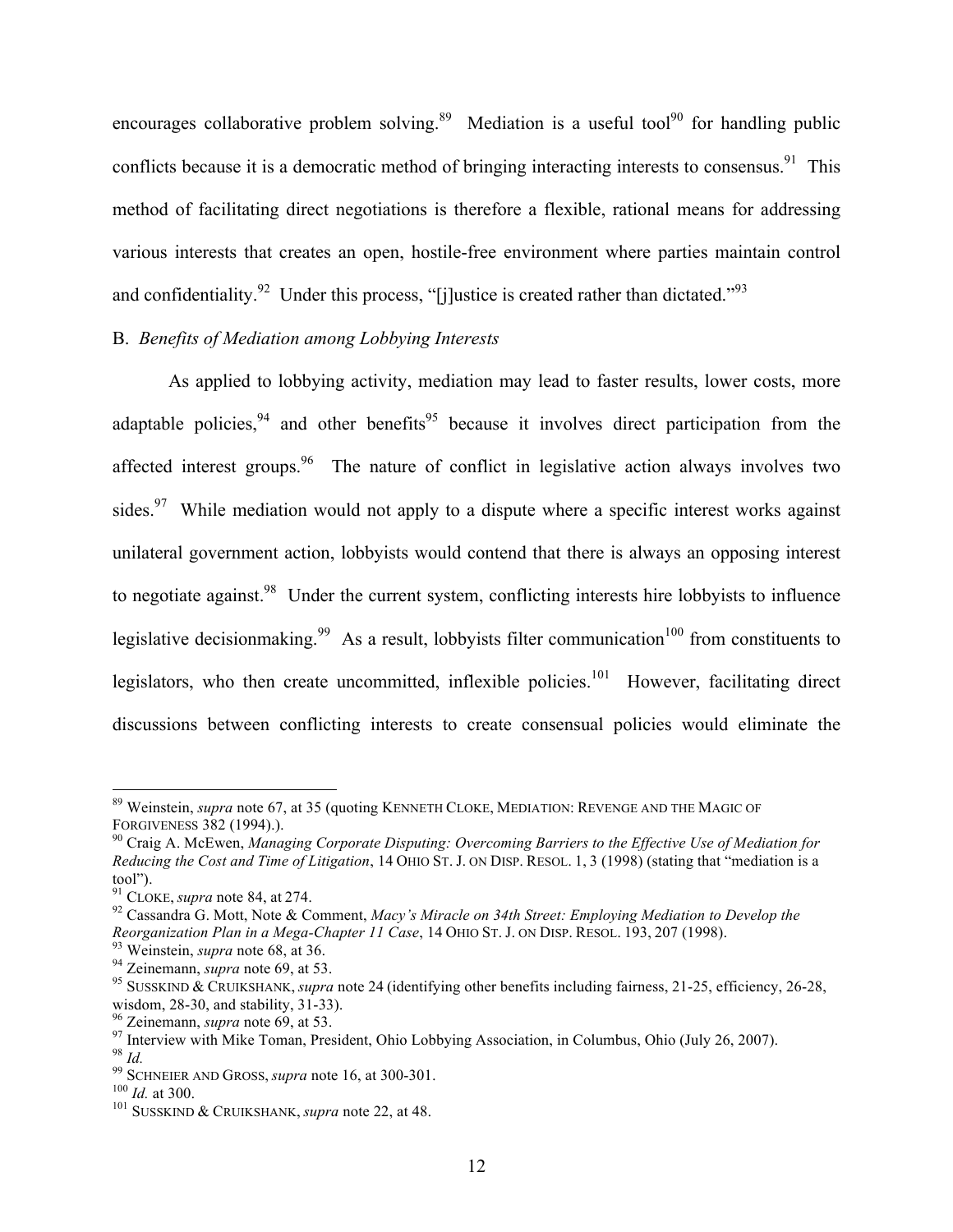encourages collaborative problem solving.<sup>89</sup> Mediation is a useful tool<sup>90</sup> for handling public conflicts because it is a democratic method of bringing interacting interests to consensus.<sup>91</sup> This method of facilitating direct negotiations is therefore a flexible, rational means for addressing various interests that creates an open, hostile-free environment where parties maintain control and confidentiality.<sup>92</sup> Under this process, "[j]ustice is created rather than dictated."<sup>93</sup>

# B. *Benefits of Mediation among Lobbying Interests*

As applied to lobbying activity, mediation may lead to faster results, lower costs, more adaptable policies,  $94$  and other benefits  $95$  because it involves direct participation from the affected interest groups.<sup>96</sup> The nature of conflict in legislative action always involves two sides. <sup>97</sup> While mediation would not apply to a dispute where a specific interest works against unilateral government action, lobbyists would contend that there is always an opposing interest to negotiate against.<sup>98</sup> Under the current system, conflicting interests hire lobbyists to influence legislative decisionmaking.<sup>99</sup> As a result, lobbyists filter communication<sup>100</sup> from constituents to legislators, who then create uncommitted, inflexible policies.<sup>101</sup> However, facilitating direct discussions between conflicting interests to create consensual policies would eliminate the

<sup>&</sup>lt;sup>89</sup> Weinstein, *supra* note 67, at 35 (quoting KENNETH CLOKE, MEDIATION: REVENGE AND THE MAGIC OF FORGIVENESS 382 (1994).).

<sup>&</sup>lt;sup>90</sup> Craig A. McEwen, *Managing Corporate Disputing: Overcoming Barriers to the Effective Use of Mediation for Reducing the Cost and Time of Litigation*, 14 OHIO ST. J. ON DISP. RESOL. 1, 3 (1998) (stating that "mediation is a tool").<br><sup>91</sup> CLOKE, *supra* note 84, at 274.

<sup>&</sup>lt;sup>92</sup> Cassandra G. Mott, Note & Comment, *Macy's Miracle on 34th Street: Employing Mediation to Develop the* 

Reorganization Plan in a Mega-Chapter 11 Case, 14 OHIO ST. J. ON DISP. RESOL. 193, 207 (1998).<br><sup>93</sup> Weinstein, *supra* note 68, at 36.<br><sup>94</sup> Zeinemann, *supra* note 69, at 53.<br><sup>95</sup> SUSSKIND & CRUIKSHANK, *supra* note 24 (i

<sup>&</sup>lt;sup>96</sup> Zeinemann, *supra* note 69, at 53.<br><sup>97</sup> Interview with Mike Toman, President, Ohio Lobbying Association, in Columbus, Ohio (July 26, 2007).<br><sup>98</sup> Id.<br><sup>99</sup> SCHNEIER AND GROSS, *supra* note 16, at 300-301.<br><sup>100</sup> Id. at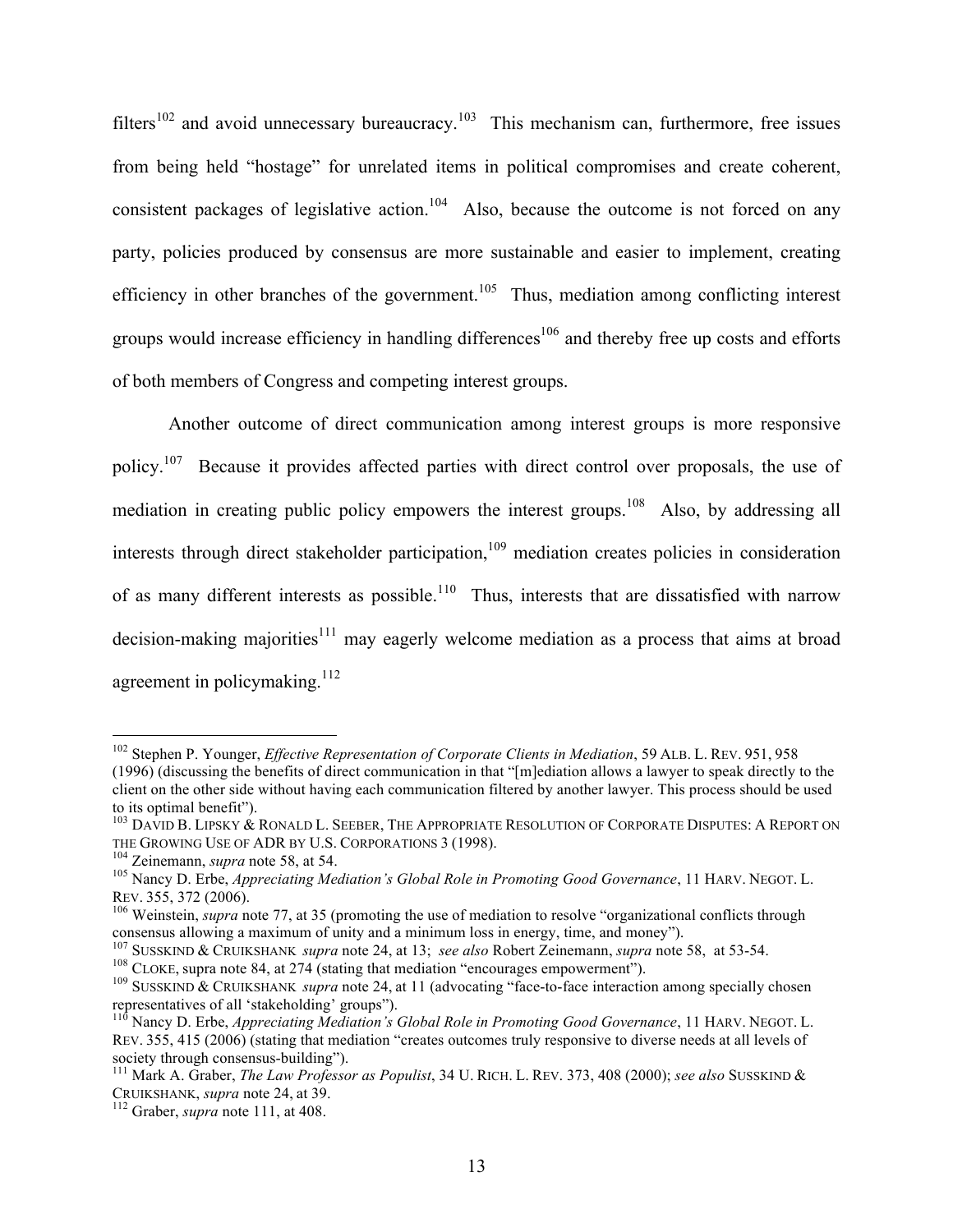filters<sup>102</sup> and avoid unnecessary bureaucracy.<sup>103</sup> This mechanism can, furthermore, free issues from being held "hostage" for unrelated items in political compromises and create coherent, consistent packages of legislative action.<sup>104</sup> Also, because the outcome is not forced on any party, policies produced by consensus are more sustainable and easier to implement, creating efficiency in other branches of the government.<sup>105</sup> Thus, mediation among conflicting interest groups would increase efficiency in handling differences<sup>106</sup> and thereby free up costs and efforts of both members of Congress and competing interest groups.

Another outcome of direct communication among interest groups is more responsive policy.<sup>107</sup> Because it provides affected parties with direct control over proposals, the use of mediation in creating public policy empowers the interest groups.<sup>108</sup> Also, by addressing all interests through direct stakeholder participation,<sup>109</sup> mediation creates policies in consideration of as many different interests as possible.<sup>110</sup> Thus, interests that are dissatisfied with narrow decision-making majorities<sup>111</sup> may eagerly welcome mediation as a process that aims at broad agreement in policymaking.<sup>112</sup>

 <sup>102</sup> Stephen P. Younger, *Effective Representation of Corporate Clients in Mediation*, 59 ALB. L. REV. 951, <sup>958</sup> (1996) (discussing the benefits of direct communication in that "[m]ediation allows a lawyer to speak directly to the client on the other side without having each communication filtered by another lawyer. This process should be used to its optimal benefit").

<sup>&</sup>lt;sup>103</sup> DAVID B. LIPSKY & RONALD L. SEEBER, THE APPROPRIATE RESOLUTION OF CORPORATE DISPUTES: A REPORT ON THE GROWING USE OF ADR BY U.S. CORPORATIONS 3 (1998).

<sup>&</sup>lt;sup>104</sup> Zeinemann, *supra* note 58, at 54.<br><sup>105</sup> Nancy D. Erbe, *Appreciating Mediation's Global Role in Promoting Good Governance*, 11 HARV. NEGOT. L. REV. 355, 372 (2006).<br><sup>106</sup> Weinstein, *supra* note 77, at 35 (promoting the use of mediation to resolve "organizational conflicts through

consensus allowing a maximum of unity and a minimum loss in energy, time, and money").<br>
<sup>107</sup> SUSSKIND & CRUIKSHANK *supra* note 24, at 13; *see also* Robert Zeinemann, *supra* note 58, at 53-54.<br>
<sup>108</sup> CLOKE, supra note

<sup>&</sup>lt;sup>110</sup> Nancy D. Erbe, *Appreciating Mediation's Global Role in Promoting Good Governance*, 11 HARV. NEGOT. L. REV. 355, 415 (2006) (stating that mediation "creates outcomes truly responsive to diverse needs at all levels of society through consensus-building").<br><sup>111</sup> Mark A. Graber, *The Law Professor as Populist*, 34 U. RICH. L. REV. 373, 408 (2000); *see also* SUSSKIND &

CRUIKSHANK, *supra* note 24, at 39. <sup>112</sup> Graber, *supra* note 111, at 408.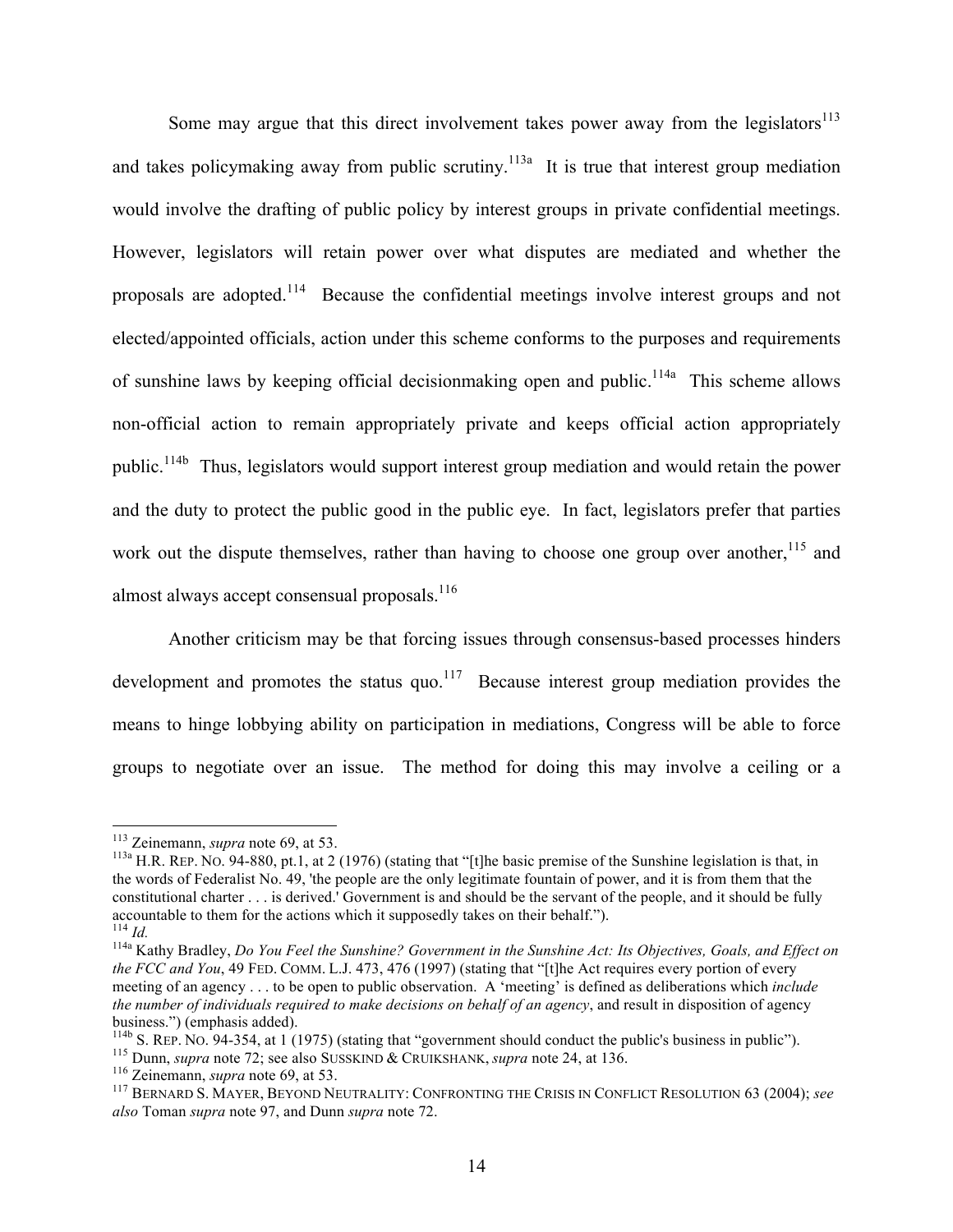Some may argue that this direct involvement takes power away from the legislators $113$ and takes policymaking away from public scrutiny.<sup>113a</sup> It is true that interest group mediation would involve the drafting of public policy by interest groups in private confidential meetings. However, legislators will retain power over what disputes are mediated and whether the proposals are adopted.114 Because the confidential meetings involve interest groups and not elected/appointed officials, action under this scheme conforms to the purposes and requirements of sunshine laws by keeping official decision making open and public.<sup>114a</sup> This scheme allows non-official action to remain appropriately private and keeps official action appropriately public.114b Thus, legislators would support interest group mediation and would retain the power and the duty to protect the public good in the public eye. In fact, legislators prefer that parties work out the dispute themselves, rather than having to choose one group over another,  $115$  and almost always accept consensual proposals. $116$ 

Another criticism may be that forcing issues through consensus-based processes hinders development and promotes the status quo.<sup>117</sup> Because interest group mediation provides the means to hinge lobbying ability on participation in mediations, Congress will be able to force groups to negotiate over an issue. The method for doing this may involve a ceiling or a

<sup>&</sup>lt;sup>113</sup> Zeinemann, *supra* note 69, at 53.<br><sup>113a</sup> H.R. REP. NO. 94-880, pt.1, at 2 (1976) (stating that "[t]he basic premise of the Sunshine legislation is that, in the words of Federalist No. 49, 'the people are the only legitimate fountain of power, and it is from them that the constitutional charter . . . is derived.' Government is and should be the servant of the people, and it should be fully accountable to them for the actions which it supposedly takes on their behalf.").<br><sup>114</sup> *Id.* Kathy Bradley, *Do You Feel the Sunshine? Government in the Sunshine Act: Its Objectives, Goals, and Effect on* 

*the FCC and You*, 49 FED. COMM. L.J. 473, 476 (1997) (stating that "[t]he Act requires every portion of every meeting of an agency . . . to be open to public observation. A 'meeting' is defined as deliberations which *include the number of individuals required to make decisions on behalf of an agency*, and result in disposition of agency business.") (emphasis added).<br> $^{114b}$  S. REP. NO. 94-354, at 1 (1975) (stating that "government should conduct the public's business in public").

<sup>&</sup>lt;sup>115</sup> Dunn, *supra* note 72; see also SUSSKIND & CRUIKSHANK, *supra* note 24, at 136.<br><sup>116</sup> Zeinemann, *supra* note 69, at 53.<br><sup>117</sup> BERNARD S. MAYER, BEYOND NEUTRALITY: CONFRONTING THE CRISIS IN CONFLICT RESOLUTION 63 (2 *also* Toman *supra* note 97, and Dunn *supra* note 72.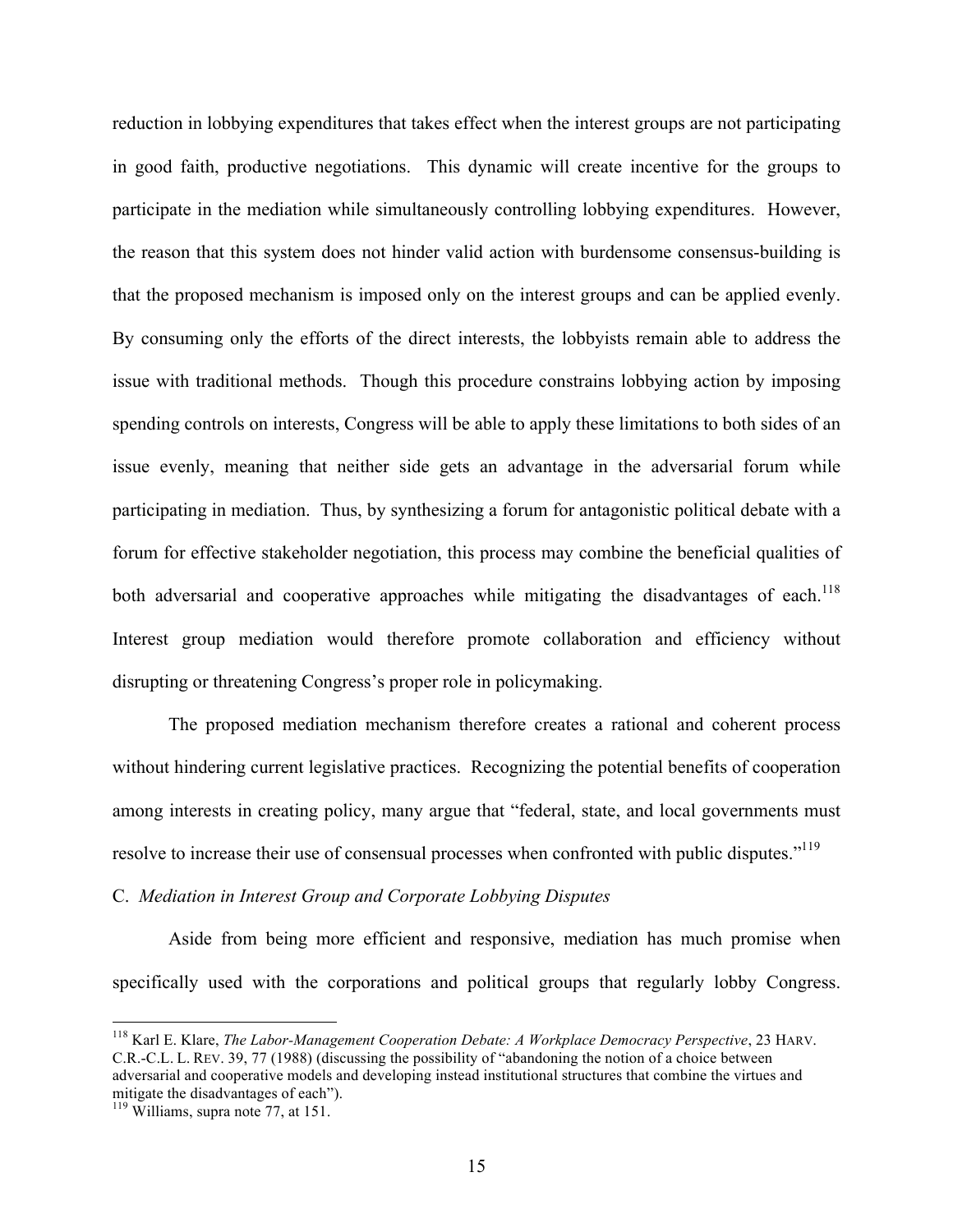reduction in lobbying expenditures that takes effect when the interest groups are not participating in good faith, productive negotiations. This dynamic will create incentive for the groups to participate in the mediation while simultaneously controlling lobbying expenditures. However, the reason that this system does not hinder valid action with burdensome consensus-building is that the proposed mechanism is imposed only on the interest groups and can be applied evenly. By consuming only the efforts of the direct interests, the lobbyists remain able to address the issue with traditional methods. Though this procedure constrains lobbying action by imposing spending controls on interests, Congress will be able to apply these limitations to both sides of an issue evenly, meaning that neither side gets an advantage in the adversarial forum while participating in mediation. Thus, by synthesizing a forum for antagonistic political debate with a forum for effective stakeholder negotiation, this process may combine the beneficial qualities of both adversarial and cooperative approaches while mitigating the disadvantages of each.<sup>118</sup> Interest group mediation would therefore promote collaboration and efficiency without disrupting or threatening Congress's proper role in policymaking.

The proposed mediation mechanism therefore creates a rational and coherent process without hindering current legislative practices. Recognizing the potential benefits of cooperation among interests in creating policy, many argue that "federal, state, and local governments must resolve to increase their use of consensual processes when confronted with public disputes."<sup>119</sup>

#### C. *Mediation in Interest Group and Corporate Lobbying Disputes*

Aside from being more efficient and responsive, mediation has much promise when specifically used with the corporations and political groups that regularly lobby Congress.

 <sup>118</sup> Karl E. Klare, *The Labor-Management Cooperation Debate: A Workplace Democracy Perspective*, 23 HARV. C.R.-C.L. L. REV. 39, 77 (1988) (discussing the possibility of "abandoning the notion of a choice between adversarial and cooperative models and developing instead institutional structures that combine the virtues and mitigate the disadvantages of each").

<sup>&</sup>lt;sup>119</sup> Williams, supra note 77, at 151.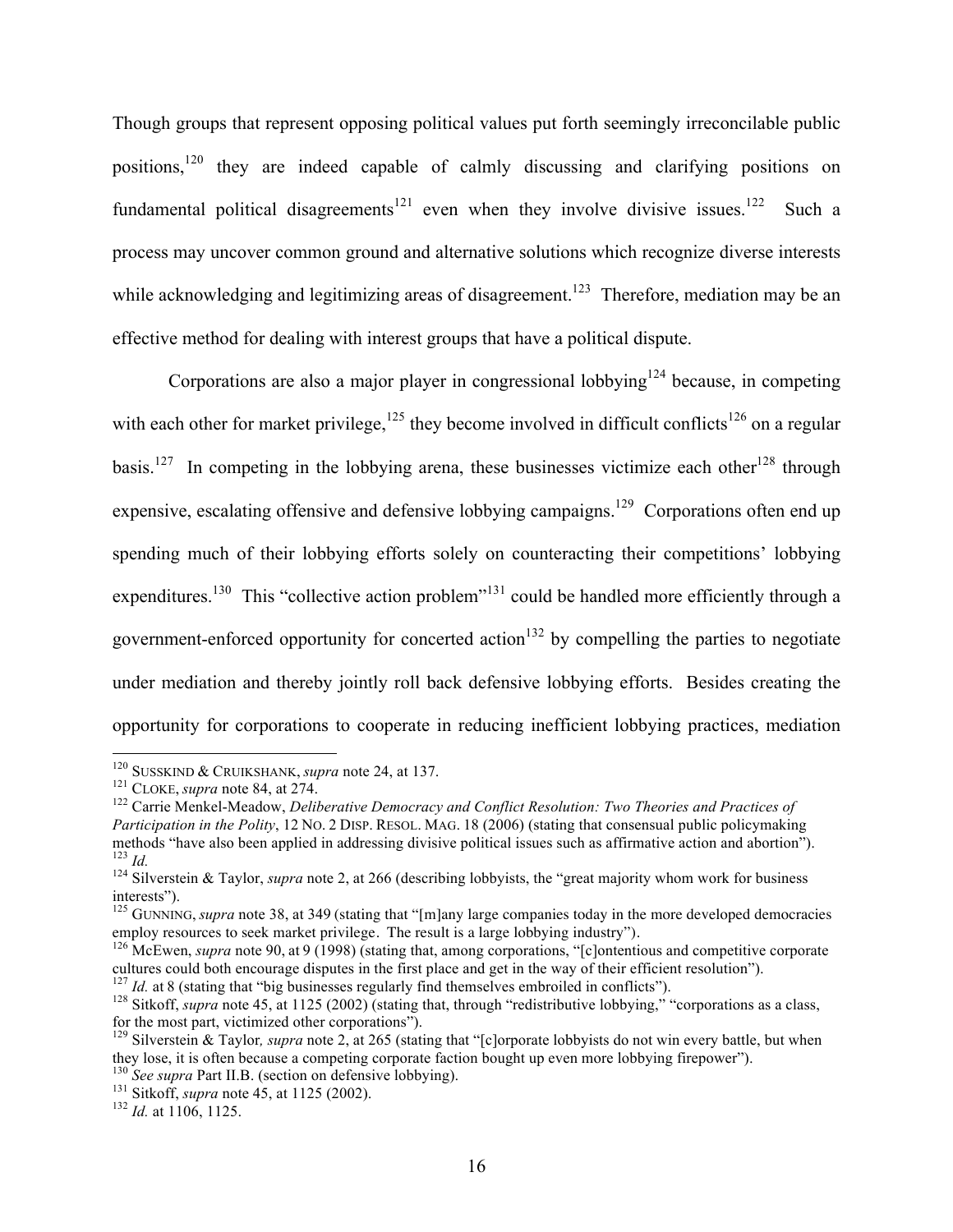Though groups that represent opposing political values put forth seemingly irreconcilable public positions,120 they are indeed capable of calmly discussing and clarifying positions on fundamental political disagreements<sup>121</sup> even when they involve divisive issues.<sup>122</sup> Such a process may uncover common ground and alternative solutions which recognize diverse interests while acknowledging and legitimizing areas of disagreement.<sup>123</sup> Therefore, mediation may be an effective method for dealing with interest groups that have a political dispute.

Corporations are also a major player in congressional lobbying<sup>124</sup> because, in competing with each other for market privilege,  $^{125}$  they become involved in difficult conflicts<sup>126</sup> on a regular basis.<sup>127</sup> In competing in the lobbying arena, these businesses victimize each other<sup>128</sup> through expensive, escalating offensive and defensive lobbying campaigns.<sup>129</sup> Corporations often end up spending much of their lobbying efforts solely on counteracting their competitions' lobbying expenditures.<sup>130</sup> This "collective action problem"<sup>131</sup> could be handled more efficiently through a government-enforced opportunity for concerted action<sup>132</sup> by compelling the parties to negotiate under mediation and thereby jointly roll back defensive lobbying efforts. Besides creating the opportunity for corporations to cooperate in reducing inefficient lobbying practices, mediation

<sup>&</sup>lt;sup>120</sup> SUSSKIND & CRUIKSHANK, *supra* note 24, at 137.<br><sup>121</sup> CLOKE, *supra* note 84, at 274.<br><sup>122</sup> Carrie Menkel-Meadow, *Deliberative Democracy and Conflict Resolution: Two Theories and Practices of Participation in the Polity*, 12 NO. 2 DISP. RESOL. MAG. 18 (2006) (stating that consensual public policymaking methods "have also been applied in addressing divisive political issues such as affirmative action and aborti

<sup>&</sup>lt;sup>123</sup> *Id.*<br><sup>124</sup> Silverstein & Taylor, *supra* note 2, at 266 (describing lobbyists, the "great majority whom work for business interests").

<sup>&</sup>lt;sup>125</sup> GUNNING, *supra* note 38, at 349 (stating that "[m]any large companies today in the more developed democracies employ resources to seek market privilege. The result is a large lobbying industry").

<sup>&</sup>lt;sup>126</sup> McEwen, *supra* note 90, at 9 (1998) (stating that, among corporations, "[c]ontentious and competitive corporate cultures could both encourage disputes in the first place and get in the way of their efficient resolution").<br><sup>127</sup> Id. at 8 (stating that "big businesses regularly find themselves embroiled in conflicts").<br><sup>128</sup> Sitkoff,

for the most part, victimized other corporations"). <sup>129</sup> Silverstein & Taylor*, supra* note 2, at 265 (stating that "[c]orporate lobbyists do not win every battle, but when

they lose, it is often because a competing corporate faction bought up even more lobbying firepower").<br><sup>130</sup> See supra Part II.B. (section on defensive lobbying).<br><sup>131</sup> Sitkoff, *supra* note 45, at 1125 (2002).<br><sup>132</sup> Id. a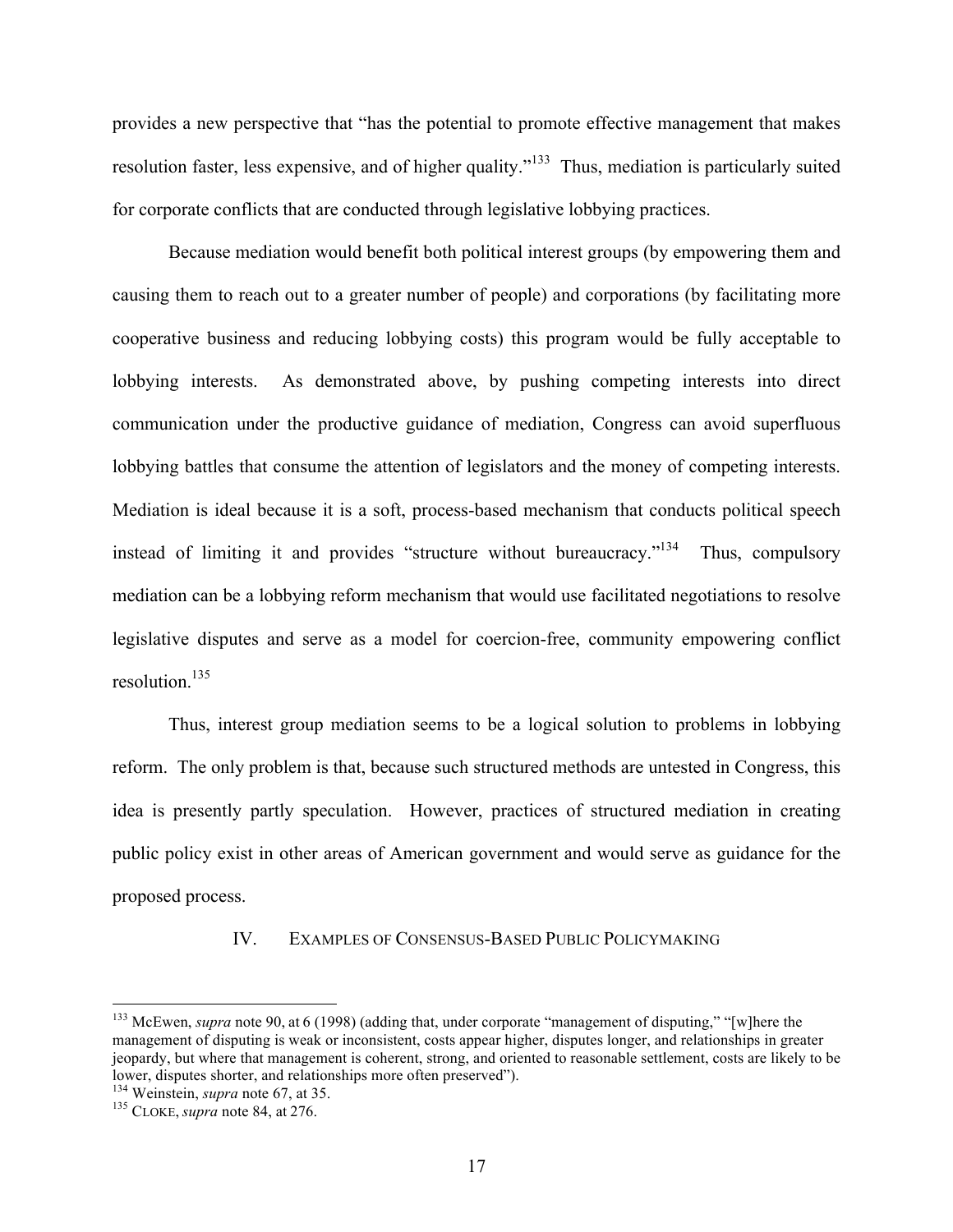provides a new perspective that "has the potential to promote effective management that makes resolution faster, less expensive, and of higher quality."133 Thus, mediation is particularly suited for corporate conflicts that are conducted through legislative lobbying practices.

Because mediation would benefit both political interest groups (by empowering them and causing them to reach out to a greater number of people) and corporations (by facilitating more cooperative business and reducing lobbying costs) this program would be fully acceptable to lobbying interests. As demonstrated above, by pushing competing interests into direct communication under the productive guidance of mediation, Congress can avoid superfluous lobbying battles that consume the attention of legislators and the money of competing interests. Mediation is ideal because it is a soft, process-based mechanism that conducts political speech instead of limiting it and provides "structure without bureaucracy."<sup>134</sup> Thus, compulsory mediation can be a lobbying reform mechanism that would use facilitated negotiations to resolve legislative disputes and serve as a model for coercion-free, community empowering conflict resolution.135

Thus, interest group mediation seems to be a logical solution to problems in lobbying reform. The only problem is that, because such structured methods are untested in Congress, this idea is presently partly speculation. However, practices of structured mediation in creating public policy exist in other areas of American government and would serve as guidance for the proposed process.

#### IV. EXAMPLES OF CONSENSUS-BASED PUBLIC POLICYMAKING

 <sup>133</sup> McEwen, *supra* note 90, at <sup>6</sup> (1998) (adding that, under corporate "management of disputing," "[w]here the management of disputing is weak or inconsistent, costs appear higher, disputes longer, and relationships in greater jeopardy, but where that management is coherent, strong, and oriented to reasonable settlement, costs are likely to be lower, disputes shorter, and relationships more often preserved"). <sup>134</sup> Weinstein, *supra* note 67, at 35. <sup>135</sup> CLOKE, *supra* note 84, at 276.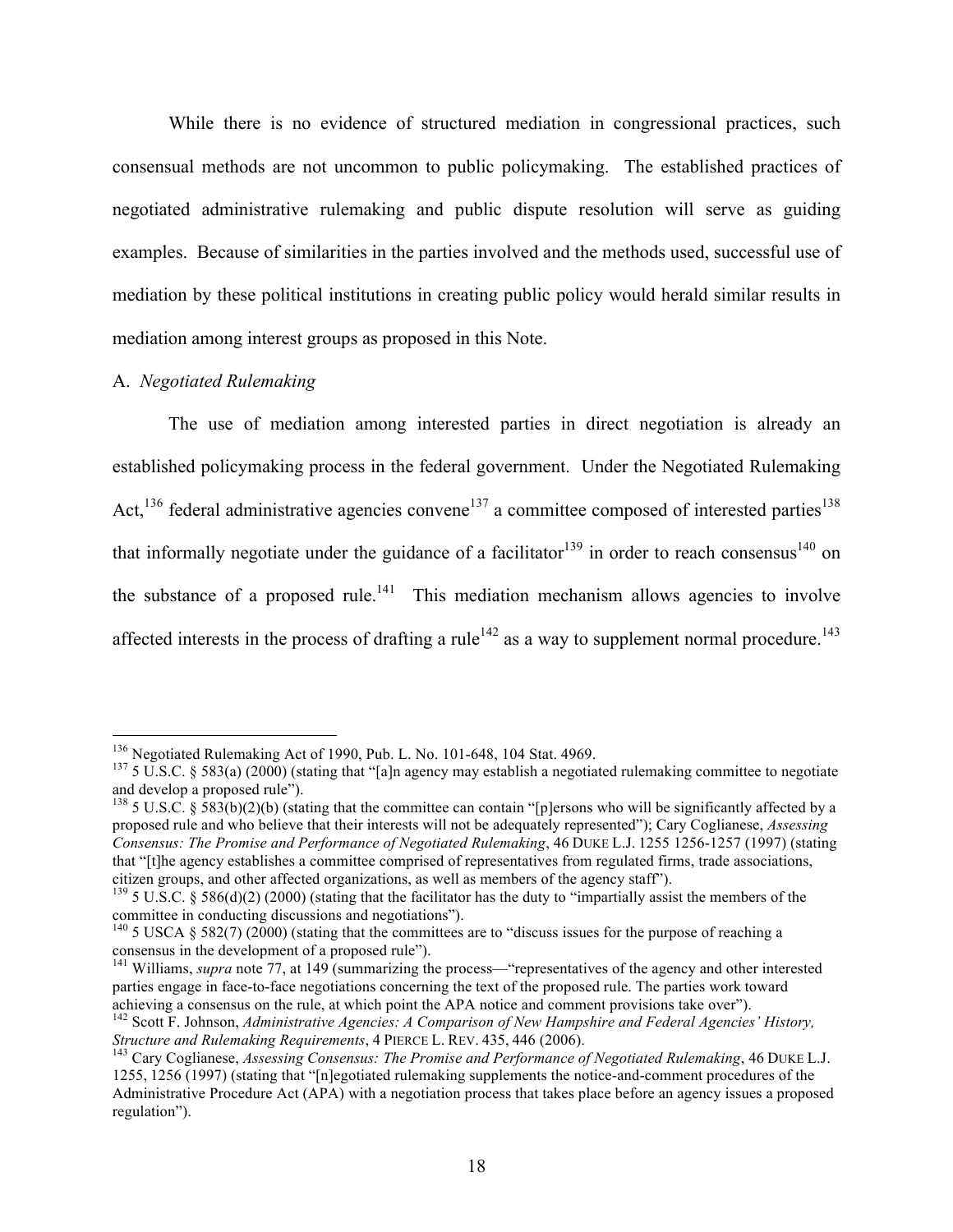While there is no evidence of structured mediation in congressional practices, such consensual methods are not uncommon to public policymaking. The established practices of negotiated administrative rulemaking and public dispute resolution will serve as guiding examples. Because of similarities in the parties involved and the methods used, successful use of mediation by these political institutions in creating public policy would herald similar results in mediation among interest groups as proposed in this Note.

## A. *Negotiated Rulemaking*

The use of mediation among interested parties in direct negotiation is already an established policymaking process in the federal government. Under the Negotiated Rulemaking Act,<sup>136</sup> federal administrative agencies convene<sup>137</sup> a committee composed of interested parties<sup>138</sup> that informally negotiate under the guidance of a facilitator<sup>139</sup> in order to reach consensus<sup>140</sup> on the substance of a proposed rule.<sup>141</sup> This mediation mechanism allows agencies to involve affected interests in the process of drafting a rule<sup>142</sup> as a way to supplement normal procedure.<sup>143</sup>

<sup>&</sup>lt;sup>136</sup> Negotiated Rulemaking Act of 1990, Pub. L. No. 101-648, 104 Stat. 4969.<br><sup>137</sup> 5 U.S.C. § 583(a) (2000) (stating that "[a]n agency may establish a negotiated rulemaking committee to negotiate and develop a proposed rule").<br><sup>138</sup> 5 U.S.C. § 583(b)(2)(b) (stating that the committee can contain "[p]ersons who will be significantly affected by a

proposed rule and who believe that their interests will not be adequately represented"); Cary Coglianese, *Assessing Consensus: The Promise and Performance of Negotiated Rulemaking*, 46 DUKE L.J. 1255 1256-1257 (1997) (stating that "[t]he agency establishes a committee comprised of representatives from regulated firms, trade associations, citizen groups, and other affected organizations, as well as members of the agency staff").<br><sup>139</sup> 5 U.S.C. § 586(d)(2) (2000) (stating that the facilitator has the duty to "impartially assist the members of the

committee in conducting discussions and negotiations").<br><sup>140</sup> 5 USCA § 582(7) (2000) (stating that the committees are to "discuss issues for the purpose of reaching a

consensus in the development of a proposed rule").

<sup>&</sup>lt;sup>141</sup> Williams, *supra* note 77, at 149 (summarizing the process—"representatives of the agency and other interested parties engage in face-to-face negotiations concerning the text of the proposed rule. The parties work toward achieving a consensus on the rule, at which point the APA notice and comment provisions take over").

<sup>142</sup> Scott F. Johnson, *Administrative Agencies: A Comparison of New Hampshire and Federal Agencies' History, Structure and Rulemaking Requirements*, 4 PIERCE L. REV. 435, 446 (2006).<br><sup>143</sup> Cary Coglianese, *Assessing Consensus: The Promise and Performance of Negotiated Rulemaking*, 46 DUKE L.J.

<sup>1255,</sup> 1256 (1997) (stating that "[n]egotiated rulemaking supplements the notice-and-comment procedures of the Administrative Procedure Act (APA) with a negotiation process that takes place before an agency issues a proposed regulation").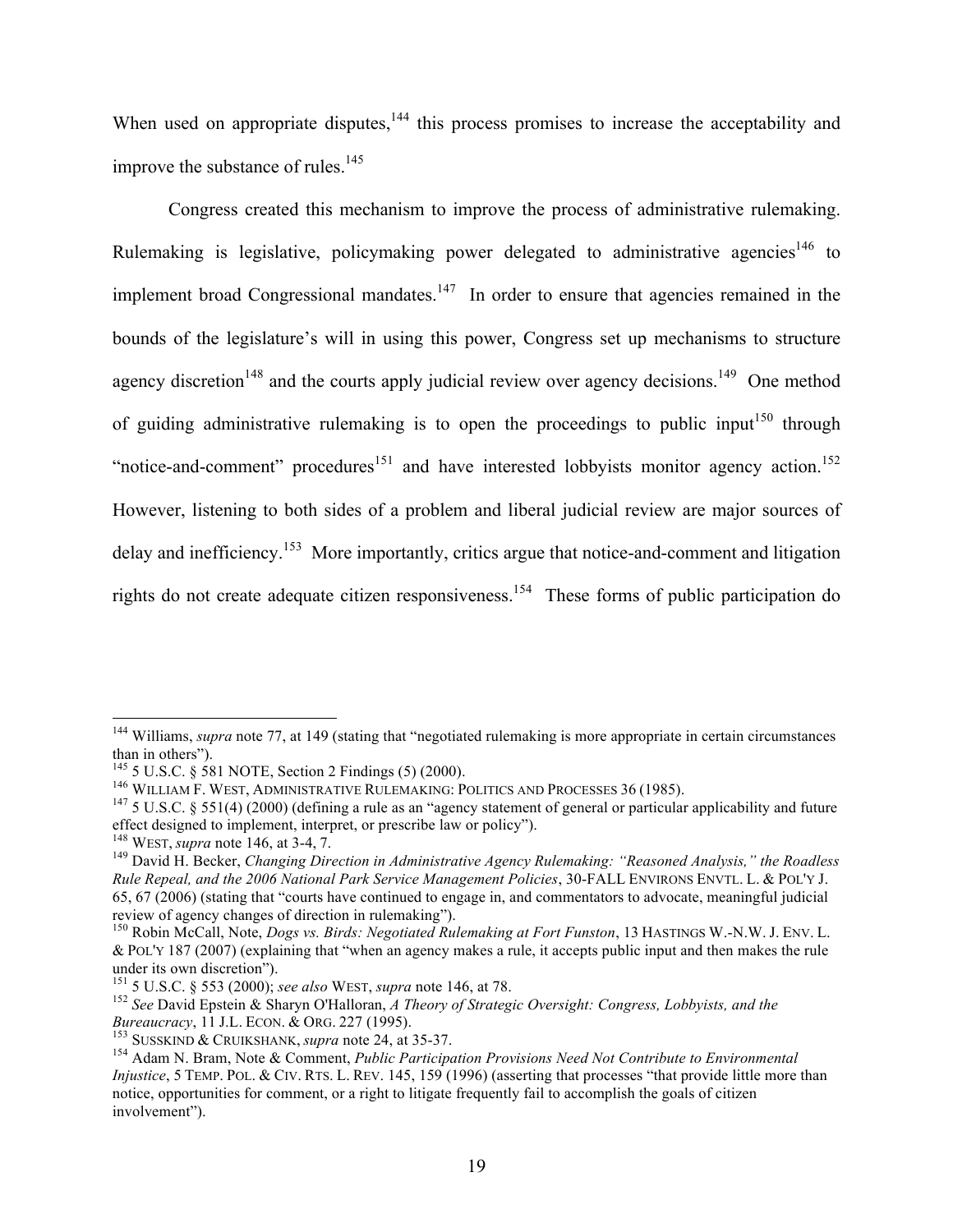When used on appropriate disputes, $144$  this process promises to increase the acceptability and improve the substance of rules.<sup>145</sup>

Congress created this mechanism to improve the process of administrative rulemaking. Rulemaking is legislative, policymaking power delegated to administrative agencies<sup>146</sup> to implement broad Congressional mandates.<sup>147</sup> In order to ensure that agencies remained in the bounds of the legislature's will in using this power, Congress set up mechanisms to structure agency discretion<sup>148</sup> and the courts apply judicial review over agency decisions.<sup>149</sup> One method of guiding administrative rulemaking is to open the proceedings to public input<sup>150</sup> through "notice-and-comment" procedures<sup>151</sup> and have interested lobbyists monitor agency action.<sup>152</sup> However, listening to both sides of a problem and liberal judicial review are major sources of delay and inefficiency.<sup>153</sup> More importantly, critics argue that notice-and-comment and litigation rights do not create adequate citizen responsiveness.<sup>154</sup> These forms of public participation do

<sup>&</sup>lt;sup>144</sup> Williams, *supra* note 77, at 149 (stating that "negotiated rulemaking is more appropriate in certain circumstances than in others").<br><sup>145</sup> 5 U.S.C. § 581 NOTE, Section 2 Findings (5) (2000).<br><sup>146</sup> WILLIAM F. WEST, ADMINISTRATIVE RULEMAKING: POLITICS AND PROCESSES 36 (1985).<br><sup>147</sup> 5 U.S.C. § 551(4) (2000) (defining a rule as an "agency

effect designed to implement, interpret, or prescribe law or policy").<br><sup>148</sup> WEST, *supra* note 146, at 3-4, 7.

<sup>&</sup>lt;sup>149</sup> David H. Becker, *Changing Direction in Administrative Agency Rulemaking: "Reasoned Analysis," the Roadless Rule Repeal, and the 2006 National Park Service Management Policies*, 30-FALL ENVIRONS ENVTL. L. & POL'Y J. 65, 67 (2006) (stating that "courts have continued to engage in, and commentators to advocate, meaningful judicial review of agency changes of direction in rulemaking").<br><sup>150</sup> Robin McCall, Note, *Dogs vs. Birds: Negotiated Rulemaking at Fort Funston*, 13 HASTINGS W.-N.W. J. ENV. L.

<sup>&</sup>amp; POL'Y 187 (2007) (explaining that "when an agency makes a rule, it accepts public input and then makes the rule

under its own discretion").<br><sup>151</sup> 5 U.S.C. § 553 (2000); *see also* WEST, *supra* note 146, at 78.<br><sup>152</sup> See David Epstein & Sharyn O'Halloran, *A Theory of Strategic Oversight: Congress, Lobbyists, and the Bureaucracy*, 1

*Bureaucracy, 11 J.L. Econ. & Orienza (1995).*<br><sup>153</sup> SUSSKIND & CRUIKSHANK, *supra* note 24, at 35-37.<br><sup>154</sup> Adam N. Bram, Note & Comment, *Public Participation Provisions Need Not Contribute to Environmental Injustice*, 5 TEMP. POL. & CIV. RTS. L. REV. 145, 159 (1996) (asserting that processes "that provide little more than notice, opportunities for comment, or a right to litigate frequently fail to accomplish the goals of citizen involvement").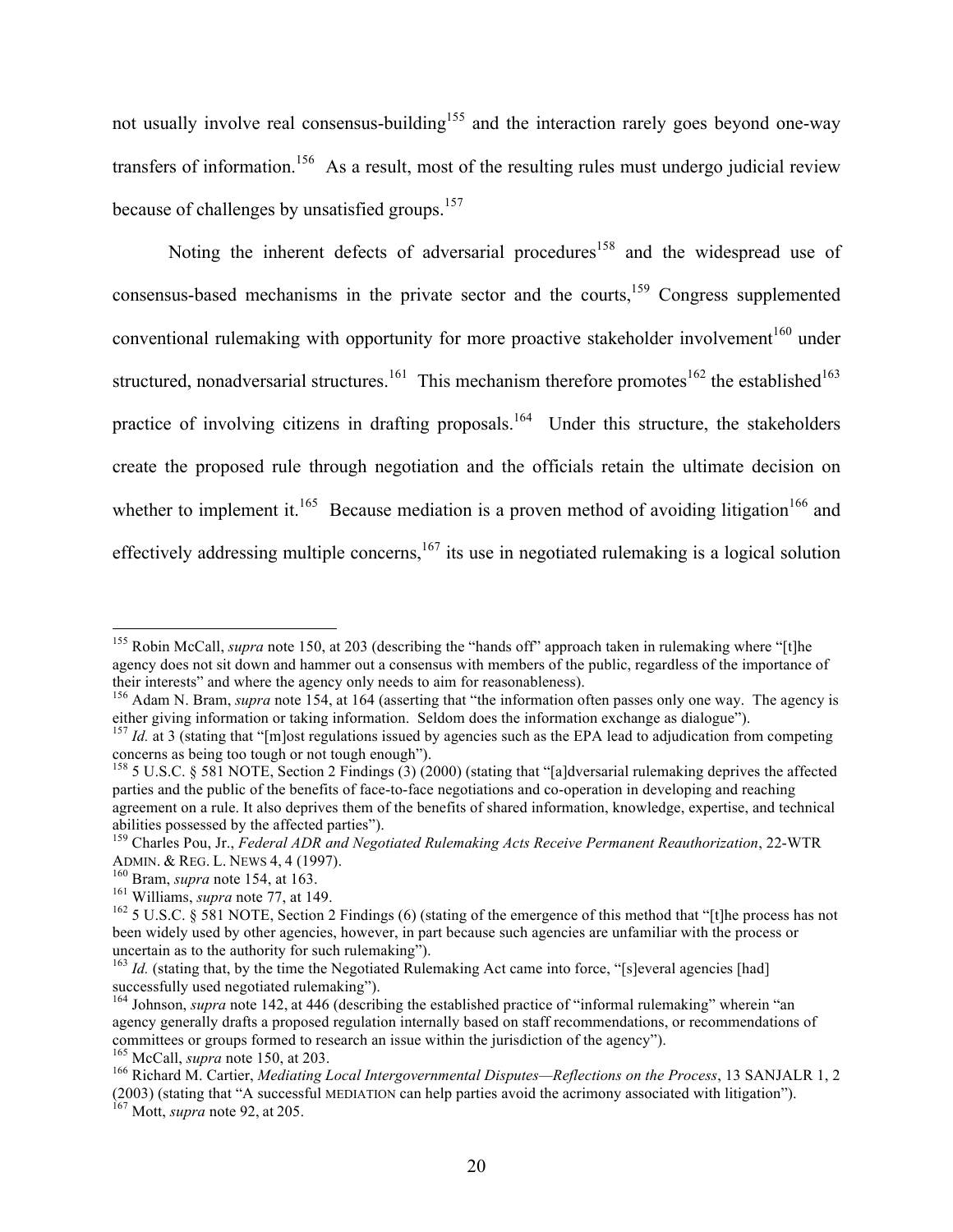not usually involve real consensus-building<sup>155</sup> and the interaction rarely goes beyond one-way transfers of information.<sup>156</sup> As a result, most of the resulting rules must undergo judicial review because of challenges by unsatisfied groups.<sup>157</sup>

Noting the inherent defects of adversarial procedures<sup>158</sup> and the widespread use of consensus-based mechanisms in the private sector and the courts,<sup>159</sup> Congress supplemented conventional rulemaking with opportunity for more proactive stakeholder involvement<sup>160</sup> under structured, nonadversarial structures.<sup>161</sup> This mechanism therefore promotes<sup>162</sup> the established<sup>163</sup> practice of involving citizens in drafting proposals.<sup>164</sup> Under this structure, the stakeholders create the proposed rule through negotiation and the officials retain the ultimate decision on whether to implement it.<sup>165</sup> Because mediation is a proven method of avoiding litigation<sup>166</sup> and effectively addressing multiple concerns,<sup>167</sup> its use in negotiated rulemaking is a logical solution

<sup>&</sup>lt;sup>155</sup> Robin McCall, *supra* note 150, at 203 (describing the "hands off" approach taken in rulemaking where "[t]he agency does not sit down and hammer out a consensus with members of the public, regardless of the importance of their interests" and where the agency only needs to aim for reasonableness).

the agency of the agency only needs to a server the agency only needs to aim for reasonable needs to all the information often passes only one way. The agency is either giving information or taking information. Seldom does the information exchange as dialogue").<br><sup>157</sup> Id. at 3 (stating that "[m]ost regulations issued by agencies such as the EPA lead to adjudication from competing

concerns as being too tough or not tough enough").<br><sup>158</sup> 5 U.S.C. § 581 NOTE, Section 2 Findings (3) (2000) (stating that "[a]dversarial rulemaking deprives the affected

parties and the public of the benefits of face-to-face negotiations and co-operation in developing and reaching agreement on a rule. It also deprives them of the benefits of shared information, knowledge, expertise, and technical

abilities possessed by the affected parties").<br><sup>159</sup> Charles Pou, Jr., *Federal ADR and Negotiated Rulemaking Acts Receive Permanent Reauthorization*, 22-WTR<br>ADMIN. & REG. L. NEWS 4, 4 (1997).

<sup>&</sup>lt;sup>160</sup> Bram, *supra* note 154, at 163.<br><sup>161</sup> Williams, *supra* note 77, at 149.<br><sup>162</sup> 5 U.S.C. § 581 NOTE, Section 2 Findings (6) (stating of the emergence of this method that "[t]he process has not been widely used by other agencies, however, in part because such agencies are unfamiliar with the process or uncertain as to the authority for such rulemaking").

<sup>&</sup>lt;sup>163</sup> *Id.* (stating that, by the time the Negotiated Rulemaking Act came into force, "[s]everal agencies [had] successfully used negotiated rulemaking").

<sup>164</sup> Johnson, *supra* note 142, at 446 (describing the established practice of "informal rulemaking" wherein "an agency generally drafts a proposed regulation internally based on staff recommendations, or recommendations of committees or groups formed to research an issue within the jurisdiction of the agency").

<sup>&</sup>lt;sup>165</sup> McCall, *supra* note 150, at 203.<br><sup>166</sup> Richard M. Cartier, *Mediating Local Intergovernmental Disputes—Reflections on the Process*, 13 SANJALR 1, 2 (2003) (stating that "A successful MEDIATION can help parties avoid the acrimony associated with litigation"). <sup>167</sup> Mott, *supra* note 92, at 205.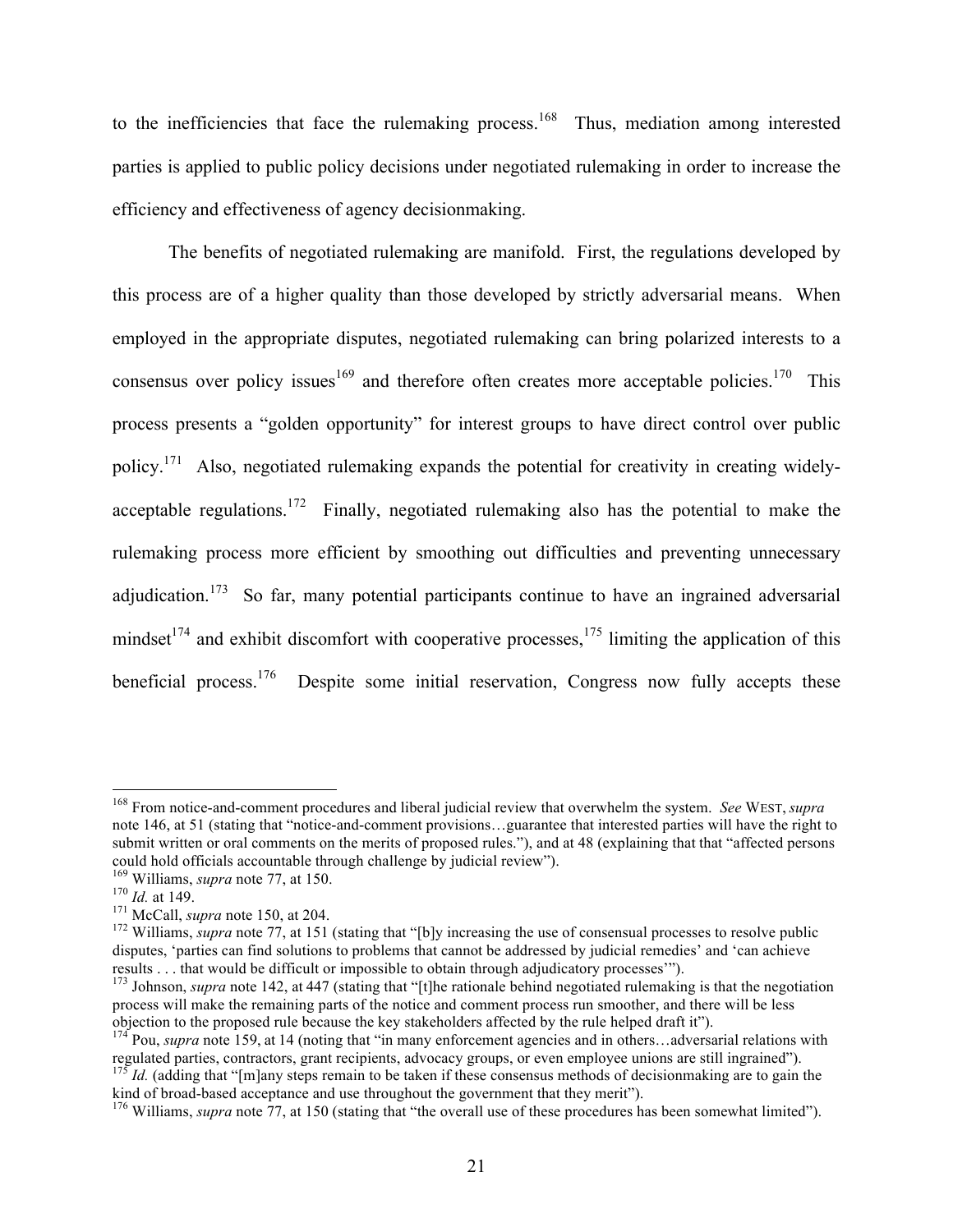to the inefficiencies that face the rulemaking process.<sup>168</sup> Thus, mediation among interested parties is applied to public policy decisions under negotiated rulemaking in order to increase the efficiency and effectiveness of agency decisionmaking.

The benefits of negotiated rulemaking are manifold. First, the regulations developed by this process are of a higher quality than those developed by strictly adversarial means. When employed in the appropriate disputes, negotiated rulemaking can bring polarized interests to a consensus over policy issues  $169$  and therefore often creates more acceptable policies. This process presents a "golden opportunity" for interest groups to have direct control over public policy.<sup>171</sup> Also, negotiated rulemaking expands the potential for creativity in creating widelyacceptable regulations.<sup>172</sup> Finally, negotiated rulemaking also has the potential to make the rulemaking process more efficient by smoothing out difficulties and preventing unnecessary adjudication.<sup>173</sup> So far, many potential participants continue to have an ingrained adversarial mindset<sup>174</sup> and exhibit discomfort with cooperative processes,<sup>175</sup> limiting the application of this beneficial process.<sup>176</sup> Despite some initial reservation, Congress now fully accepts these

 <sup>168</sup> From notice-and-comment procedures and liberal judicial review that overwhelm the system. *See* WEST, *supra* note 146, at 51 (stating that "notice-and-comment provisions…guarantee that interested parties will have the right to submit written or oral comments on the merits of proposed rules."), and at 48 (explaining that that "affected persons could hold officials accountable through challenge by judicial review"). <sup>169</sup> Williams, *supra* note 77, at 150.

<sup>&</sup>lt;sup>170</sup> *Id.* at 149.<br><sup>171</sup> McCall, *supra* note 150, at 204.<br><sup>171</sup> Williams, *supra* note 77, at 151 (stating that "[b]y increasing the use of consensual processes to resolve public disputes, 'parties can find solutions to problems that cannot be addressed by judicial remedies' and 'can achieve results . . . that would be difficult or impossible to obtain through adjudicatory processes'").

<sup>&</sup>lt;sup>173</sup> Johnson, *supra* note 142, at 447 (stating that "[t]he rationale behind negotiated rulemaking is that the negotiation process will make the remaining parts of the notice and comment process run smoother, and there will be less objection to the proposed rule because the key stakeholders affected by the rule helped draft it").

<sup>&</sup>lt;sup>174</sup> Pou, *supra* note 159, at 14 (noting that "in many enforcement agencies and in others...adversarial relations with regulated parties, contractors, grant recipients, advocacy groups, or even employee unions are still ingrained").<br><sup>175</sup> Id. (adding that "[m]any steps remain to be taken if these consensus methods of decisionmaking are to

kind of broad-based acceptance and use throughout the government that they merit").<br><sup>176</sup> Williams, *supra* note 77, at 150 (stating that "the overall use of these procedures has been somewhat limited").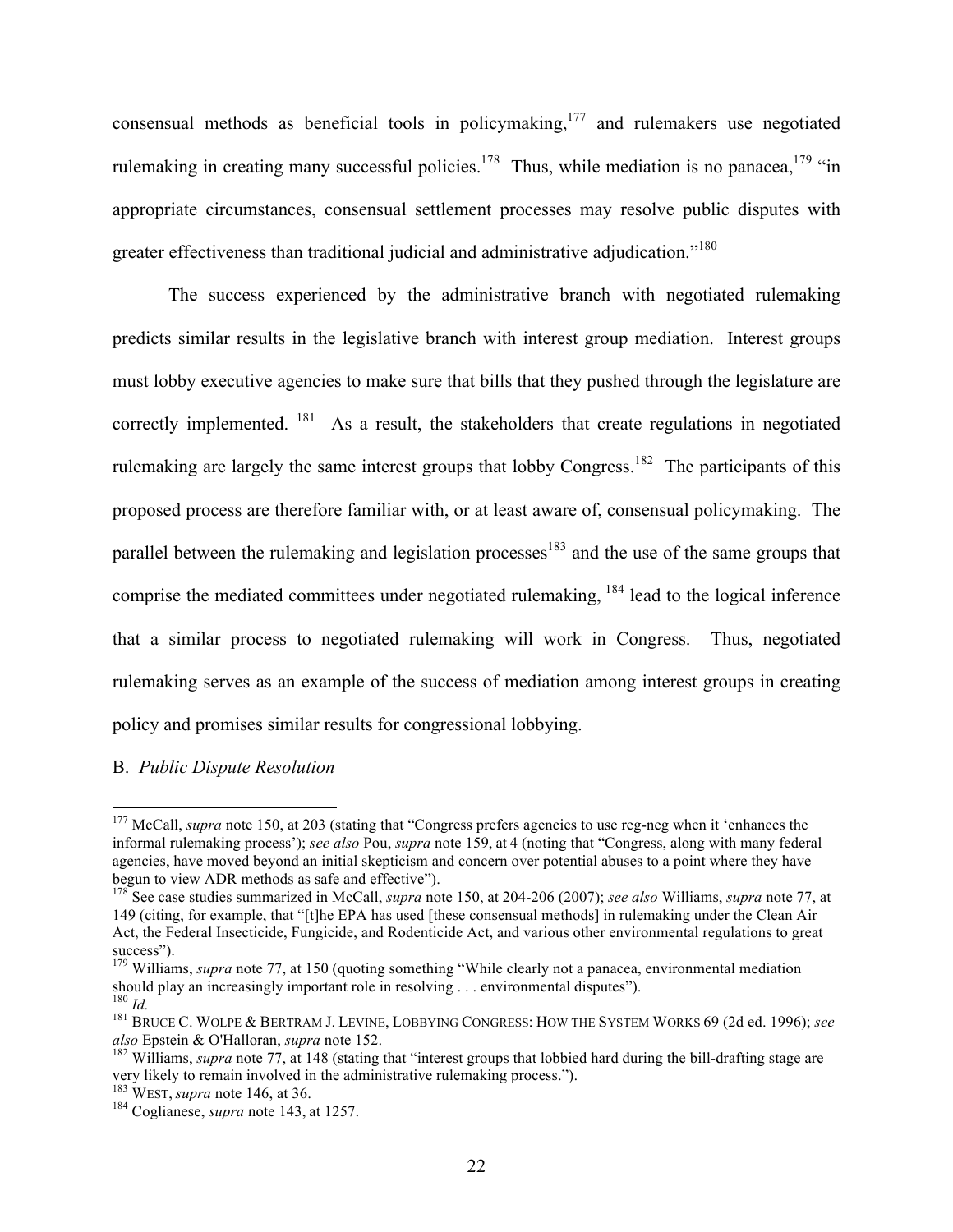consensual methods as beneficial tools in policymaking,<sup>177</sup> and rulemakers use negotiated rulemaking in creating many successful policies.<sup>178</sup> Thus, while mediation is no panacea, <sup>179</sup> "in appropriate circumstances, consensual settlement processes may resolve public disputes with greater effectiveness than traditional judicial and administrative adjudication."<sup>180</sup>

The success experienced by the administrative branch with negotiated rulemaking predicts similar results in the legislative branch with interest group mediation. Interest groups must lobby executive agencies to make sure that bills that they pushed through the legislature are correctly implemented. <sup>181</sup> As a result, the stakeholders that create regulations in negotiated rulemaking are largely the same interest groups that lobby Congress.<sup>182</sup> The participants of this proposed process are therefore familiar with, or at least aware of, consensual policymaking. The parallel between the rulemaking and legislation processes<sup>183</sup> and the use of the same groups that comprise the mediated committees under negotiated rulemaking, <sup>184</sup> lead to the logical inference that a similar process to negotiated rulemaking will work in Congress. Thus, negotiated rulemaking serves as an example of the success of mediation among interest groups in creating policy and promises similar results for congressional lobbying.

## B. *Public Dispute Resolution*

<sup>&</sup>lt;sup>177</sup> McCall, *supra* note 150, at 203 (stating that "Congress prefers agencies to use reg-neg when it 'enhances the informal rulemaking process'); *see also* Pou, *supra* note 159, at 4 (noting that "Congress, along with many federal agencies, have moved beyond an initial skepticism and concern over potential abuses to a point where they have begun to view ADR methods as safe and effective"). <sup>178</sup> See case studies summarized in McCall, *supra* note 150, at 204-206 (2007); *see also* Williams, *supra* note 77, at

<sup>149 (</sup>citing, for example, that "[t]he EPA has used [these consensual methods] in rulemaking under the Clean Air Act, the Federal Insecticide, Fungicide, and Rodenticide Act, and various other environmental regulations to great

<sup>&</sup>lt;sup>179</sup> Williams, *supra* note 77, at 150 (quoting something "While clearly not a panacea, environmental mediation should play an increasingly important role in resolving . . . environmental disputes").

<sup>&</sup>lt;sup>180</sup> Id. <sup>181</sup> BRUCE C. WOLPE & BERTRAM J. LEVINE, LOBBYING CONGRESS: HOW THE SYSTEM WORKS 69 (2d ed. 1996); *see also* Epstein & O'Halloran, *supra* note 152.<br><sup>182</sup> Williams, *supra* note 77, at 148 (stating that "interest groups that lobbied hard during the bill-drafting stage are

very likely to remain involved in the administrative rulemaking process."). <sup>183</sup> WEST, *supra* note 146, at 36. <sup>184</sup> Coglianese, *supra* note 143, at 1257.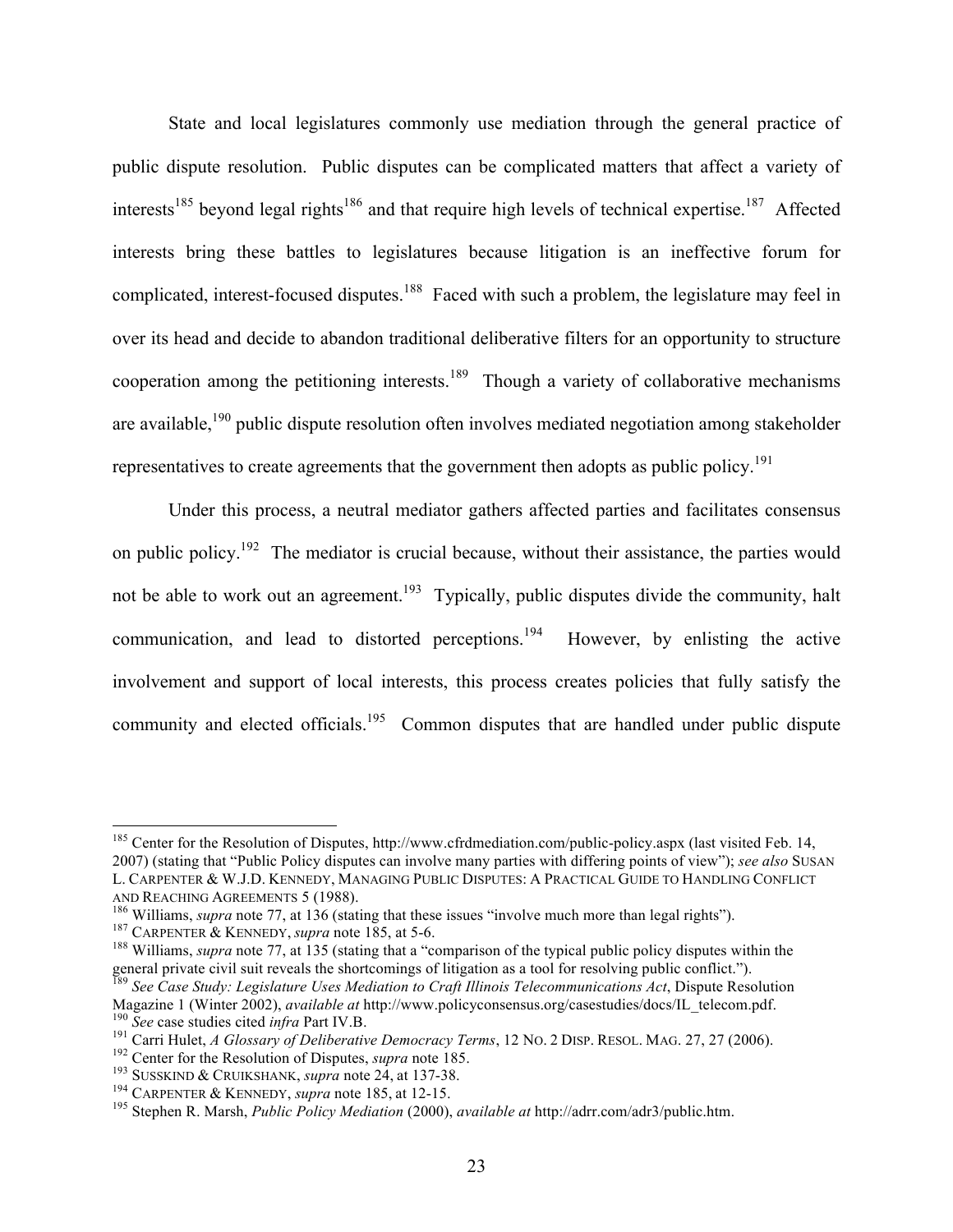State and local legislatures commonly use mediation through the general practice of public dispute resolution. Public disputes can be complicated matters that affect a variety of interests<sup>185</sup> beyond legal rights<sup>186</sup> and that require high levels of technical expertise.<sup>187</sup> Affected interests bring these battles to legislatures because litigation is an ineffective forum for complicated, interest-focused disputes.<sup>188</sup> Faced with such a problem, the legislature may feel in over its head and decide to abandon traditional deliberative filters for an opportunity to structure cooperation among the petitioning interests.<sup>189</sup> Though a variety of collaborative mechanisms are available,<sup>190</sup> public dispute resolution often involves mediated negotiation among stakeholder representatives to create agreements that the government then adopts as public policy.<sup>191</sup>

Under this process, a neutral mediator gathers affected parties and facilitates consensus on public policy.<sup>192</sup> The mediator is crucial because, without their assistance, the parties would not be able to work out an agreement.<sup>193</sup> Typically, public disputes divide the community, halt communication, and lead to distorted perceptions.<sup>194</sup> However, by enlisting the active involvement and support of local interests, this process creates policies that fully satisfy the community and elected officials.<sup>195</sup> Common disputes that are handled under public dispute

<sup>&</sup>lt;sup>185</sup> Center for the Resolution of Disputes, http://www.cfrdmediation.com/public-policy.aspx (last visited Feb. 14, 2007) (stating that "Public Policy disputes can involve many parties with differing points of view"); *see also* SUSAN L. CARPENTER & W.J.D. KENNEDY, MANAGING PUBLIC DISPUTES: A PRACTICAL GUIDE TO HANDLING CONFLICT AND REACHING AGREEMENTS 5 (1988).<br><sup>186</sup> Williams, *supra* note 77, at 136 (stating that these issues "involve much more than legal rights").<br><sup>187</sup> CARPENTER & KENNEDY, *supra* note 185, at 5-6.<br><sup>188</sup> Williams, *supra* not

general private civil suit reveals the shortcomings of litigation as a tool for resolving public conflict."). <sup>189</sup> *See Case Study: Legislature Uses Mediation to Craft Illinois Telecommunications Act*, Dispute Resolution

Magazine 1 (Winter 2002), *available at http://www.policyconsensus.org/casestudies/docs/IL\_telecom.pdf.*<br><sup>190</sup> *See* case studies cited *infra* Part IV.B.<br><sup>191</sup> Carri Hulet, *A Glossary of Deliberative Democracy Terms*, 12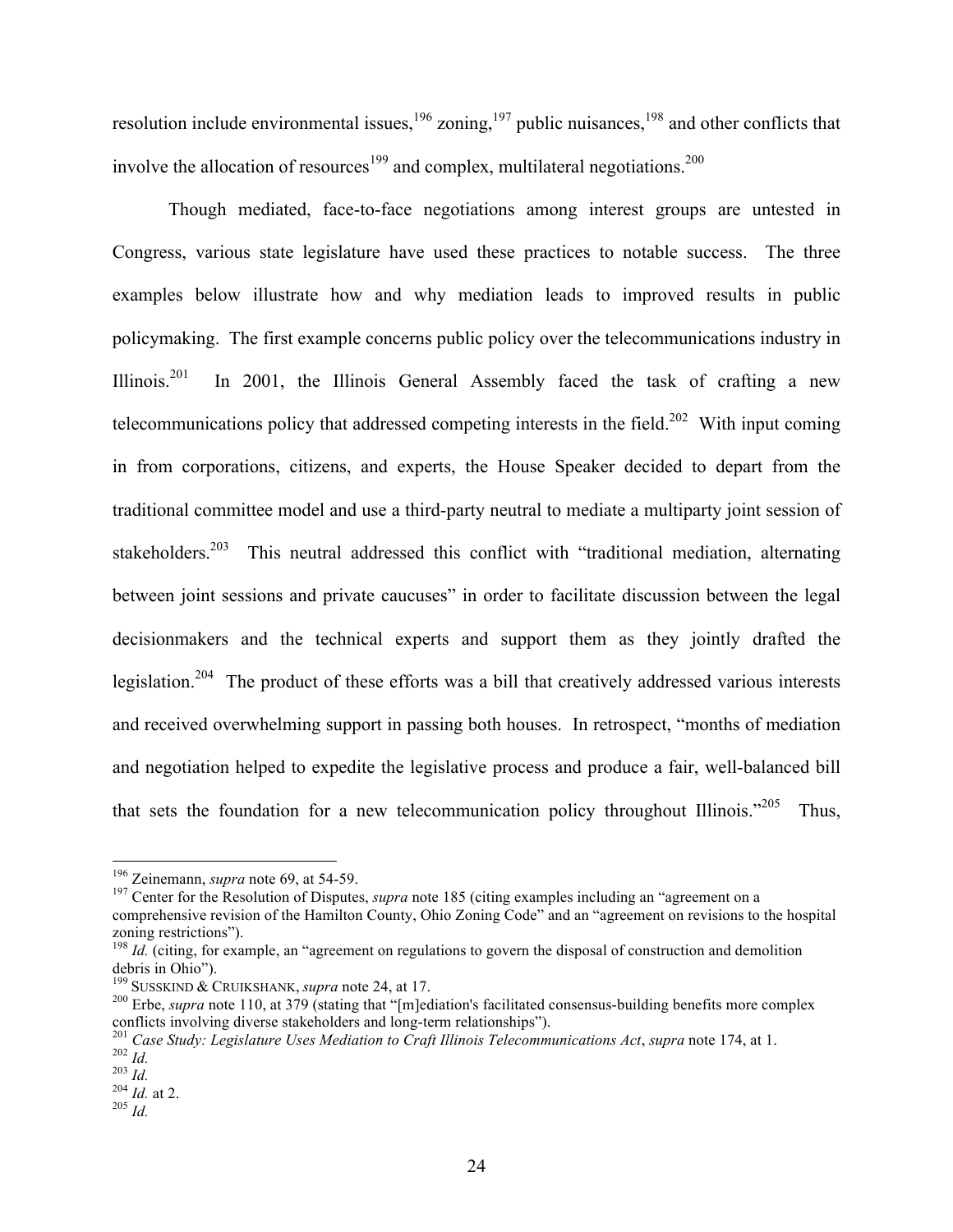resolution include environmental issues,  $196$  zoning,  $197$  public nuisances,  $198$  and other conflicts that involve the allocation of resources<sup>199</sup> and complex, multilateral negotiations.<sup>200</sup>

Though mediated, face-to-face negotiations among interest groups are untested in Congress, various state legislature have used these practices to notable success. The three examples below illustrate how and why mediation leads to improved results in public policymaking. The first example concerns public policy over the telecommunications industry in Illinois.<sup>201</sup> In 2001, the Illinois General Assembly faced the task of crafting a new telecommunications policy that addressed competing interests in the field.<sup>202</sup> With input coming in from corporations, citizens, and experts, the House Speaker decided to depart from the traditional committee model and use a third-party neutral to mediate a multiparty joint session of stakeholders.<sup>203</sup> This neutral addressed this conflict with "traditional mediation, alternating between joint sessions and private caucuses" in order to facilitate discussion between the legal decisionmakers and the technical experts and support them as they jointly drafted the legislation.<sup>204</sup> The product of these efforts was a bill that creatively addressed various interests and received overwhelming support in passing both houses. In retrospect, "months of mediation and negotiation helped to expedite the legislative process and produce a fair, well-balanced bill that sets the foundation for a new telecommunication policy throughout Illinois.<sup> $205$ </sup> Thus,

<sup>&</sup>lt;sup>196</sup> Zeinemann, *supra* note 69, at 54-59.<br><sup>197</sup> Center for the Resolution of Disputes, *supra* note 185 (citing examples including an "agreement on a comprehensive revision of the Hamilton County, Ohio Zoning Code" and an "agreement on revisions to the hospital

zoning restrictions").<br><sup>198</sup> *Id.* (citing, for example, an "agreement on regulations to govern the disposal of construction and demolition debris in Ohio").

debris in Ohio Susskind & Cruikshank, *supra* note 24, at 17.<br><sup>200</sup> Erbe, *supra* note 110, at 379 (stating that "[m]ediation's facilitated consensus-building benefits more complex conflicts involving diverse stakeholders and long-term relationships").<br>
<sup>201</sup> Case Study: Legislature Uses Mediation to Craft Illinois Telecommunications Act, supra note 174, at 1.<br>
<sup>202</sup> Id.<br>
<sup>203</sup> Id.<br>
<sup>204</sup> Id. at 2.<br>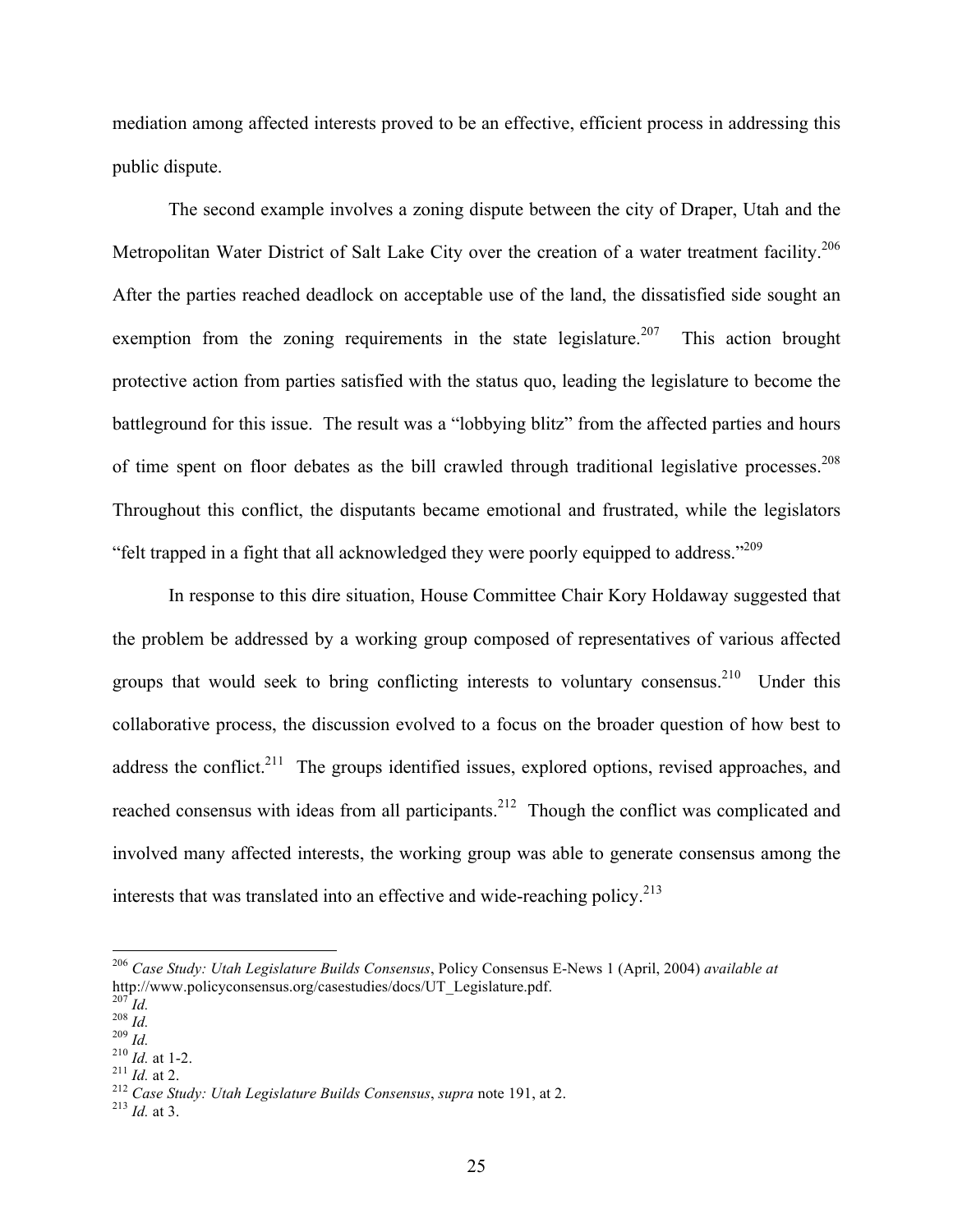mediation among affected interests proved to be an effective, efficient process in addressing this public dispute.

The second example involves a zoning dispute between the city of Draper, Utah and the Metropolitan Water District of Salt Lake City over the creation of a water treatment facility.<sup>206</sup> After the parties reached deadlock on acceptable use of the land, the dissatisfied side sought an exemption from the zoning requirements in the state legislature.<sup>207</sup> This action brought protective action from parties satisfied with the status quo, leading the legislature to become the battleground for this issue. The result was a "lobbying blitz" from the affected parties and hours of time spent on floor debates as the bill crawled through traditional legislative processes.<sup>208</sup> Throughout this conflict, the disputants became emotional and frustrated, while the legislators "felt trapped in a fight that all acknowledged they were poorly equipped to address."<sup>209</sup>

In response to this dire situation, House Committee Chair Kory Holdaway suggested that the problem be addressed by a working group composed of representatives of various affected groups that would seek to bring conflicting interests to voluntary consensus.<sup>210</sup> Under this collaborative process, the discussion evolved to a focus on the broader question of how best to address the conflict.<sup>211</sup> The groups identified issues, explored options, revised approaches, and reached consensus with ideas from all participants.<sup>212</sup> Though the conflict was complicated and involved many affected interests, the working group was able to generate consensus among the interests that was translated into an effective and wide-reaching policy.<sup>213</sup>

 <sup>206</sup> *Case Study: Utah Legislature Builds Consensus*, Policy Consensus E-News 1 (April, 2004) *available at*

<sup>&</sup>lt;sup>207</sup>*Id.*<br>
<sup>208</sup>*Id.*<br>
<sup>210</sup>*Id.* at 1-2.<br>
<sup>211</sup>*Id.* at 2.<br>
<sup>211</sup>*Id.* at 2.<br>
<sup>212</sup> *Case Study: Utah Legislature Builds Consensus, supra* note 191, at 2.<br>
<sup>213</sup>*Id* at 3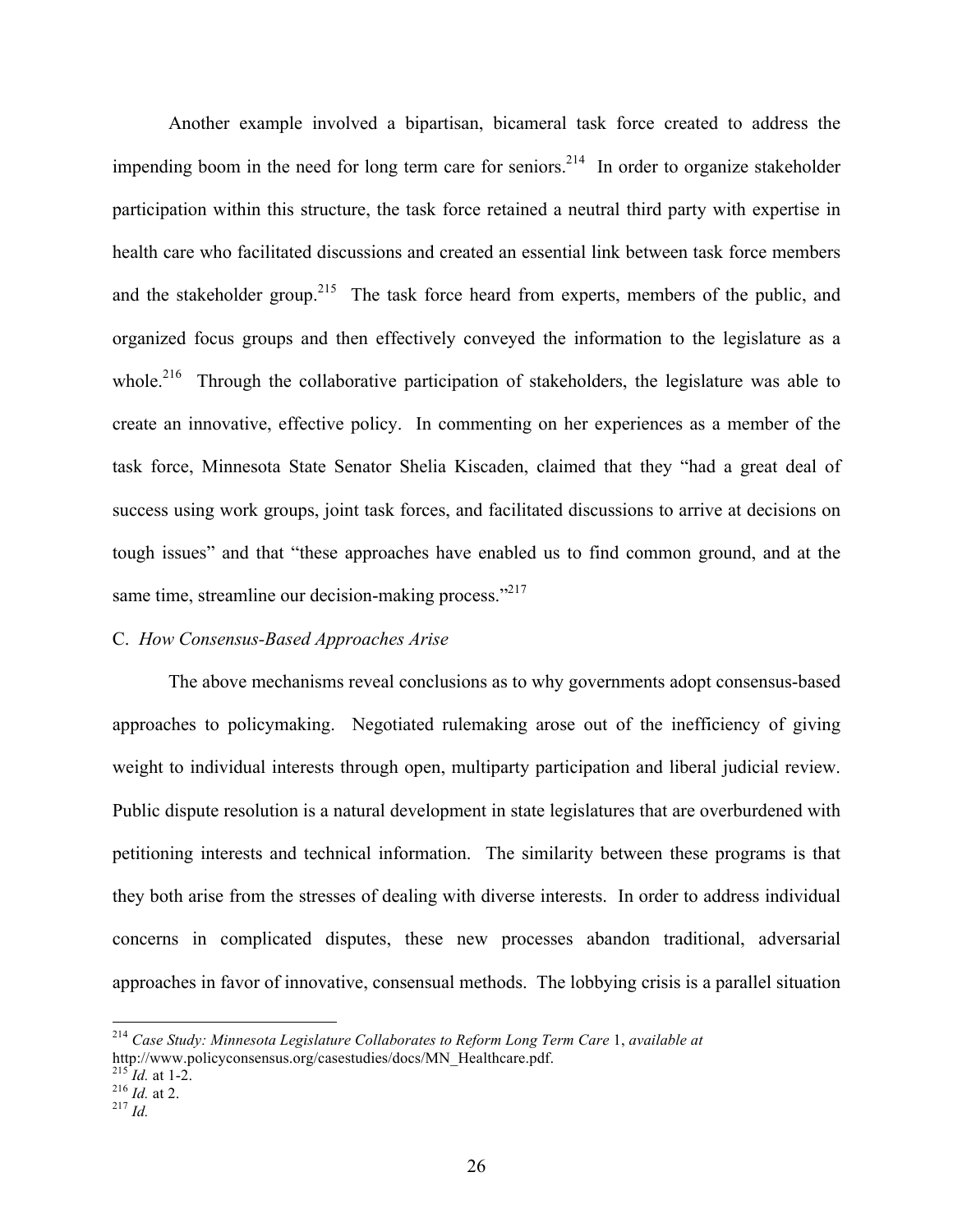Another example involved a bipartisan, bicameral task force created to address the impending boom in the need for long term care for seniors.<sup>214</sup> In order to organize stakeholder participation within this structure, the task force retained a neutral third party with expertise in health care who facilitated discussions and created an essential link between task force members and the stakeholder group.<sup>215</sup> The task force heard from experts, members of the public, and organized focus groups and then effectively conveyed the information to the legislature as a whole.<sup>216</sup> Through the collaborative participation of stakeholders, the legislature was able to create an innovative, effective policy. In commenting on her experiences as a member of the task force, Minnesota State Senator Shelia Kiscaden, claimed that they "had a great deal of success using work groups, joint task forces, and facilitated discussions to arrive at decisions on tough issues" and that "these approaches have enabled us to find common ground, and at the same time, streamline our decision-making process."<sup>217</sup>

#### C. *How Consensus-Based Approaches Arise*

The above mechanisms reveal conclusions as to why governments adopt consensus-based approaches to policymaking. Negotiated rulemaking arose out of the inefficiency of giving weight to individual interests through open, multiparty participation and liberal judicial review. Public dispute resolution is a natural development in state legislatures that are overburdened with petitioning interests and technical information. The similarity between these programs is that they both arise from the stresses of dealing with diverse interests. In order to address individual concerns in complicated disputes, these new processes abandon traditional, adversarial approaches in favor of innovative, consensual methods. The lobbying crisis is a parallel situation

 <sup>214</sup> *Case Study: Minnesota Legislature Collaborates to Reform Long Term Care* 1, *available at* http://www.policyconsensus.org/casestudies/docs/MN\_Healthcare.pdf. <sup>215</sup> *Id.* at 1-2. <sup>216</sup> *Id.* at 2. <sup>216</sup> *Id.* at 2.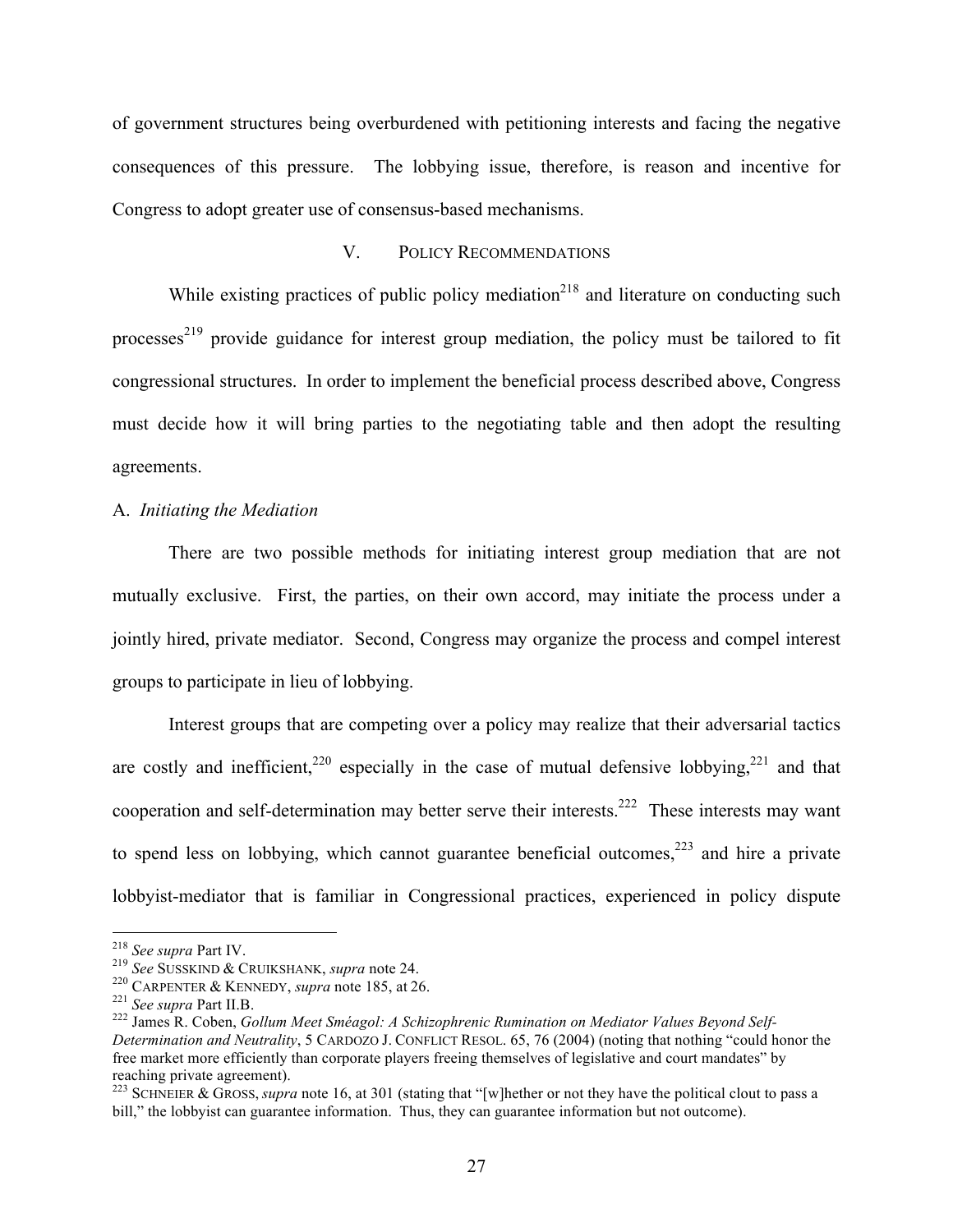of government structures being overburdened with petitioning interests and facing the negative consequences of this pressure. The lobbying issue, therefore, is reason and incentive for Congress to adopt greater use of consensus-based mechanisms.

## V. POLICY RECOMMENDATIONS

While existing practices of public policy mediation<sup>218</sup> and literature on conducting such processes<sup>219</sup> provide guidance for interest group mediation, the policy must be tailored to fit congressional structures. In order to implement the beneficial process described above, Congress must decide how it will bring parties to the negotiating table and then adopt the resulting agreements.

## A. *Initiating the Mediation*

There are two possible methods for initiating interest group mediation that are not mutually exclusive. First, the parties, on their own accord, may initiate the process under a jointly hired, private mediator. Second, Congress may organize the process and compel interest groups to participate in lieu of lobbying.

Interest groups that are competing over a policy may realize that their adversarial tactics are costly and inefficient,  $220$  especially in the case of mutual defensive lobbying,  $221$  and that cooperation and self-determination may better serve their interests.<sup>222</sup> These interests may want to spend less on lobbying, which cannot guarantee beneficial outcomes,  $223$  and hire a private lobbyist-mediator that is familiar in Congressional practices, experienced in policy dispute

<sup>&</sup>lt;sup>218</sup> See supra Part IV.<br><sup>219</sup> See SUSSKIND & CRUIKSHANK, *supra* note 24.<br><sup>220</sup> CARPENTER & KENNEDY, *supra* note 185, at 26.<br><sup>222</sup> James R. Coben, *Gollum Meet Sméagol: A Schizophrenic Rumination on Mediator Values Beyon Determination and Neutrality*, 5 CARDOZO J. CONFLICT RESOL. 65, 76 (2004) (noting that nothing "could honor the free market more efficiently than corporate players freeing themselves of legislative and court mandates" by reaching private agreement).

<sup>&</sup>lt;sup>223</sup> SCHNEIER & GROSS, *supra* note 16, at 301 (stating that "[w]hether or not they have the political clout to pass a bill," the lobbyist can guarantee information. Thus, they can guarantee information but not outcome).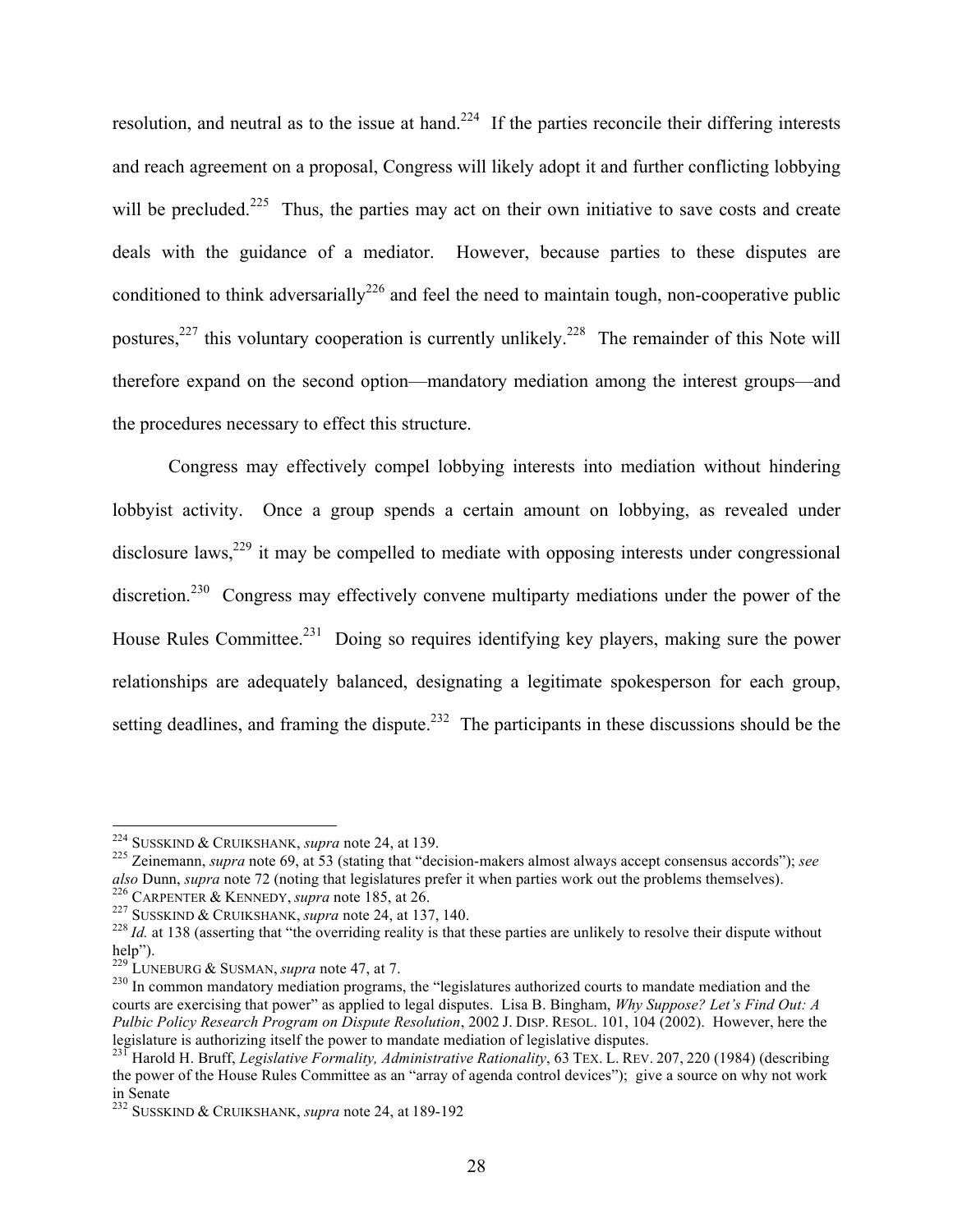resolution, and neutral as to the issue at hand.<sup>224</sup> If the parties reconcile their differing interests and reach agreement on a proposal, Congress will likely adopt it and further conflicting lobbying will be precluded.<sup>225</sup> Thus, the parties may act on their own initiative to save costs and create deals with the guidance of a mediator. However, because parties to these disputes are conditioned to think adversarially<sup>226</sup> and feel the need to maintain tough, non-cooperative public postures,<sup>227</sup> this voluntary cooperation is currently unlikely.<sup>228</sup> The remainder of this Note will therefore expand on the second option—mandatory mediation among the interest groups—and the procedures necessary to effect this structure.

Congress may effectively compel lobbying interests into mediation without hindering lobbyist activity. Once a group spends a certain amount on lobbying, as revealed under disclosure laws,  $229$  it may be compelled to mediate with opposing interests under congressional discretion.<sup>230</sup> Congress may effectively convene multiparty mediations under the power of the House Rules Committee.<sup>231</sup> Doing so requires identifying key players, making sure the power relationships are adequately balanced, designating a legitimate spokesperson for each group, setting deadlines, and framing the dispute.<sup>232</sup> The participants in these discussions should be the

<sup>224</sup> SUSSKIND & CRUIKSHANK, *supra* note 24, at 139. <sup>225</sup> Zeinemann, *supra* note 69, at 53 (stating that "decision-makers almost always accept consensus accords"); *see* 

also Dunn, supra note 72 (noting that legislatures prefer it when parties work out the problems themselves).<br>
<sup>226</sup> CARPENTER & KENNEDY, *supra* note 185, at 26.<br>
<sup>226</sup> CARPENTER & KENNEDY, *supra* note 185, at 26.<br>
<sup>227</sup>

<sup>&</sup>lt;sup>229</sup> LUNEBURG & SUSMAN, *supra* note 47, at 7.<br><sup>230</sup> In common mandatory mediation programs, the "legislatures authorized courts to mandate mediation and the courts are exercising that power" as applied to legal disputes. Lisa B. Bingham, *Why Suppose? Let's Find Out: A Pulbic Policy Research Program on Dispute Resolution*, 2002 J. DISP. RESOL. 101, 104 (2002). However, here the legislature is authorizing itself the power to mandate mediation of legislative disputes.

<sup>231</sup> Harold H. Bruff, *Legislative Formality, Administrative Rationality*, 63 TEX. L. REV. 207, 220 (1984) (describing the power of the House Rules Committee as an "array of agenda control devices"); give a source on why not work in Senate

<sup>232</sup> SUSSKIND & CRUIKSHANK, *supra* note 24, at 189-192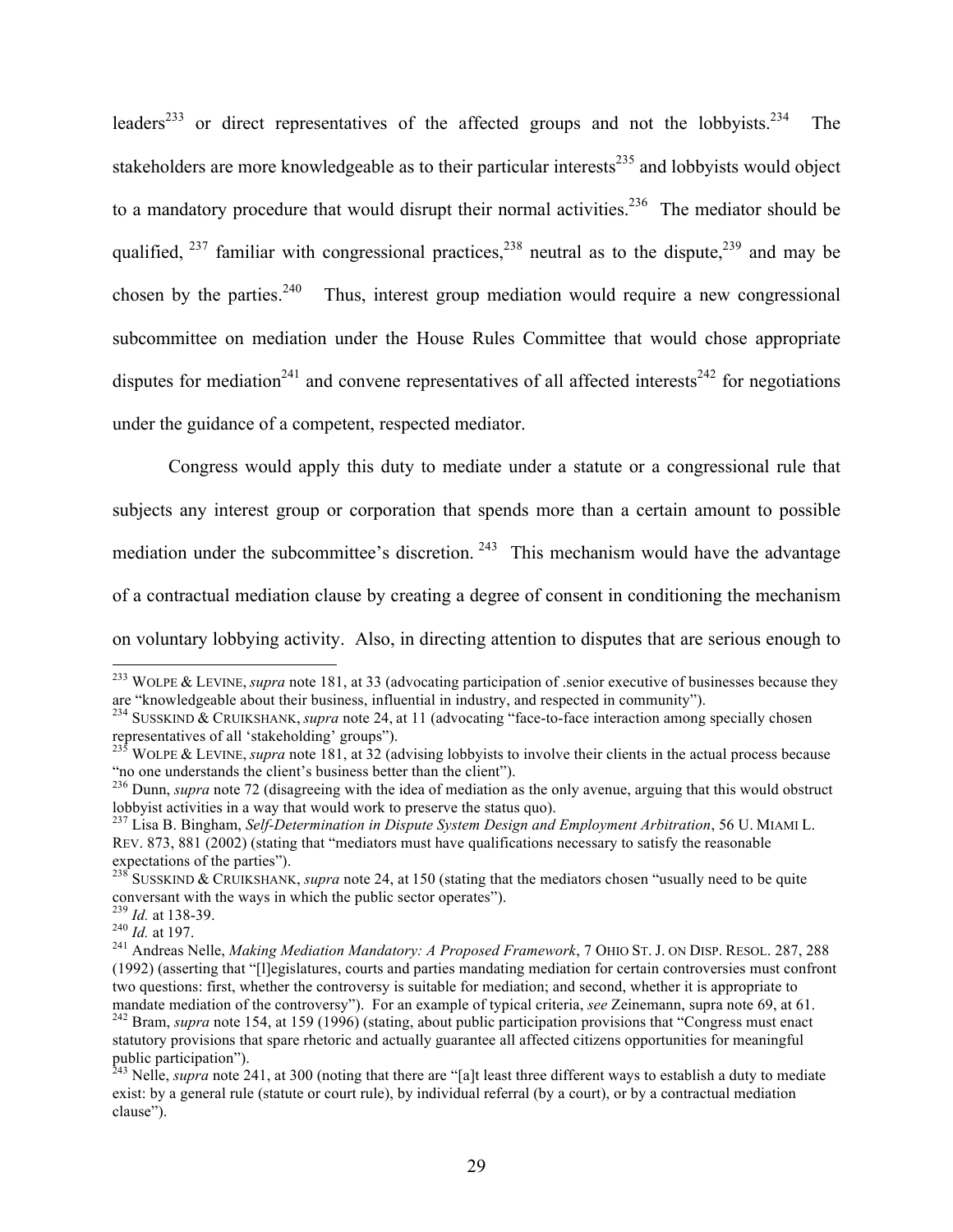leaders<sup>233</sup> or direct representatives of the affected groups and not the lobbyists.<sup>234</sup> The stakeholders are more knowledgeable as to their particular interests $^{235}$  and lobbyists would object to a mandatory procedure that would disrupt their normal activities.<sup>236</sup> The mediator should be qualified,  $237$  familiar with congressional practices,  $238$  neutral as to the dispute,  $239$  and may be chosen by the parties.<sup>240</sup> Thus, interest group mediation would require a new congressional subcommittee on mediation under the House Rules Committee that would chose appropriate disputes for mediation<sup>241</sup> and convene representatives of all affected interests<sup>242</sup> for negotiations under the guidance of a competent, respected mediator.

Congress would apply this duty to mediate under a statute or a congressional rule that subjects any interest group or corporation that spends more than a certain amount to possible mediation under the subcommittee's discretion.  $243$  This mechanism would have the advantage of a contractual mediation clause by creating a degree of consent in conditioning the mechanism on voluntary lobbying activity. Also, in directing attention to disputes that are serious enough to

<sup>&</sup>lt;sup>233</sup> WOLPE & LEVINE, *supra* note 181, at 33 (advocating participation of senior executive of businesses because they are "knowledgeable about their business, influential in industry, and respected in community").

<sup>&</sup>lt;sup>234</sup> SUSSKIND & CRUIKSHANK, *supra* note 24, at 11 (advocating "face-to-face interaction among specially chosen representatives of all 'stakeholding' groups").

<sup>&</sup>lt;sup>235</sup> WOLPE & LEVINE, *supra* note 181, at 32 (advising lobbyists to involve their clients in the actual process because "no one understands the client's business better than the client").

<sup>&</sup>lt;sup>236</sup> Dunn, *supra* note 72 (disagreeing with the idea of mediation as the only avenue, arguing that this would obstruct lobbyist activities in a way that would work to preserve the status quo).

<sup>237</sup> Lisa B. Bingham, *Self-Determination in Dispute System Design and Employment Arbitration*, 56 U. MIAMI L. REV. 873, 881 (2002) (stating that "mediators must have qualifications necessary to satisfy the reasonable

expectations of the parties").<br><sup>238</sup> SUSSKIND & CRUIKSHANK, *supra* note 24, at 150 (stating that the mediators chosen "usually need to be quite<br>conversant with the ways in which the public sector operates").<br><sup>239</sup> Id. at

<sup>&</sup>lt;sup>240</sup> Id. at 197.<br><sup>241</sup> Andreas Nelle, *Making Mediation Mandatory: A Proposed Framework*, 7 OHIO ST. J. ON DISP. RESOL. 287, 288 (1992) (asserting that "[l]egislatures, courts and parties mandating mediation for certain controversies must confront two questions: first, whether the controversy is suitable for mediation; and second, whether it is appropriate to mandate mediation of the controversy"). For an example of typical criteria, see Zeinemann, supra note 69, at 61.<br><sup>242</sup> Bram, *supra* note 154, at 159 (1996) (stating, about public participation provisions that "Congress mu statutory provisions that spare rhetoric and actually guarantee all affected citizens opportunities for meaningful

public participation"). <sup>243</sup> Nelle, *supra* note 241, at 300 (noting that there are "[a]t least three different ways to establish a duty to mediate exist: by a general rule (statute or court rule), by individual referral (by a court), or by a contractual mediation clause").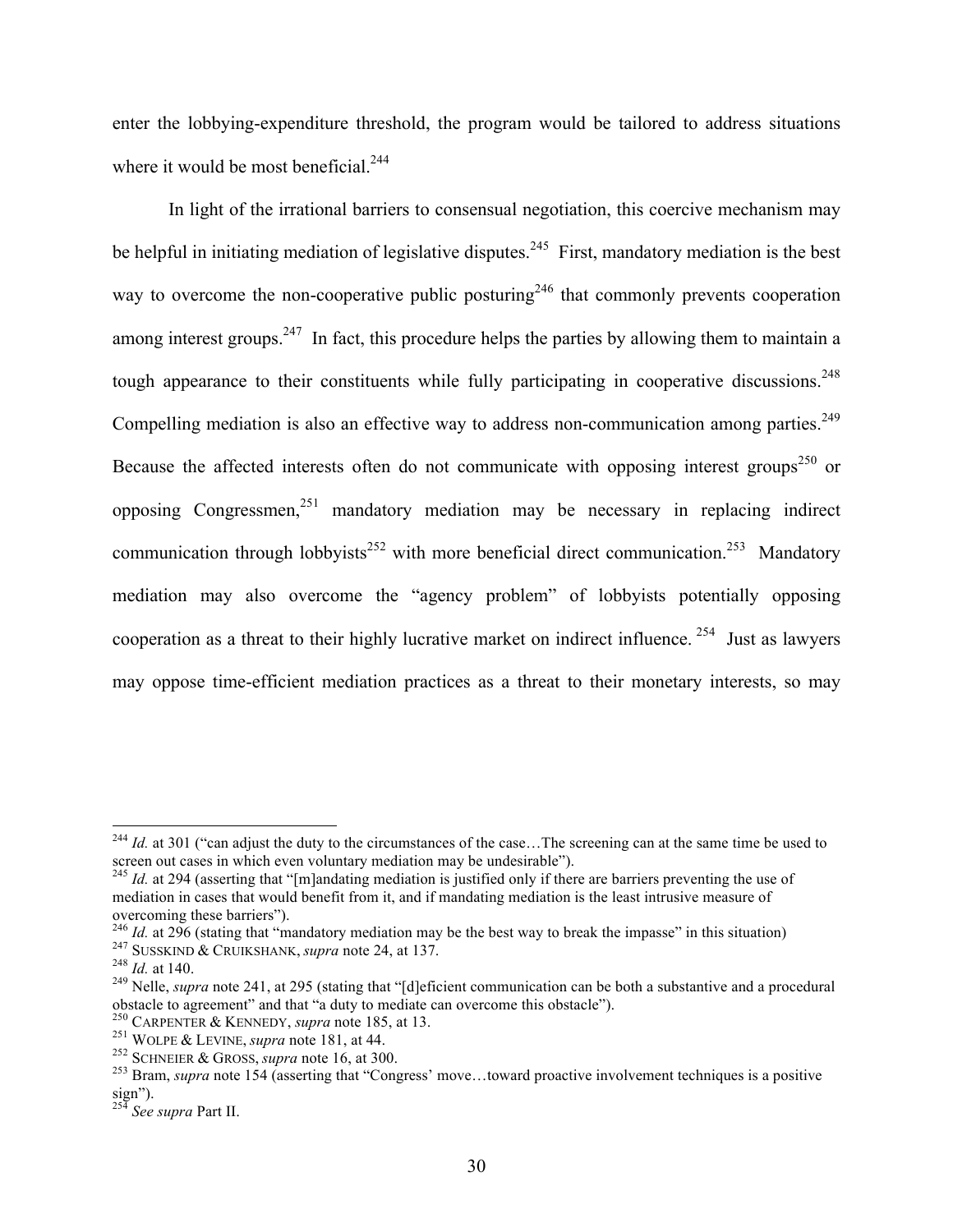enter the lobbying-expenditure threshold, the program would be tailored to address situations where it would be most beneficial.<sup>244</sup>

In light of the irrational barriers to consensual negotiation, this coercive mechanism may be helpful in initiating mediation of legislative disputes.<sup>245</sup> First, mandatory mediation is the best way to overcome the non-cooperative public posturing<sup>246</sup> that commonly prevents cooperation among interest groups.<sup>247</sup> In fact, this procedure helps the parties by allowing them to maintain a tough appearance to their constituents while fully participating in cooperative discussions.<sup>248</sup> Compelling mediation is also an effective way to address non-communication among parties.<sup>249</sup> Because the affected interests often do not communicate with opposing interest groups<sup>250</sup> or opposing Congressmen, <sup>251</sup> mandatory mediation may be necessary in replacing indirect communication through lobbyists<sup>252</sup> with more beneficial direct communication.<sup>253</sup> Mandatory mediation may also overcome the "agency problem" of lobbyists potentially opposing cooperation as a threat to their highly lucrative market on indirect influence. 254 Just as lawyers may oppose time-efficient mediation practices as a threat to their monetary interests, so may

<sup>&</sup>lt;sup>244</sup> *Id.* at 301 ("can adjust the duty to the circumstances of the case...The screening can at the same time be used to screen out cases in which even voluntary mediation may be undesirable").

<sup>&</sup>lt;sup>245</sup> *Id.* at 294 (asserting that "[m]andating mediation is justified only if there are barriers preventing the use of mediation in cases that would benefit from it, and if mandating mediation is the least intrusive measure of

overcoming these barriers").<br> $^{246}$  *Id.* at 296 (stating that "mandatory mediation may be the best way to break the impasse" in this situation)

<sup>&</sup>lt;sup>247</sup> SUSSKIND & CRUIKSHANK, *supra* note 24, at 137.<br><sup>248</sup> Id. at 140.<br><sup>249</sup> Nelle, *supra* note 241, at 295 (stating that "[d]eficient communication can be both a substantive and a procedural obstacle to agreement" and

<sup>&</sup>lt;sup>250</sup> CARPENTER & KENNEDY, *supra* note 185, at 13.<br>
<sup>251</sup> WOLPE & LEVINE, *supra* note 181, at 44.<br>
<sup>252</sup> SCHNEIER & GROSS, *supra* note 16, at 300.<br>
<sup>252</sup> SCHNEIER & GROSS, *supra* note 16, at 300.<br>
<sup>253</sup> Bram, *supra* sign").

<sup>254</sup> *See supra* Part II.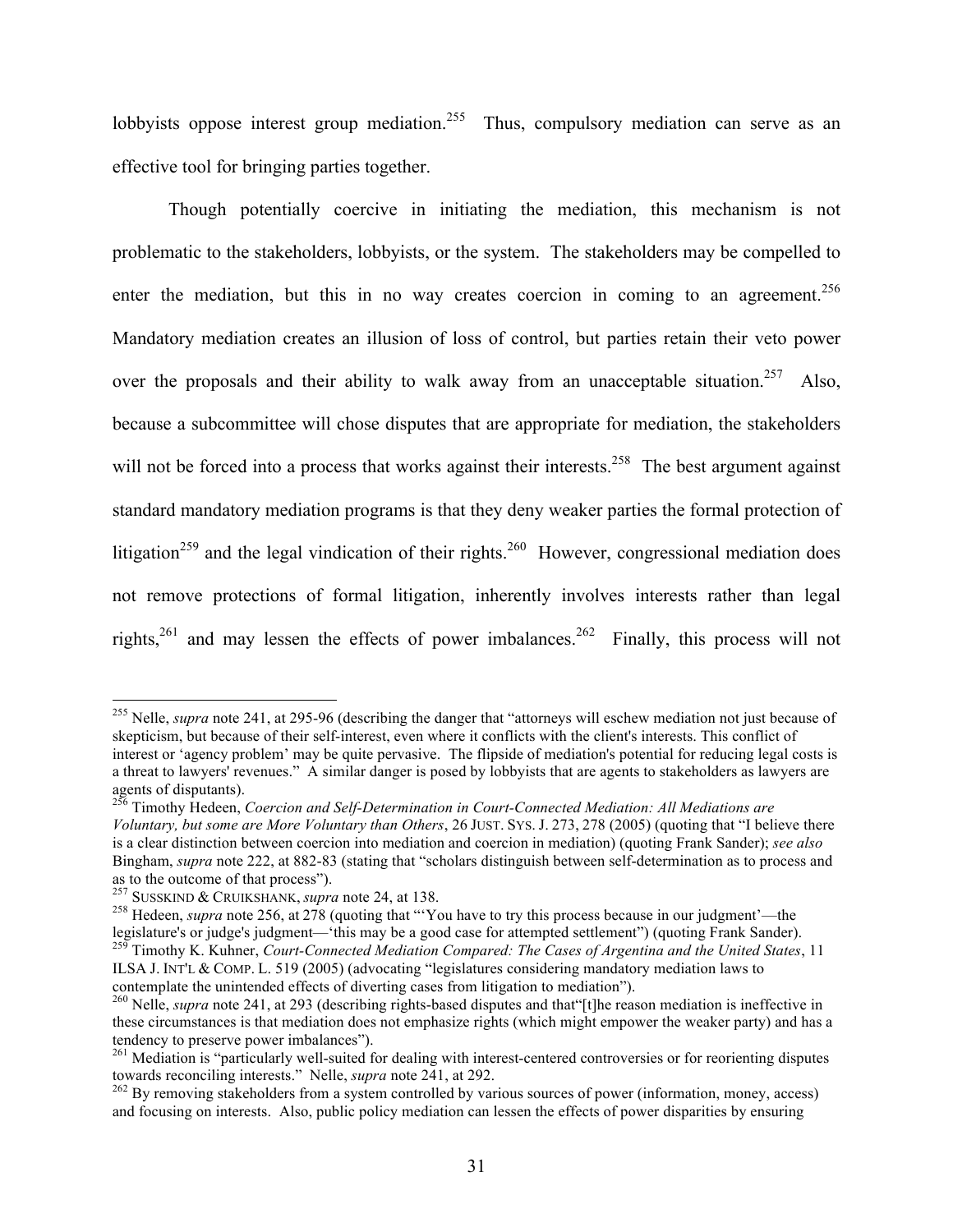lobbyists oppose interest group mediation.<sup>255</sup> Thus, compulsory mediation can serve as an effective tool for bringing parties together.

Though potentially coercive in initiating the mediation, this mechanism is not problematic to the stakeholders, lobbyists, or the system. The stakeholders may be compelled to enter the mediation, but this in no way creates coercion in coming to an agreement.<sup>256</sup> Mandatory mediation creates an illusion of loss of control, but parties retain their veto power over the proposals and their ability to walk away from an unacceptable situation.<sup>257</sup> Also, because a subcommittee will chose disputes that are appropriate for mediation, the stakeholders will not be forced into a process that works against their interests.<sup>258</sup> The best argument against standard mandatory mediation programs is that they deny weaker parties the formal protection of litigation<sup>259</sup> and the legal vindication of their rights.<sup>260</sup> However, congressional mediation does not remove protections of formal litigation, inherently involves interests rather than legal rights,  $261$  and may lessen the effects of power imbalances.  $262$  Finally, this process will not

<sup>&</sup>lt;sup>255</sup> Nelle, *supra* note 241, at 295-96 (describing the danger that "attorneys will eschew mediation not just because of skepticism, but because of their self-interest, even where it conflicts with the client's interests. This conflict of interest or 'agency problem' may be quite pervasive. The flipside of mediation's potential for reducing legal costs is a threat to lawyers' revenues." A similar danger is posed by lobbyists that are agents to stakeholders as lawyers are

<sup>&</sup>lt;sup>256</sup> Timothy Hedeen, *Coercion and Self-Determination in Court-Connected Mediation: All Mediations are Voluntary, but some are More Voluntary than Others*, 26 JUST. SYS. J. 273, 278 (2005) (quoting that "I believe there is a clear distinction between coercion into mediation and coercion in mediation) (quoting Frank Sander); *see also* Bingham, *supra* note 222, at 882-83 (stating that "scholars distinguish between self-determination as to process and as to the outcome of that process").<br><sup>257</sup> SUSSKIND & CRUIKSHANK, *supra* note 24, at 138.

<sup>&</sup>lt;sup>258</sup> Hedeen, *supra* note 256, at 278 (quoting that "'You have to try this process because in our judgment'—the legislature's or judge's judgment—'this may be a good case for attempted settlement") (quoting Frank Sander). <sup>259</sup> Timothy K. Kuhner, *Court-Connected Mediation Compared: The Cases of Argentina and the United States*, 11

ILSA J. INT'L & COMP. L. 519 (2005) (advocating "legislatures considering mandatory mediation laws to contemplate the unintended effects of diverting cases from litigation to mediation"). <sup>260</sup> Nelle, *supra* note 241, at 293 (describing rights-based disputes and that"[t]he reason mediation is ineffective in

these circumstances is that mediation does not emphasize rights (which might empower the weaker party) and has a tendency to preserve power imbalances").

<sup>&</sup>lt;sup>261</sup> Mediation is "particularly well-suited for dealing with interest-centered controversies or for reorienting disputes towards reconciling interests." Nelle, *supra* note 241, at 292.

<sup>&</sup>lt;sup>262</sup> By removing stakeholders from a system controlled by various sources of power (information, money, access) and focusing on interests. Also, public policy mediation can lessen the effects of power disparities by ensuring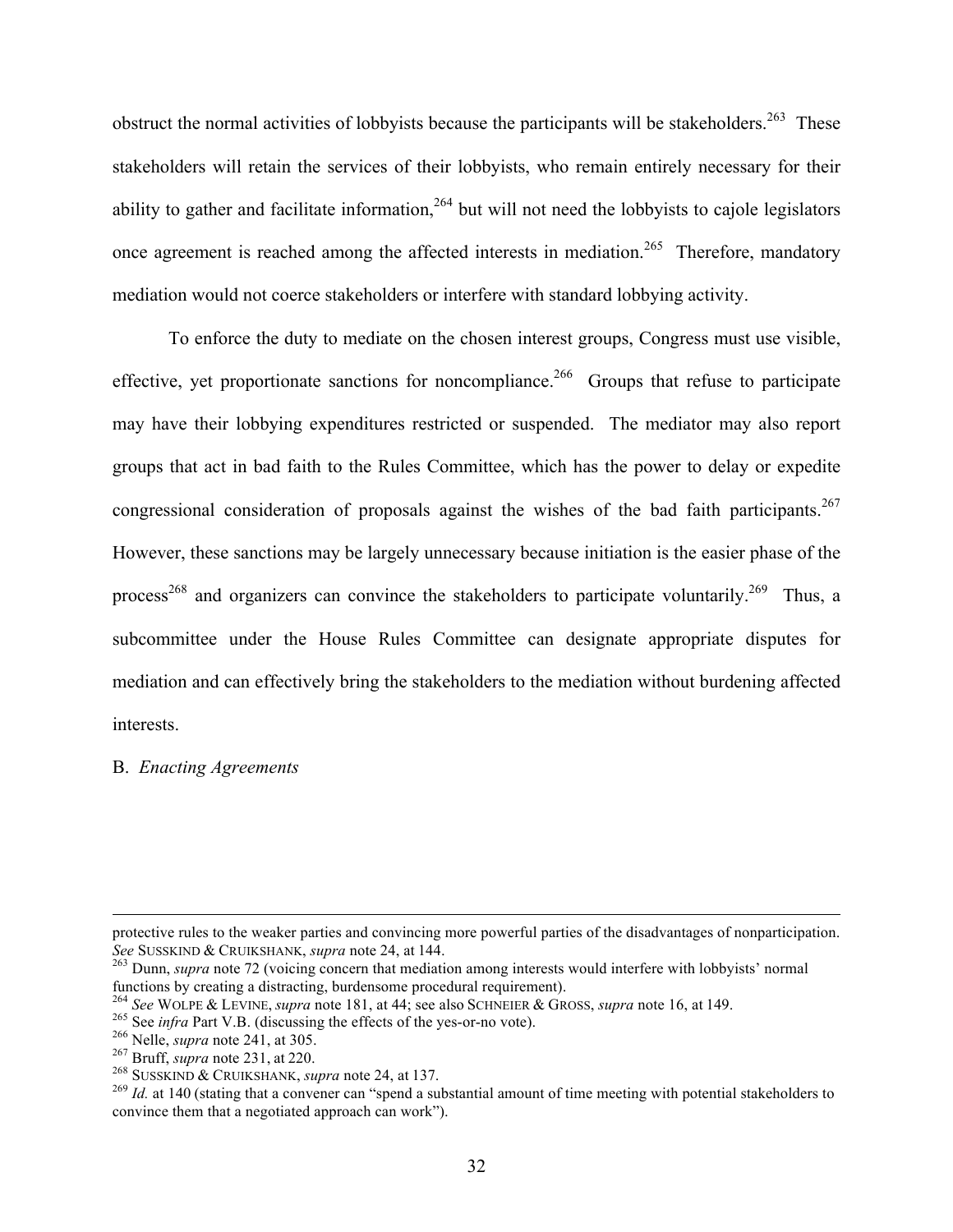obstruct the normal activities of lobbyists because the participants will be stakeholders.<sup>263</sup> These stakeholders will retain the services of their lobbyists, who remain entirely necessary for their ability to gather and facilitate information,  $264$  but will not need the lobbyists to cajole legislators once agreement is reached among the affected interests in mediation.<sup>265</sup> Therefore, mandatory mediation would not coerce stakeholders or interfere with standard lobbying activity.

To enforce the duty to mediate on the chosen interest groups, Congress must use visible, effective, yet proportionate sanctions for noncompliance.<sup>266</sup> Groups that refuse to participate may have their lobbying expenditures restricted or suspended. The mediator may also report groups that act in bad faith to the Rules Committee, which has the power to delay or expedite congressional consideration of proposals against the wishes of the bad faith participants.<sup>267</sup> However, these sanctions may be largely unnecessary because initiation is the easier phase of the process<sup>268</sup> and organizers can convince the stakeholders to participate voluntarily.<sup>269</sup> Thus, a subcommittee under the House Rules Committee can designate appropriate disputes for mediation and can effectively bring the stakeholders to the mediation without burdening affected interests.

B. *Enacting Agreements*

1

protective rules to the weaker parties and convincing more powerful parties of the disadvantages of nonparticipation.<br>See SUSSKIND & CRUIKSHANK, *supra* note 24, at 144.

<sup>&</sup>lt;sup>263</sup> Dunn, *supra* note 72 (voicing concern that mediation among interests would interfere with lobbyists' normal functions by creating a distracting, burdensome procedural requirement).

<sup>&</sup>lt;sup>264</sup> See WOLPE & LEVINE, *supra* note 181, at 44; see also SCHNEIER & GROSS, *supra* note 16, at 149.<br><sup>265</sup> See *infra* Part V.B. (discussing the effects of the yes-or-no vote).<br><sup>266</sup> Nelle, *supra* note 241, at 305.<br><sup>26</sup> convince them that a negotiated approach can work").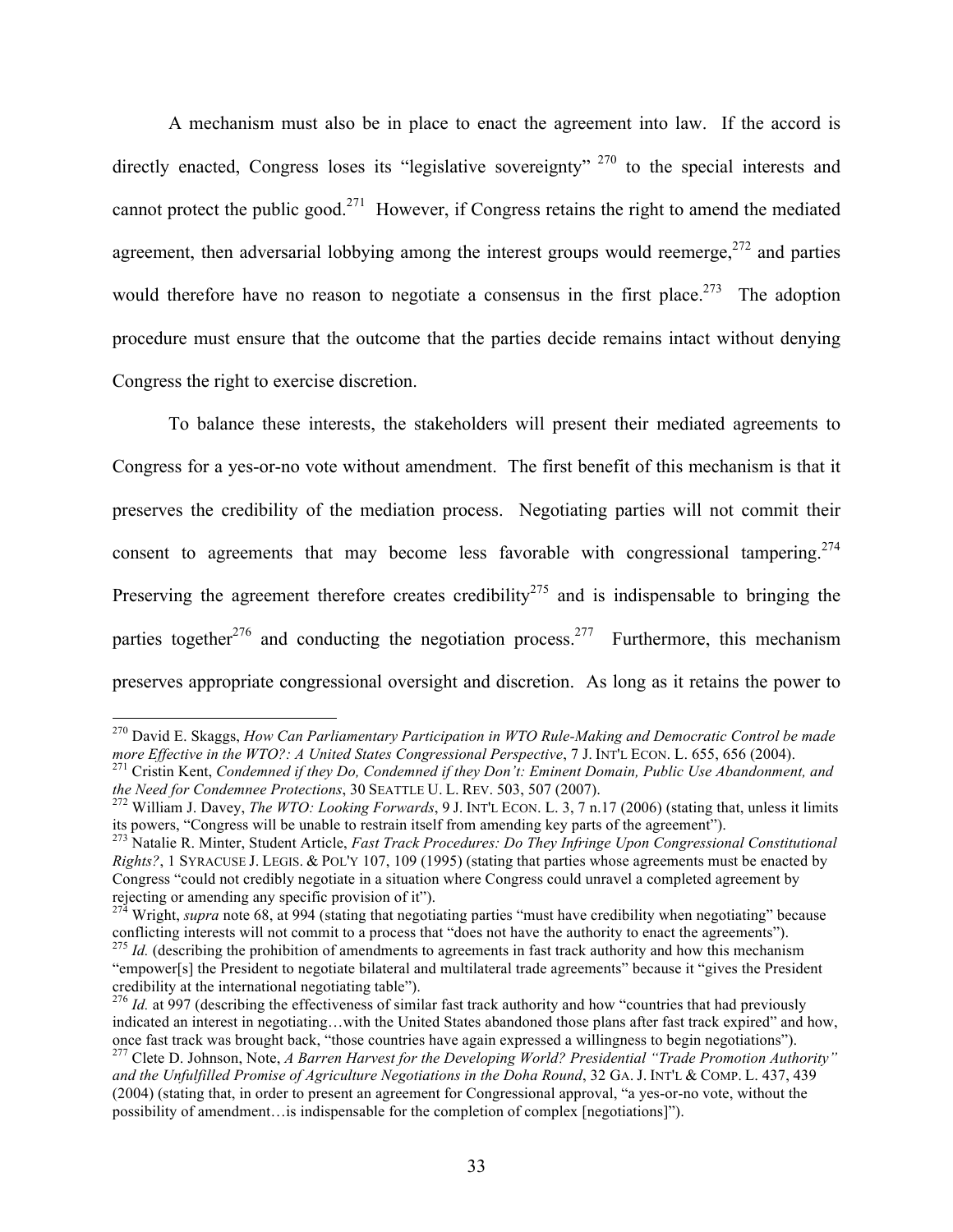A mechanism must also be in place to enact the agreement into law. If the accord is directly enacted, Congress loses its "legislative sovereignty" <sup>270</sup> to the special interests and cannot protect the public good.271 However, if Congress retains the right to amend the mediated agreement, then adversarial lobbying among the interest groups would reemerge, $272$  and parties would therefore have no reason to negotiate a consensus in the first place.<sup>273</sup> The adoption procedure must ensure that the outcome that the parties decide remains intact without denying Congress the right to exercise discretion.

To balance these interests, the stakeholders will present their mediated agreements to Congress for a yes-or-no vote without amendment. The first benefit of this mechanism is that it preserves the credibility of the mediation process. Negotiating parties will not commit their consent to agreements that may become less favorable with congressional tampering.<sup>274</sup> Preserving the agreement therefore creates credibility<sup>275</sup> and is indispensable to bringing the parties together<sup>276</sup> and conducting the negotiation process.<sup>277</sup> Furthermore, this mechanism preserves appropriate congressional oversight and discretion. As long as it retains the power to

<sup>&</sup>lt;sup>270</sup> David E. Skaggs, *How Can Parliamentary Participation in WTO Rule-Making and Democratic Control be made more Effective in the WTO?: A United States Congressional Perspective, 7 J. INT'L ECON. L. 655, 656 (2004).* 

<sup>&</sup>lt;sup>271</sup> Cristin Kent, Condemned if they Do, Condemned if they Don't: Eminent Domain, Public Use Abandonment, and the Need for Condemnee Protections, 30 SEATTLE U. L. REV. 503, 507 (2007).

<sup>&</sup>lt;sup>272</sup> William J. Davey, *The WTO: Looking Forwards*, 9 J. INT'L ECON. L. 3, 7 n.17 (2006) (stating that, unless it limits its powers, "Congress will be unable to restrain itself from amending key parts of the agreement"). <sup>273</sup> Natalie R. Minter, Student Article, *Fast Track Procedures: Do They Infringe Upon Congressional Constitutional* 

*Rights?*, 1 SYRACUSE J. LEGIS. & POL'Y 107, 109 (1995) (stating that parties whose agreements must be enacted by Congress "could not credibly negotiate in a situation where Congress could unravel a completed agreement by rejecting or amending any specific provision of it").

<sup>&</sup>lt;sup>274</sup> Wright, *supra* note 68, at 994 (stating that negotiating parties "must have credibility when negotiating" because conflicting interests will not commit to a process that "does not have the authority to enact the agreements").

<sup>&</sup>lt;sup>275</sup> *Id.* (describing the prohibition of amendments to agreements in fast track authority and how this mechanism "empower[s] the President to negotiate bilateral and multilateral trade agreements" because it "gives the President credibility at the international negotiating table").

 $^{276}$  *Id.* at 997 (describing the effectiveness of similar fast track authority and how "countries that had previously indicated an interest in negotiating...with the United States abandoned those plans after fast track expired" and how, once fast track was brought back, "those countries have again expressed a willingness to begin negotiat

<sup>&</sup>lt;sup>277</sup> Clete D. Johnson, Note, A Barren Harvest for the Developing World? Presidential "Trade Promotion Authority" *and the Unfulfilled Promise of Agriculture Negotiations in the Doha Round*, 32 GA. J. INT'L & COMP. L. 437, 439 (2004) (stating that, in order to present an agreement for Congressional approval, "a yes-or-no vote, without the possibility of amendment…is indispensable for the completion of complex [negotiations]").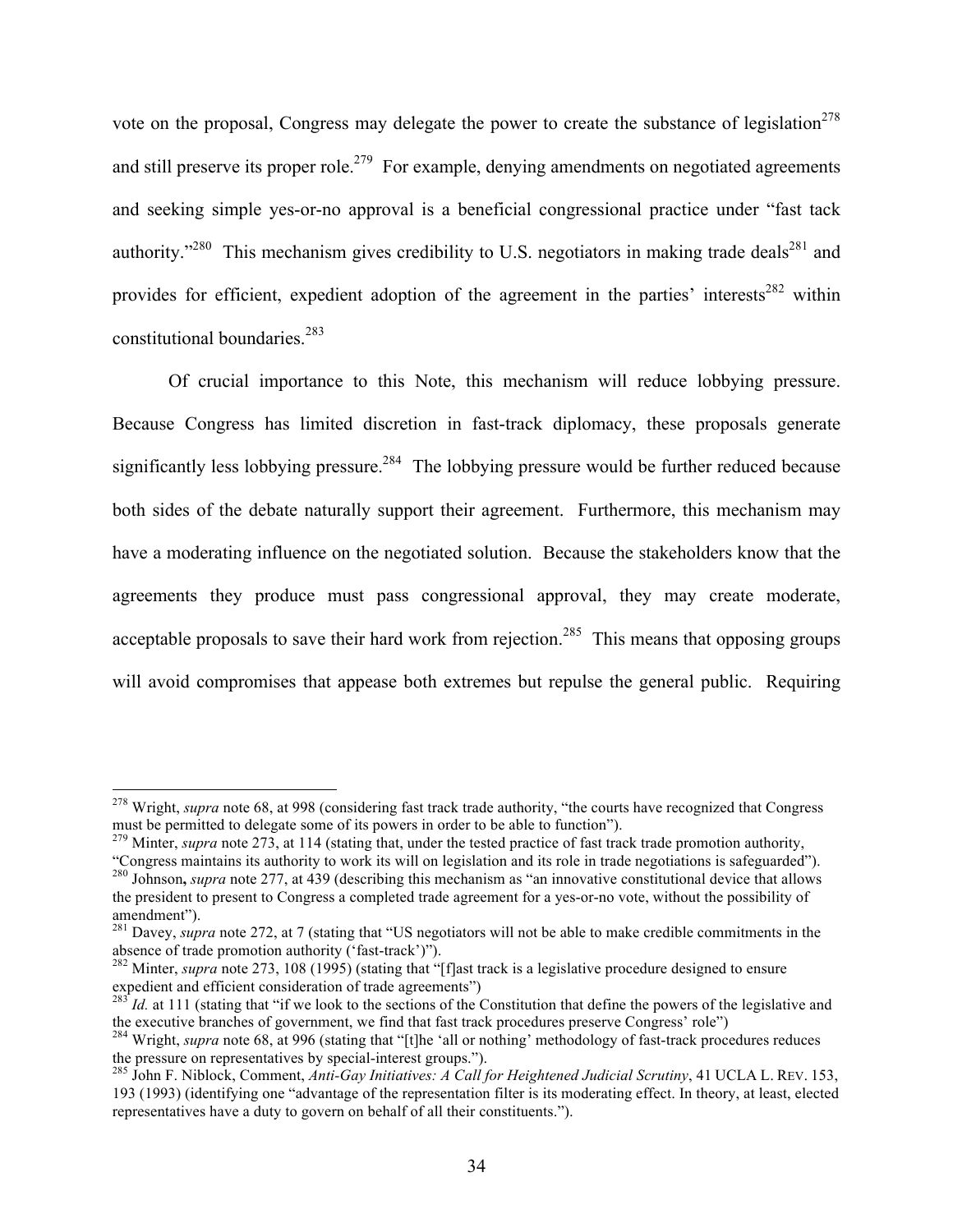vote on the proposal, Congress may delegate the power to create the substance of legislation<sup>278</sup> and still preserve its proper role.<sup>279</sup> For example, denying amendments on negotiated agreements and seeking simple yes-or-no approval is a beneficial congressional practice under "fast tack authority."<sup>280</sup> This mechanism gives credibility to U.S. negotiators in making trade deals<sup>281</sup> and provides for efficient, expedient adoption of the agreement in the parties' interests<sup>282</sup> within constitutional boundaries.283

Of crucial importance to this Note, this mechanism will reduce lobbying pressure. Because Congress has limited discretion in fast-track diplomacy, these proposals generate significantly less lobbying pressure.<sup>284</sup> The lobbying pressure would be further reduced because both sides of the debate naturally support their agreement. Furthermore, this mechanism may have a moderating influence on the negotiated solution. Because the stakeholders know that the agreements they produce must pass congressional approval, they may create moderate, acceptable proposals to save their hard work from rejection.<sup>285</sup> This means that opposing groups will avoid compromises that appease both extremes but repulse the general public. Requiring

<sup>&</sup>lt;sup>278</sup> Wright, *supra* note 68, at 998 (considering fast track trade authority, "the courts have recognized that Congress must be permitted to delegate some of its powers in order to be able to function").

<sup>&</sup>lt;sup>279</sup> Minter, *supra* note 273, at 114 (stating that, under the tested practice of fast track trade promotion authority,

<sup>&</sup>quot;Congress maintains its authority to work its will on legislation and its role in trade negotiations is safeguarded").<br><sup>280</sup> Johnson, *supra* note 277, at 439 (describing this mechanism as "an innovative constitutional dev the president to present to Congress a completed trade agreement for a yes-or-no vote, without the possibility of amendment").

<sup>&</sup>lt;sup>281</sup> Davey, *supra* note 272, at 7 (stating that "US negotiators will not be able to make credible commitments in the absence of trade promotion authority ('fast-track')").

<sup>&</sup>lt;sup>282</sup> Minter, *supra* note 273, 108 (1995) (stating that "[f]ast track is a legislative procedure designed to ensure expedient and efficient consideration of trade agreements")

 $\int dA$  at 111 (stating that "if we look to the sections of the Constitution that define the powers of the legislative and

the executive branches of government, we find that fast track procedures preserve Congress' role")<br><sup>284</sup> Wright, *supra* note 68, at 996 (stating that "[t]he 'all or nothing' methodology of fast-track procedures reduces<br>th

<sup>&</sup>lt;sup>285</sup> John F. Niblock, Comment, *Anti-Gay Initiatives: A Call for Heightened Judicial Scrutiny*, 41 UCLA L. REV. 153, 193 (1993) (identifying one "advantage of the representation filter is its moderating effect. In theory, at least, elected representatives have a duty to govern on behalf of all their constituents.").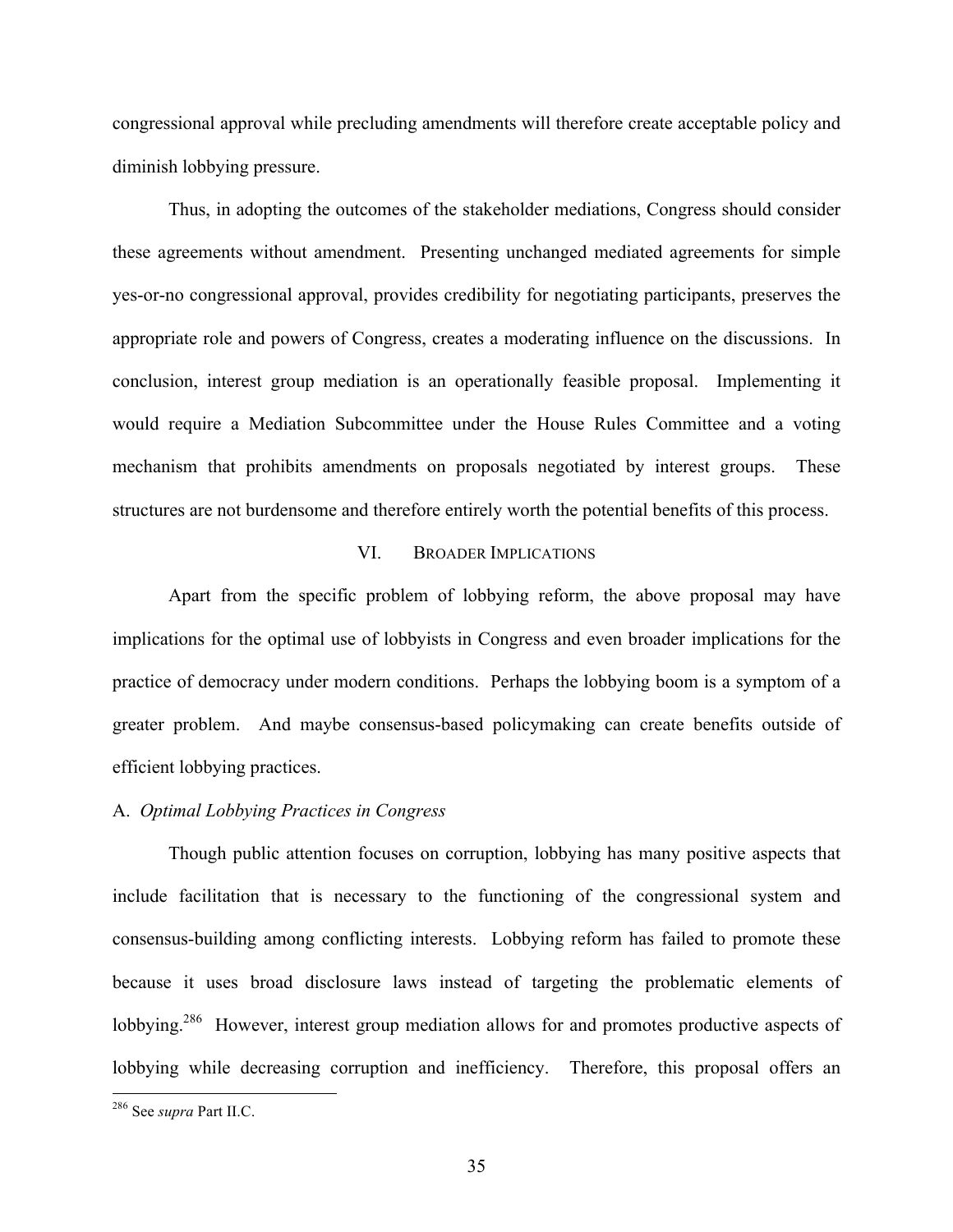congressional approval while precluding amendments will therefore create acceptable policy and diminish lobbying pressure.

Thus, in adopting the outcomes of the stakeholder mediations, Congress should consider these agreements without amendment. Presenting unchanged mediated agreements for simple yes-or-no congressional approval, provides credibility for negotiating participants, preserves the appropriate role and powers of Congress, creates a moderating influence on the discussions. In conclusion, interest group mediation is an operationally feasible proposal. Implementing it would require a Mediation Subcommittee under the House Rules Committee and a voting mechanism that prohibits amendments on proposals negotiated by interest groups. These structures are not burdensome and therefore entirely worth the potential benefits of this process.

## VI. BROADER IMPLICATIONS

Apart from the specific problem of lobbying reform, the above proposal may have implications for the optimal use of lobbyists in Congress and even broader implications for the practice of democracy under modern conditions. Perhaps the lobbying boom is a symptom of a greater problem. And maybe consensus-based policymaking can create benefits outside of efficient lobbying practices.

#### A. *Optimal Lobbying Practices in Congress*

Though public attention focuses on corruption, lobbying has many positive aspects that include facilitation that is necessary to the functioning of the congressional system and consensus-building among conflicting interests. Lobbying reform has failed to promote these because it uses broad disclosure laws instead of targeting the problematic elements of lobbying.<sup>286</sup> However, interest group mediation allows for and promotes productive aspects of lobbying while decreasing corruption and inefficiency. Therefore, this proposal offers an

 <sup>286</sup> See *supra* Part II.C.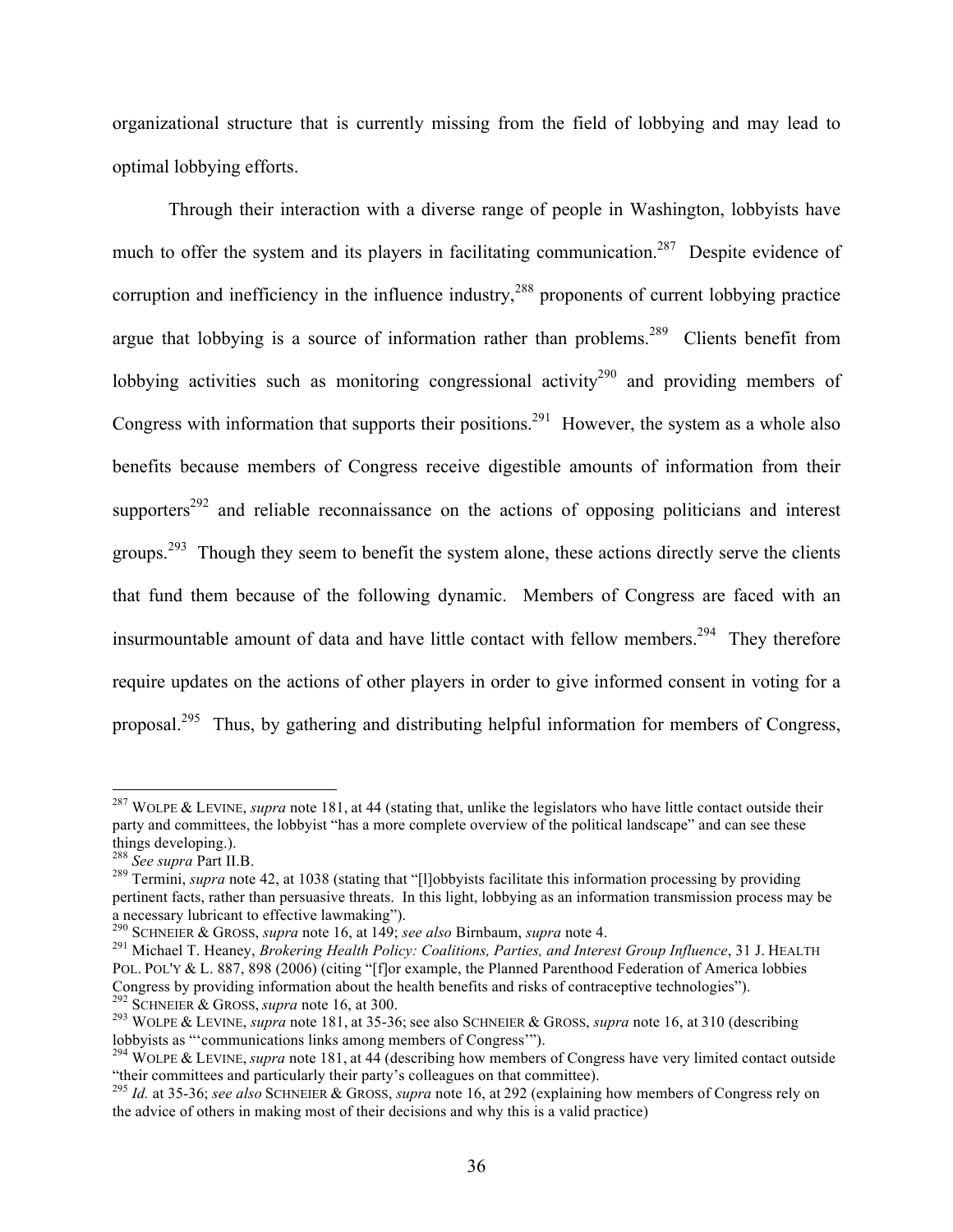organizational structure that is currently missing from the field of lobbying and may lead to optimal lobbying efforts.

Through their interaction with a diverse range of people in Washington, lobbyists have much to offer the system and its players in facilitating communication.<sup>287</sup> Despite evidence of corruption and inefficiency in the influence industry,<sup>288</sup> proponents of current lobbying practice argue that lobbying is a source of information rather than problems.<sup>289</sup> Clients benefit from lobbying activities such as monitoring congressional activity<sup>290</sup> and providing members of Congress with information that supports their positions.<sup>291</sup> However, the system as a whole also benefits because members of Congress receive digestible amounts of information from their supporters<sup>292</sup> and reliable reconnaissance on the actions of opposing politicians and interest groups.<sup>293</sup> Though they seem to benefit the system alone, these actions directly serve the clients that fund them because of the following dynamic. Members of Congress are faced with an insurmountable amount of data and have little contact with fellow members.<sup>294</sup> They therefore require updates on the actions of other players in order to give informed consent in voting for a proposal.<sup>295</sup> Thus, by gathering and distributing helpful information for members of Congress,

<sup>&</sup>lt;sup>287</sup> WOLPE & LEVINE, *supra* note 181, at 44 (stating that, unlike the legislators who have little contact outside their party and committees, the lobbyist "has a more complete overview of the political landscape" and can see these things developing.).<br><sup>288</sup> See supra Part II.B.

<sup>&</sup>lt;sup>289</sup> Termini, *supra* note 42, at 1038 (stating that "[l]obbyists facilitate this information processing by providing pertinent facts, rather than persuasive threats. In this light, lobbying as an information transmission process may be a necessary lubricant to effective lawmaking").<br> $^{290}$  SCHNEIER & GROSS, *supra* note 16, at 149; *see also* Birnbaum, *supra* note 4.

<sup>&</sup>lt;sup>291</sup> Michael T. Heaney, *Brokering Health Policy: Coalitions, Parties, and Interest Group Influence*, 31 J. HEALTH POL. POL'Y & L. 887, 898 (2006) (citing "[f]or example, the Planned Parenthood Federation of America lobbies Congress by providing information about the health benefits and risks of contraceptive technologies").<br><sup>292</sup> SCHNEIER & GROSS, *supra* note 16, at 300.<br><sup>293</sup> WOLPE & LEVINE, *supra* note 181, at 35-36; see also SCHNEIER &

lobbyists as "'communications links among members of Congress'"). <sup>294</sup> WOLPE & LEVINE, *supra* note 181, at 44 (describing how members of Congress have very limited contact outside

<sup>&</sup>quot;their committees and particularly their party's colleagues on that committee).

<sup>295</sup> *Id.* at 35-36; *see also* SCHNEIER & GROSS, *supra* note 16, at 292 (explaining how members of Congress rely on the advice of others in making most of their decisions and why this is a valid practice)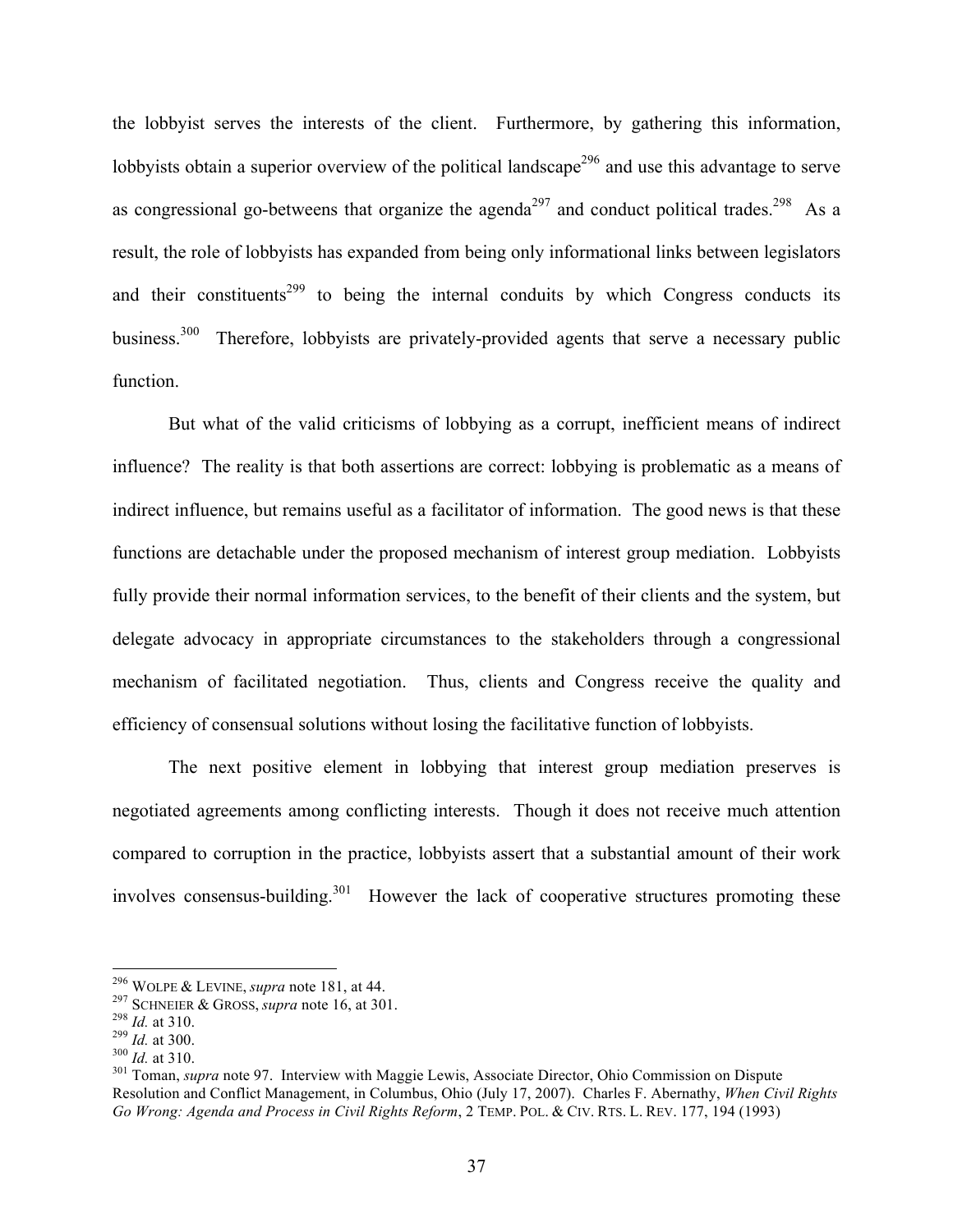the lobbyist serves the interests of the client. Furthermore, by gathering this information, lobbyists obtain a superior overview of the political landscape<sup>296</sup> and use this advantage to serve as congressional go-betweens that organize the agenda<sup>297</sup> and conduct political trades.<sup>298</sup> As a result, the role of lobbyists has expanded from being only informational links between legislators and their constituents<sup>299</sup> to being the internal conduits by which Congress conducts its business.<sup>300</sup> Therefore, lobbyists are privately-provided agents that serve a necessary public function.

But what of the valid criticisms of lobbying as a corrupt, inefficient means of indirect influence? The reality is that both assertions are correct: lobbying is problematic as a means of indirect influence, but remains useful as a facilitator of information. The good news is that these functions are detachable under the proposed mechanism of interest group mediation. Lobbyists fully provide their normal information services, to the benefit of their clients and the system, but delegate advocacy in appropriate circumstances to the stakeholders through a congressional mechanism of facilitated negotiation. Thus, clients and Congress receive the quality and efficiency of consensual solutions without losing the facilitative function of lobbyists.

The next positive element in lobbying that interest group mediation preserves is negotiated agreements among conflicting interests. Though it does not receive much attention compared to corruption in the practice, lobbyists assert that a substantial amount of their work involves consensus-building.<sup>301</sup> However the lack of cooperative structures promoting these

<sup>&</sup>lt;sup>296</sup> WOLPE & LEVINE, *supra* note 181, at 44.<br>
<sup>297</sup> SCHNEIER & GROSS, *supra* note 16, at 301.<br>
<sup>298</sup> Id. at 310.<br>
<sup>309</sup> Id. at 310.<br>
<sup>300</sup> Id. at 310.<br>
<sup>301</sup> Toman, *supra* note 97. Interview with Maggie Lewis, Associa Resolution and Conflict Management, in Columbus, Ohio (July 17, 2007). Charles F. Abernathy, *When Civil Rights Go Wrong: Agenda and Process in Civil Rights Reform*, 2 TEMP. POL. & CIV. RTS. L. REV. 177, 194 (1993)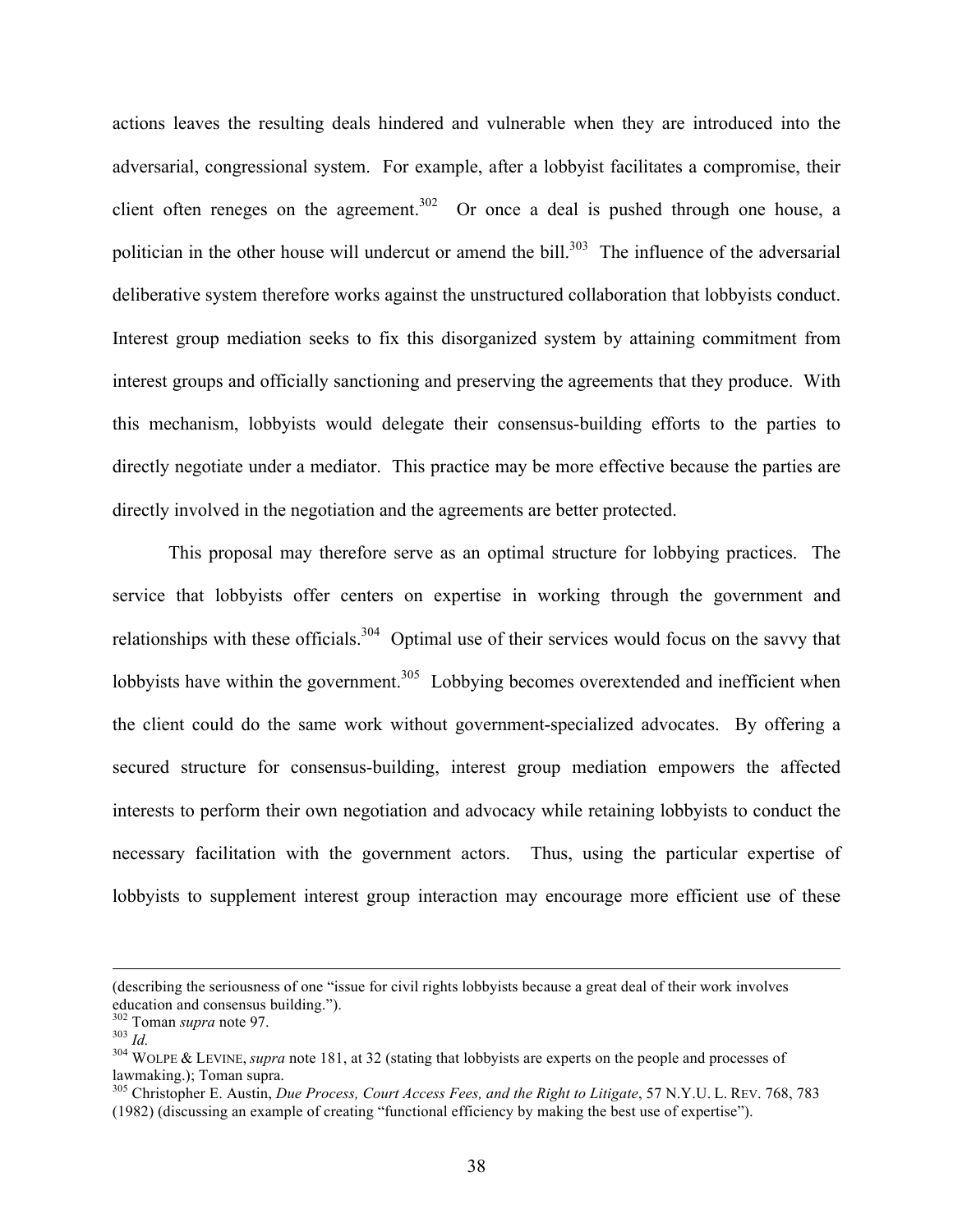actions leaves the resulting deals hindered and vulnerable when they are introduced into the adversarial, congressional system. For example, after a lobbyist facilitates a compromise, their client often reneges on the agreement.<sup>302</sup> Or once a deal is pushed through one house, a politician in the other house will undercut or amend the bill.<sup>303</sup> The influence of the adversarial deliberative system therefore works against the unstructured collaboration that lobbyists conduct. Interest group mediation seeks to fix this disorganized system by attaining commitment from interest groups and officially sanctioning and preserving the agreements that they produce. With this mechanism, lobbyists would delegate their consensus-building efforts to the parties to directly negotiate under a mediator. This practice may be more effective because the parties are directly involved in the negotiation and the agreements are better protected.

This proposal may therefore serve as an optimal structure for lobbying practices. The service that lobbyists offer centers on expertise in working through the government and relationships with these officials.<sup>304</sup> Optimal use of their services would focus on the savvy that lobbyists have within the government.<sup>305</sup> Lobbying becomes overextended and inefficient when the client could do the same work without government-specialized advocates. By offering a secured structure for consensus-building, interest group mediation empowers the affected interests to perform their own negotiation and advocacy while retaining lobbyists to conduct the necessary facilitation with the government actors. Thus, using the particular expertise of lobbyists to supplement interest group interaction may encourage more efficient use of these

 <sup>(</sup>describing the seriousness of one "issue for civil rights lobbyists because a great deal of their work involves education and consensus building.").<br> $10^{302}$  Toman *supra* note 97.

<sup>&</sup>lt;sup>303</sup> *Id.* 303 *Id.* 304 WOLPE & LEVINE, *supra* note 181, at 32 (stating that lobbyists are experts on the people and processes of lawmaking.); Toman supra.

<sup>&</sup>lt;sup>305</sup> Christopher E. Austin, *Due Process, Court Access Fees, and the Right to Litigate*, 57 N.Y.U. L. REV. 768, 783 (1982) (discussing an example of creating "functional efficiency by making the best use of expertise").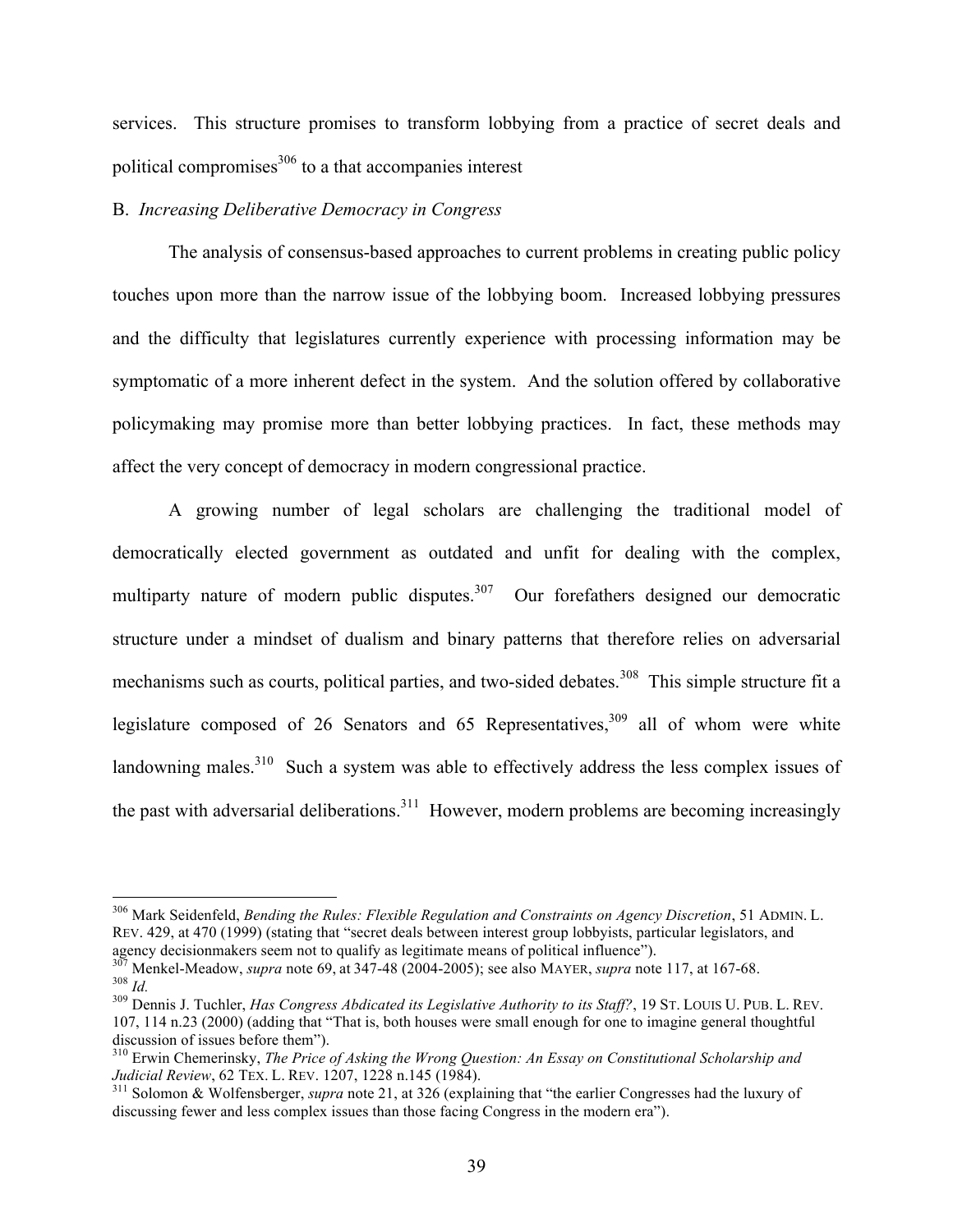services. This structure promises to transform lobbying from a practice of secret deals and political compromises $306$  to a that accompanies interest

#### B. *Increasing Deliberative Democracy in Congress*

The analysis of consensus-based approaches to current problems in creating public policy touches upon more than the narrow issue of the lobbying boom. Increased lobbying pressures and the difficulty that legislatures currently experience with processing information may be symptomatic of a more inherent defect in the system. And the solution offered by collaborative policymaking may promise more than better lobbying practices. In fact, these methods may affect the very concept of democracy in modern congressional practice.

A growing number of legal scholars are challenging the traditional model of democratically elected government as outdated and unfit for dealing with the complex, multiparty nature of modern public disputes. $307$  Our forefathers designed our democratic structure under a mindset of dualism and binary patterns that therefore relies on adversarial mechanisms such as courts, political parties, and two-sided debates.<sup>308</sup> This simple structure fit a legislature composed of 26 Senators and 65 Representatives,  $309$  all of whom were white landowning males. $310$  Such a system was able to effectively address the less complex issues of the past with adversarial deliberations.<sup>311</sup> However, modern problems are becoming increasingly

 <sup>306</sup> Mark Seidenfeld, *Bending the Rules: Flexible Regulation and Constraints on Agency Discretion*, 51 ADMIN. L. REV. 429, at 470 (1999) (stating that "secret deals between interest group lobbyists, particular legislators, and agency decisionmakers seem not to qualify as legitimate means of political influence").<br><sup>307</sup> Menkel-Meadow, *supra* note 69, at 347-48 (2004-2005); see also MAYER, *supra* note 117, at 167-68.

 $\frac{308}{10}$  Id.<br> $\frac{1}{209}$  Dennis J. Tuchler, *Has Congress Abdicated its Legislative Authority to its Staff*?, 19 ST. LOUIS U. PUB. L. REV.

<sup>107, 114</sup> n.23 (2000) (adding that "That is, both houses were small enough for one to imagine general thoughtful

<sup>&</sup>lt;sup>310</sup> Erwin Chemerinsky, *The Price of Asking the Wrong Question: An Essay on Constitutional Scholarship and Judicial Review*, 62 TEX. L. REV. 1207, 1228 n.145 (1984).<br><sup>311</sup> Solomon & Wolfensberger, *supra* note 21, at 326 (explaining that "the earlier Congresses had the luxury of

discussing fewer and less complex issues than those facing Congress in the modern era").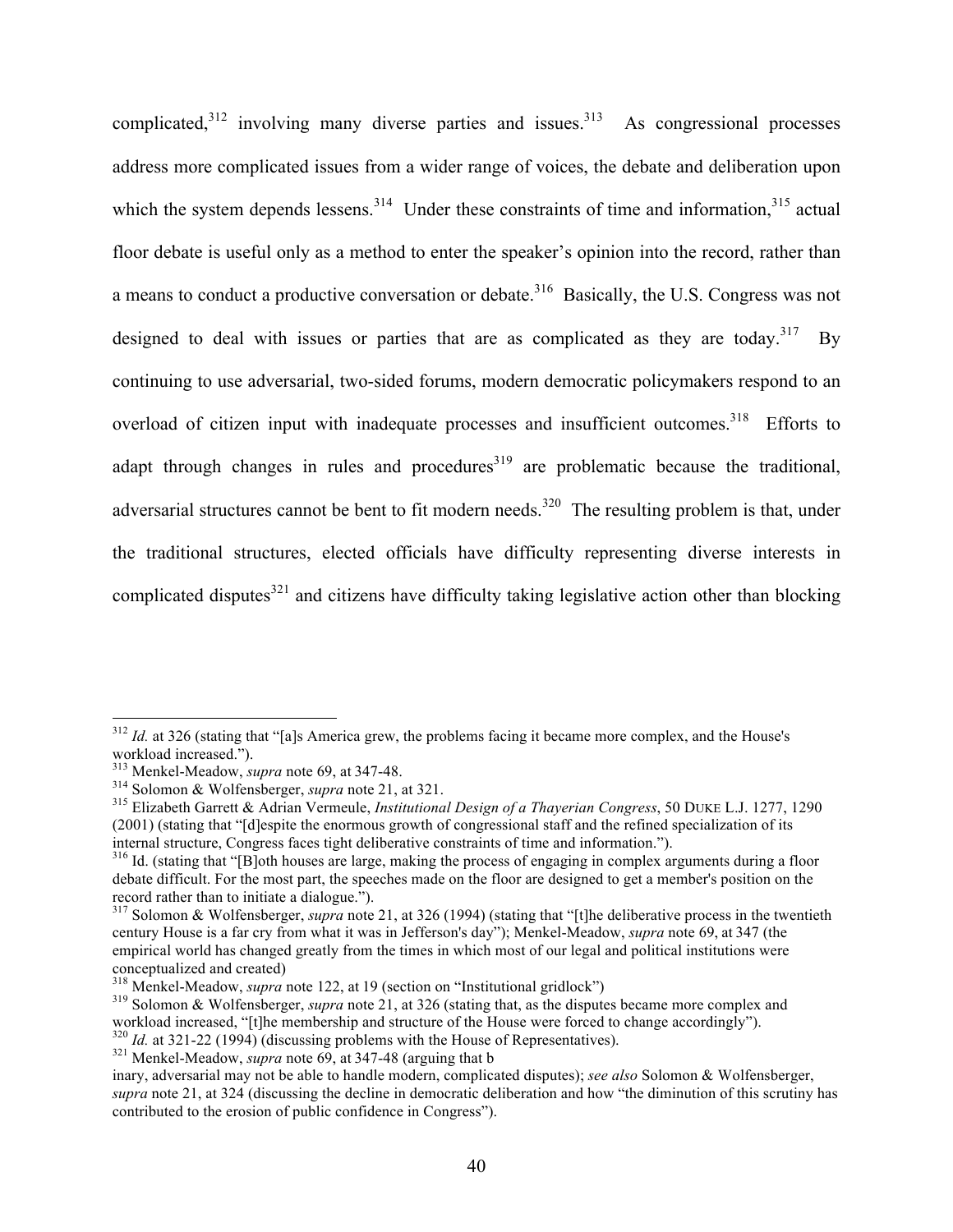complicated, $312$  involving many diverse parties and issues. $313$  As congressional processes address more complicated issues from a wider range of voices, the debate and deliberation upon which the system depends lessens.<sup>314</sup> Under these constraints of time and information,<sup>315</sup> actual floor debate is useful only as a method to enter the speaker's opinion into the record, rather than a means to conduct a productive conversation or debate.<sup>316</sup> Basically, the U.S. Congress was not designed to deal with issues or parties that are as complicated as they are today.<sup>317</sup> By continuing to use adversarial, two-sided forums, modern democratic policymakers respond to an overload of citizen input with inadequate processes and insufficient outcomes.<sup>318</sup> Efforts to adapt through changes in rules and procedures<sup>319</sup> are problematic because the traditional, adversarial structures cannot be bent to fit modern needs.<sup>320</sup> The resulting problem is that, under the traditional structures, elected officials have difficulty representing diverse interests in complicated disputes $321$  and citizens have difficulty taking legislative action other than blocking

<sup>&</sup>lt;sup>312</sup> *Id.* at 326 (stating that "[a]s America grew, the problems facing it became more complex, and the House's workload increased.").<br><sup>313</sup> Menkel-Meadow, *supra* note 69, at 347-48.

<sup>&</sup>lt;sup>314</sup> Solomon & Wolfensberger, *supra* note 21, at 321.<br><sup>315</sup> Elizabeth Garrett & Adrian Vermeule, *Institutional Design of a Thayerian Congress*, 50 DUKE L.J. 1277, 1290 (2001) (stating that "[d]espite the enormous growth of congressional staff and the refined specialization of its internal structure, Congress faces tight deliberative constraints of time and information.").

<sup>&</sup>lt;sup>316</sup> Id. (stating that "[B]oth houses are large, making the process of engaging in complex arguments during a floor debate difficult. For the most part, the speeches made on the floor are designed to get a member's position on the record rather than to initiate a dialogue.").

<sup>317</sup> Solomon & Wolfensberger, *supra* note 21, at 326 (1994) (stating that "[t]he deliberative process in the twentieth century House is a far cry from what it was in Jefferson's day"); Menkel-Meadow, *supra* note 69, at 347 (the empirical world has changed greatly from the times in which most of our legal and political institutions were

conceptualized and created)<br><sup>318</sup> Menkel-Meadow, *supra* note 122, at 19 (section on "Institutional gridlock")<br><sup>319</sup> Solomon & Wolfensberger, *supra* note 21, at 326 (stating that, as the disputes became more complex and<br>w

 $\frac{320}{10}$  *Id.* at 321-22 (1994) (discussing problems with the House of Representatives).<br><sup>321</sup> Menkel-Meadow, *supra* note 69, at 347-48 (arguing that b

inary, adversarial may not be able to handle modern, complicated disputes); *see also* Solomon & Wolfensberger, *supra* note 21, at 324 (discussing the decline in democratic deliberation and how "the diminution of this scrutiny has contributed to the erosion of public confidence in Congress").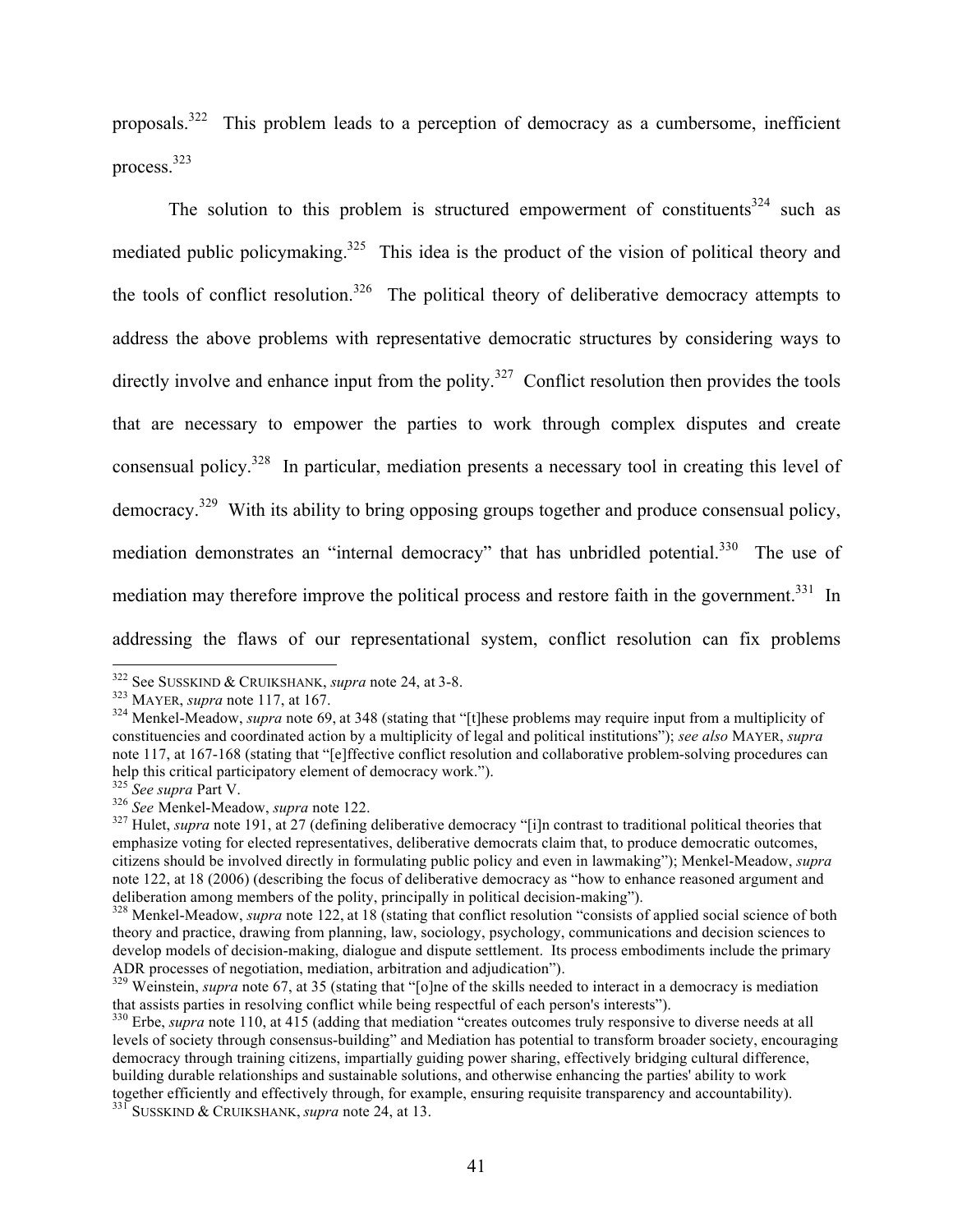proposals.<sup>322</sup> This problem leads to a perception of democracy as a cumbersome, inefficient process.<sup>323</sup>

The solution to this problem is structured empowerment of constituents<sup>324</sup> such as mediated public policymaking.<sup>325</sup> This idea is the product of the vision of political theory and the tools of conflict resolution.<sup>326</sup> The political theory of deliberative democracy attempts to address the above problems with representative democratic structures by considering ways to directly involve and enhance input from the polity.<sup>327</sup> Conflict resolution then provides the tools that are necessary to empower the parties to work through complex disputes and create consensual policy.328 In particular, mediation presents a necessary tool in creating this level of democracy.<sup>329</sup> With its ability to bring opposing groups together and produce consensual policy, mediation demonstrates an "internal democracy" that has unbridled potential.<sup>330</sup> The use of mediation may therefore improve the political process and restore faith in the government.<sup>331</sup> In addressing the flaws of our representational system, conflict resolution can fix problems

<sup>&</sup>lt;sup>322</sup> See SUSSKIND & CRUIKSHANK, *supra* note 24, at 3-8.<br><sup>323</sup> MAYER, *supra* note 117, at 167.<br><sup>324</sup> Menkel-Meadow, *supra* note 69, at 348 (stating that "[t]hese problems may require input from a multiplicity of constituencies and coordinated action by a multiplicity of legal and political institutions"); *see also* MAYER, *supra* note 117, at 167-168 (stating that "[e]ffective conflict resolution and collaborative problem-solving procedures can help this critical participatory element of democracy work.").<br><sup>325</sup> See supra Part V.

<sup>&</sup>lt;sup>326</sup> *See* Menkel-Meadow, *supra* note 122.<br><sup>326</sup> *See* Menkel-Meadow, *supra* note 122.<br><sup>327</sup> Hulet, *supra* note 191, at 27 (defining deliberative democracy "[i]n contrast to traditional political theories that emphasize voting for elected representatives, deliberative democrats claim that, to produce democratic outcomes, citizens should be involved directly in formulating public policy and even in lawmaking"); Menkel-Meadow, *supra*  note 122, at 18 (2006) (describing the focus of deliberative democracy as "how to enhance reasoned argument and deliberation among members of the polity, principally in political decision-making").

<sup>&</sup>lt;sup>328</sup> Menkel-Meadow, *supra* note 122, at 18 (stating that conflict resolution "consists of applied social science of both theory and practice, drawing from planning, law, sociology, psychology, communications and decision sciences to develop models of decision-making, dialogue and dispute settlement. Its process embodiments include the primary ADR processes of negotiation, mediation, arbitration and adjudication").

<sup>&</sup>lt;sup>329</sup> Weinstein, *supra* note 67, at 35 (stating that "[o]ne of the skills needed to interact in a democracy is mediation that assists parties in resolving conflict while being respectful of each person's interests").

<sup>&</sup>lt;sup>330</sup> Erbe, *supra* note 110, at 415 (adding that mediation "creates outcomes truly responsive to diverse needs at all levels of society through consensus-building" and Mediation has potential to transform broader society, encouraging democracy through training citizens, impartially guiding power sharing, effectively bridging cultural difference, building durable relationships and sustainable solutions, and otherwise enhancing the parties' ability to work together efficiently and effectively through, for example, ensuring requisite transparency and accountability).<br><sup>331</sup> SUSSKIND & CRUIKSHANK, *supra* note 24, at 13.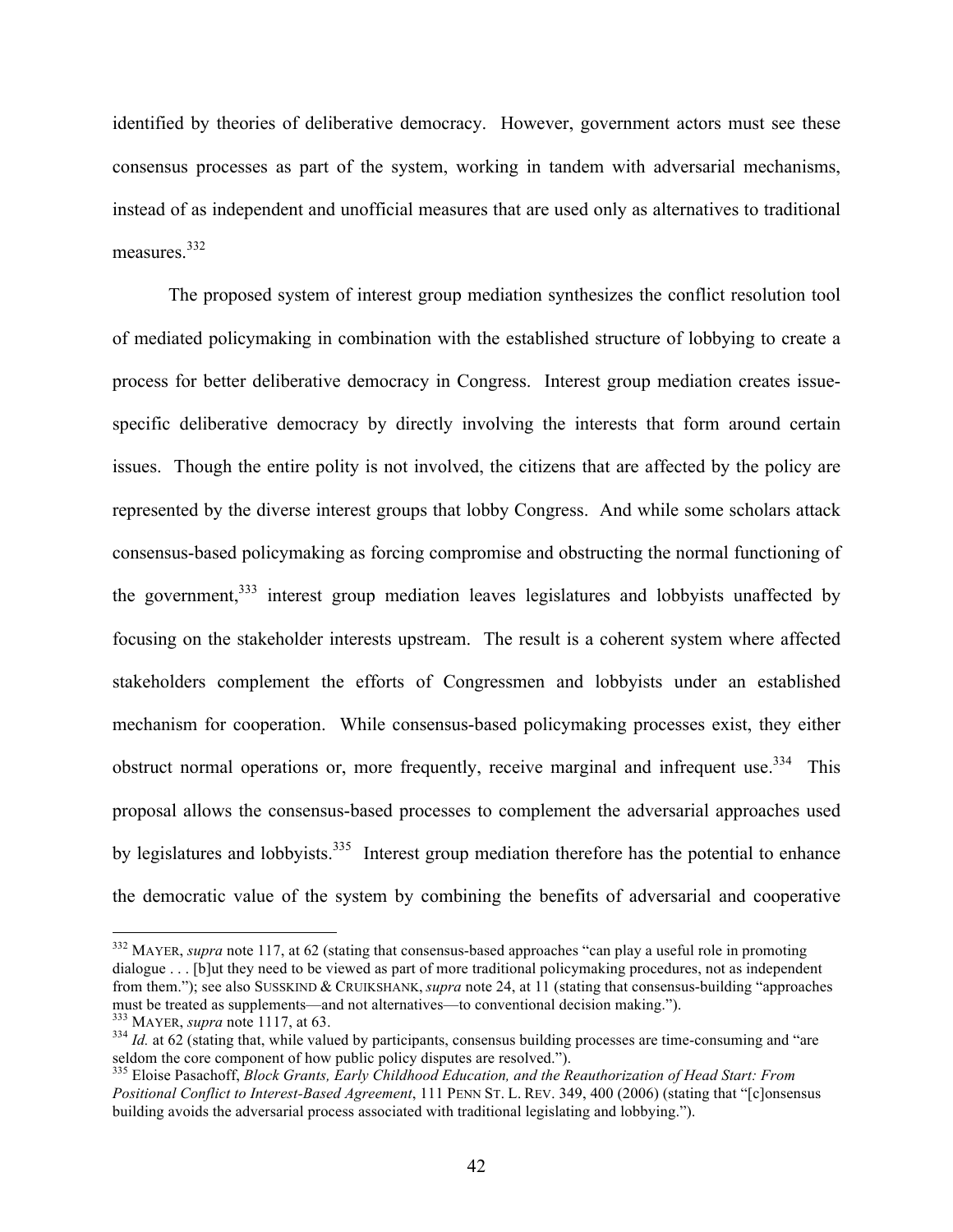identified by theories of deliberative democracy. However, government actors must see these consensus processes as part of the system, working in tandem with adversarial mechanisms, instead of as independent and unofficial measures that are used only as alternatives to traditional measures.<sup>332</sup>

The proposed system of interest group mediation synthesizes the conflict resolution tool of mediated policymaking in combination with the established structure of lobbying to create a process for better deliberative democracy in Congress. Interest group mediation creates issuespecific deliberative democracy by directly involving the interests that form around certain issues. Though the entire polity is not involved, the citizens that are affected by the policy are represented by the diverse interest groups that lobby Congress. And while some scholars attack consensus-based policymaking as forcing compromise and obstructing the normal functioning of the government,  $333$  interest group mediation leaves legislatures and lobbyists unaffected by focusing on the stakeholder interests upstream. The result is a coherent system where affected stakeholders complement the efforts of Congressmen and lobbyists under an established mechanism for cooperation. While consensus-based policymaking processes exist, they either obstruct normal operations or, more frequently, receive marginal and infrequent use.<sup>334</sup> This proposal allows the consensus-based processes to complement the adversarial approaches used by legislatures and lobbyists.<sup>335</sup> Interest group mediation therefore has the potential to enhance the democratic value of the system by combining the benefits of adversarial and cooperative

<sup>&</sup>lt;sup>332</sup> MAYER, *supra* note 117, at 62 (stating that consensus-based approaches "can play a useful role in promoting dialogue . . . [b]ut they need to be viewed as part of more traditional policymaking procedures, not as independent from them."); see also SUSSKIND & CRUIKSHANK, *supra* note 24, at 11 (stating that consensus-building "approaches must be treated as supplements—and not alternatives—to conventional decision making.").

 $^{333}$  MAYER, *supra* note 1117, at 63.<br> $^{334}$  *Id.* at 62 (stating that, while valued by participants, consensus building processes are time-consuming and "are seldom the core component of how public policy disputes are resolved.").<br><sup>335</sup> Eloise Pasachoff, *Block Grants, Early Childhood Education, and the Reauthorization of Head Start: From* 

*Positional Conflict to Interest-Based Agreement*, 111 PENN ST. L. REV. 349, 400 (2006) (stating that "[c]onsensus building avoids the adversarial process associated with traditional legislating and lobbying.").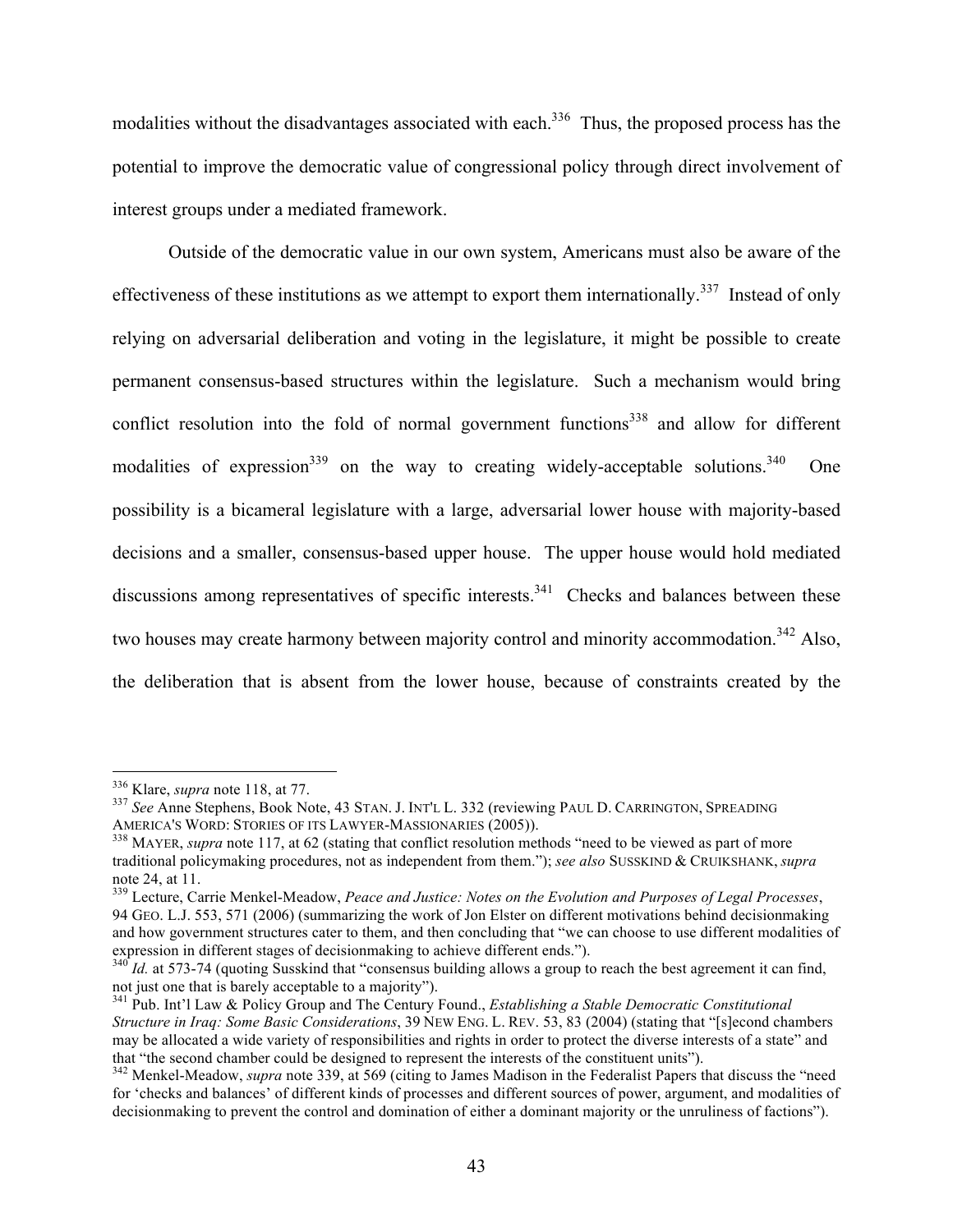modalities without the disadvantages associated with each.<sup>336</sup> Thus, the proposed process has the potential to improve the democratic value of congressional policy through direct involvement of interest groups under a mediated framework.

Outside of the democratic value in our own system, Americans must also be aware of the effectiveness of these institutions as we attempt to export them internationally.<sup>337</sup> Instead of only relying on adversarial deliberation and voting in the legislature, it might be possible to create permanent consensus-based structures within the legislature. Such a mechanism would bring conflict resolution into the fold of normal government functions<sup>338</sup> and allow for different modalities of expression<sup>339</sup> on the way to creating widely-acceptable solutions.<sup>340</sup> One possibility is a bicameral legislature with a large, adversarial lower house with majority-based decisions and a smaller, consensus-based upper house. The upper house would hold mediated discussions among representatives of specific interests.<sup>341</sup> Checks and balances between these two houses may create harmony between majority control and minority accommodation.<sup>342</sup> Also, the deliberation that is absent from the lower house, because of constraints created by the

<sup>&</sup>lt;sup>336</sup> Klare, *supra* note 118, at 77.<br><sup>337</sup> *See* Anne Stephens, Book Note, 43 STAN. J. INT'L L. 332 (reviewing PAUL D. CARRINGTON, SPREADING AMERICA'S WORD: STORIES OF ITS LAWYER-MASSIONARIES (2005)).

<sup>&</sup>lt;sup>338</sup> MAYER, *supra* note 117, at 62 (stating that conflict resolution methods "need to be viewed as part of more traditional policymaking procedures, not as independent from them."); *see also* SUSSKIND & CRUIKSHANK, *supra*

note 24, at 11.<br><sup>339</sup> Lecture, Carrie Menkel-Meadow, *Peace and Justice: Notes on the Evolution and Purposes of Legal Processes*, 94 GEO. L.J. 553, 571 (2006) (summarizing the work of Jon Elster on different motivations behind decisionmaking and how government structures cater to them, and then concluding that "we can choose to use different modalities of expression in different stages of decisionmaking to achieve different ends.").

 $340$ <sup> $1$ </sup>*Id.* at 573-74 (quoting Susskind that "consensus building allows a group to reach the best agreement it can find, not just one that is barely acceptable to a majority"). <sup>341</sup> Pub. Int'l Law & Policy Group and The Century Found., *Establishing a Stable Democratic Constitutional* 

*Structure in Iraq: Some Basic Considerations*, 39 NEW ENG. L. REV. 53, 83 (2004) (stating that "[s]econd chambers may be allocated a wide variety of responsibilities and rights in order to protect the diverse interests of a state" and that "the second chamber could be designed to represent the interests of the constituent units").

<sup>&</sup>lt;sup>342</sup> Menkel-Meadow, *supra* note 339, at 569 (citing to James Madison in the Federalist Papers that discuss the "need for 'checks and balances' of different kinds of processes and different sources of power, argument, and modalities of decisionmaking to prevent the control and domination of either a dominant majority or the unruliness of factions").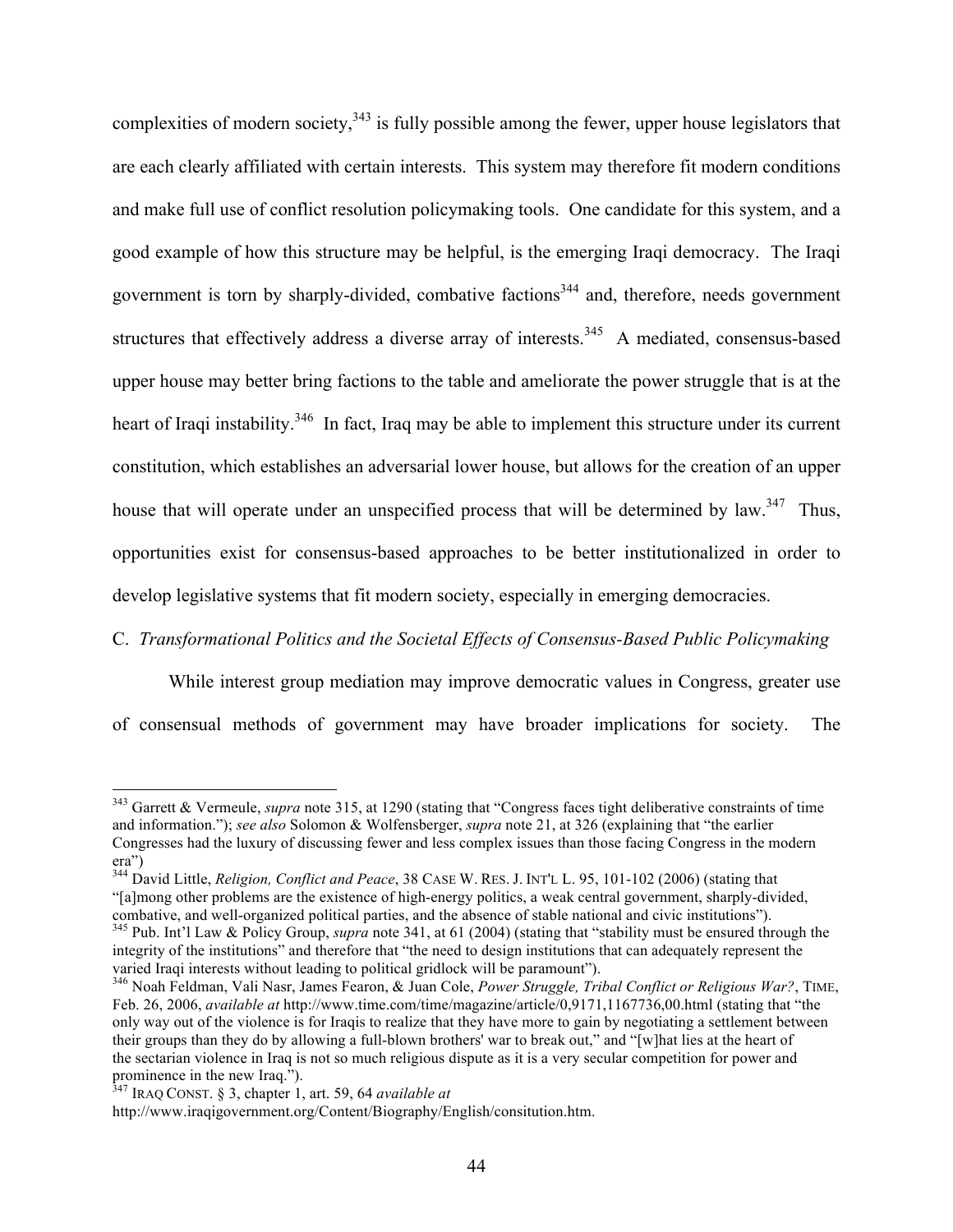complexities of modern society,  $343$  is fully possible among the fewer, upper house legislators that are each clearly affiliated with certain interests. This system may therefore fit modern conditions and make full use of conflict resolution policymaking tools. One candidate for this system, and a good example of how this structure may be helpful, is the emerging Iraqi democracy. The Iraqi government is torn by sharply-divided, combative factions<sup>344</sup> and, therefore, needs government structures that effectively address a diverse array of interests.<sup>345</sup> A mediated, consensus-based upper house may better bring factions to the table and ameliorate the power struggle that is at the heart of Iraqi instability.<sup>346</sup> In fact, Iraq may be able to implement this structure under its current constitution, which establishes an adversarial lower house, but allows for the creation of an upper house that will operate under an unspecified process that will be determined by law.<sup>347</sup> Thus, opportunities exist for consensus-based approaches to be better institutionalized in order to develop legislative systems that fit modern society, especially in emerging democracies.

# C. *Transformational Politics and the Societal Effects of Consensus-Based Public Policymaking*

While interest group mediation may improve democratic values in Congress, greater use of consensual methods of government may have broader implications for society. The

<sup>&</sup>lt;sup>343</sup> Garrett & Vermeule, *supra* note 315, at 1290 (stating that "Congress faces tight deliberative constraints of time and information."); *see also* Solomon & Wolfensberger, *supra* note 21, at 326 (explaining that "the earlier Congresses had the luxury of discussing fewer and less complex issues than those facing Congress in the modern era")

<sup>344</sup> David Little, *Religion, Conflict and Peace*, 38 CASE W. RES. J. INT'L L. 95, 101-102 (2006) (stating that "[a]mong other problems are the existence of high-energy politics, a weak central government, sharply-divided,

<sup>&</sup>lt;sup>345</sup> Pub. Int'l Law & Policy Group, *supra* note 341, at 61 (2004) (stating that "stability must be ensured through the integrity of the institutions" and therefore that "the need to design institutions that can adequately represent the varied Iraqi interests without leading to political gridlock will be paramount").

<sup>346</sup> Noah Feldman, Vali Nasr, James Fearon, & Juan Cole, *Power Struggle, Tribal Conflict or Religious War?*, TIME, Feb. 26, 2006, *available at* http://www.time.com/time/magazine/article/0,9171,1167736,00.html (stating that "the only way out of the violence is for Iraqis to realize that they have more to gain by negotiating a settlement between their groups than they do by allowing a full-blown brothers' war to break out," and "[w]hat lies at the heart of the sectarian violence in Iraq is not so much religious dispute as it is a very secular competition for power and prominence in the new Iraq.").

<sup>347</sup> IRAQ CONST. § 3, chapter 1, art. 59, 64 *available at*

http://www.iraqigovernment.org/Content/Biography/English/consitution.htm.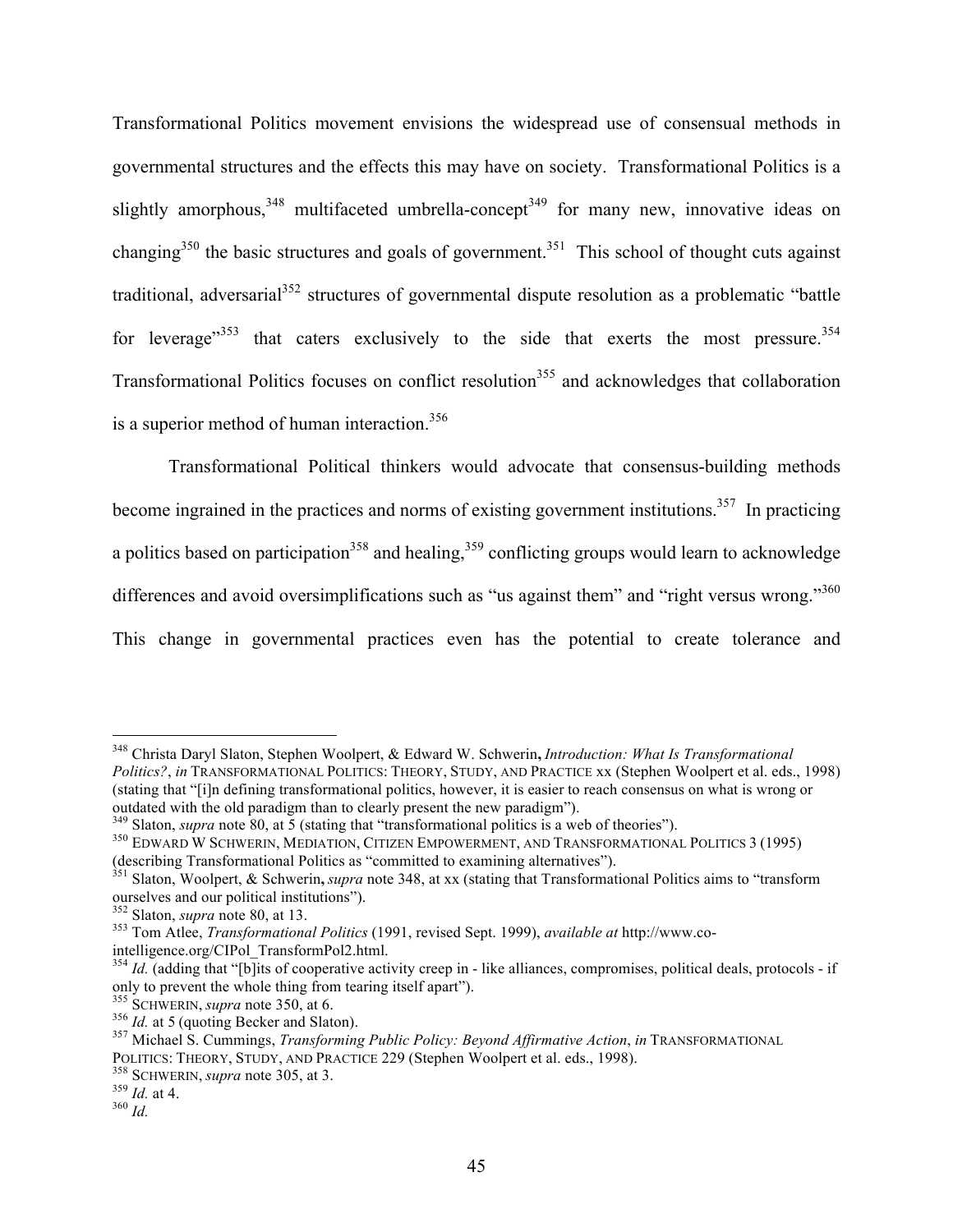Transformational Politics movement envisions the widespread use of consensual methods in governmental structures and the effects this may have on society. Transformational Politics is a slightly amorphous,  $348$  multifaceted umbrella-concept<sup>349</sup> for many new, innovative ideas on changing<sup>350</sup> the basic structures and goals of government.<sup>351</sup> This school of thought cuts against traditional, adversarial $352$  structures of governmental dispute resolution as a problematic "battle" for leverage<sup> $353$ </sup> that caters exclusively to the side that exerts the most pressure.<sup>354</sup> Transformational Politics focuses on conflict resolution<sup>355</sup> and acknowledges that collaboration is a superior method of human interaction.<sup>356</sup>

Transformational Political thinkers would advocate that consensus-building methods become ingrained in the practices and norms of existing government institutions.<sup>357</sup> In practicing a politics based on participation<sup>358</sup> and healing,  $359$  conflicting groups would learn to acknowledge differences and avoid oversimplifications such as "us against them" and "right versus wrong."<sup>360</sup> This change in governmental practices even has the potential to create tolerance and

 <sup>348</sup> Christa Daryl Slaton, Stephen Woolpert, & Edward W. Schwerin**,** *Introduction: What Is Transformational Politics?*, *in* TRANSFORMATIONAL POLITICS: THEORY, STUDY, AND PRACTICE xx (Stephen Woolpert et al. eds., 1998) (stating that "[i]n defining transformational politics, however, it is easier to reach consensus on what is wrong or outdated with the old paradigm than to clearly present the new paradigm").<br><sup>349</sup> Slaton, *supra* note 80, at 5 (stating that "transformational politics is a web of theories").

<sup>&</sup>lt;sup>350</sup> EDWARD W SCHWERIN, MEDIATION, CITIZEN EMPOWERMENT, AND TRANSFORMATIONAL POLITICS 3 (1995) (describing Transformational Politics as "committed to examining alternatives").

<sup>351</sup> Slaton, Woolpert, & Schwerin**,** *supra* note 348, at xx (stating that Transformational Politics aims to "transform

ourselves and our political institutions").<br><sup>352</sup> Slaton, *supra* note 80, at 13.<br><sup>353</sup> Tom Atlee, *Transformational Politics* (1991, revised Sept. 1999), *available at* http://www.co-<br>intelligence.org/CIPol TransformPol2.

 $\frac{354}{1}$  *Id.* (adding that "[b]its of cooperative activity creep in - like alliances, compromises, political deals, protocols - if only to prevent the whole thing from tearing itself apart").<br><sup>355</sup> SCHWERIN, *supra* note 350, at 6.

<sup>&</sup>lt;sup>356</sup> Id. at 5 (quoting Becker and Slaton).<br><sup>357</sup> Michael S. Cummings, *Transforming Public Policy: Beyond Affirmative Action*, *in* TRANSFORMATIONAL POLITICS: THEORY, STUDY, AND PRACTICE 229 (Stephen Woolpert et al. eds., 1998).<br><sup>358</sup> SCHWERIN, *supra* note 305, at 3.<br><sup>359</sup> *Id.* at 4.<br><sup>360</sup> *Id.*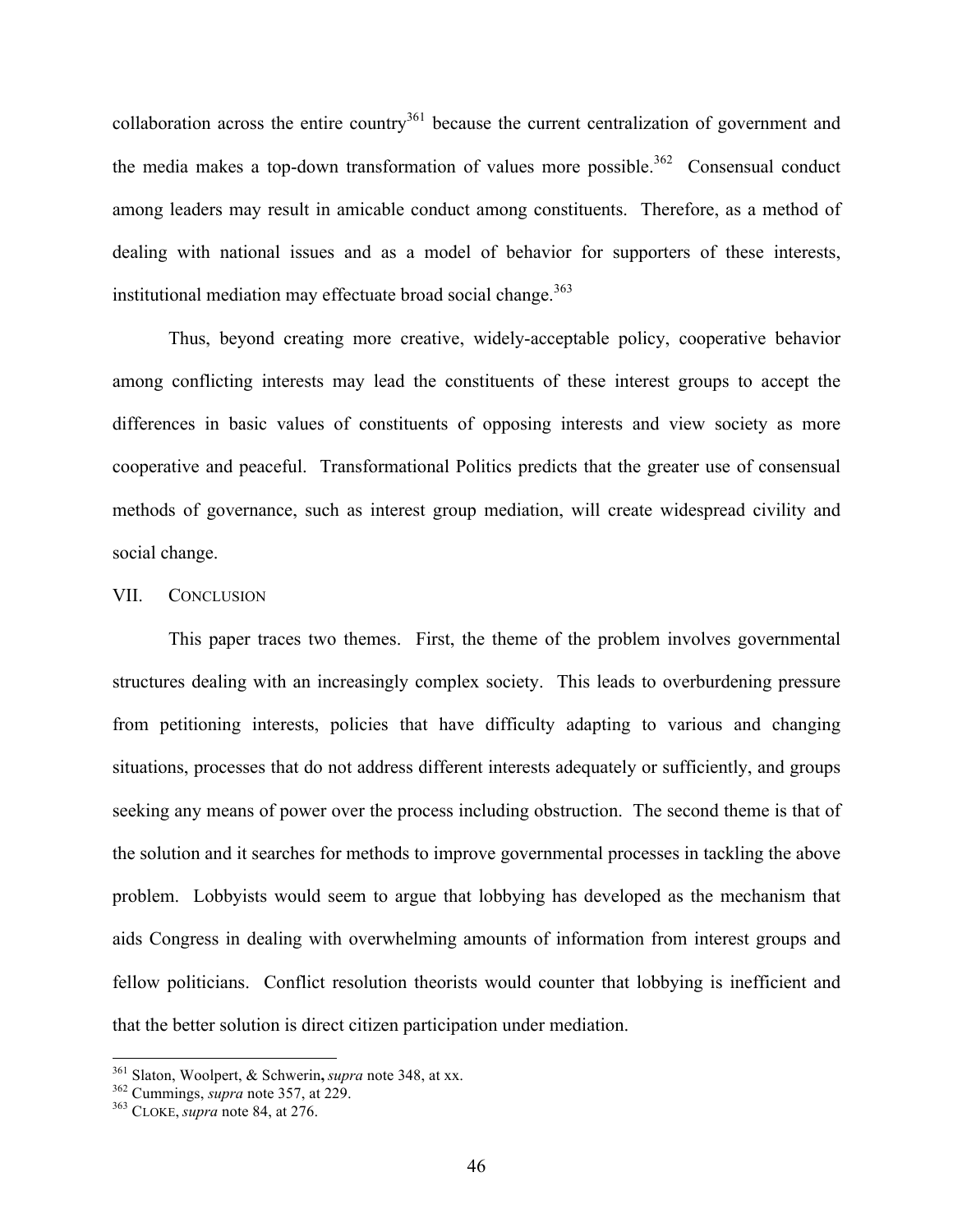collaboration across the entire country<sup>361</sup> because the current centralization of government and the media makes a top-down transformation of values more possible.<sup>362</sup> Consensual conduct among leaders may result in amicable conduct among constituents. Therefore, as a method of dealing with national issues and as a model of behavior for supporters of these interests, institutional mediation may effectuate broad social change.<sup>363</sup>

Thus, beyond creating more creative, widely-acceptable policy, cooperative behavior among conflicting interests may lead the constituents of these interest groups to accept the differences in basic values of constituents of opposing interests and view society as more cooperative and peaceful. Transformational Politics predicts that the greater use of consensual methods of governance, such as interest group mediation, will create widespread civility and social change.

#### VII. CONCLUSION

This paper traces two themes. First, the theme of the problem involves governmental structures dealing with an increasingly complex society. This leads to overburdening pressure from petitioning interests, policies that have difficulty adapting to various and changing situations, processes that do not address different interests adequately or sufficiently, and groups seeking any means of power over the process including obstruction. The second theme is that of the solution and it searches for methods to improve governmental processes in tackling the above problem. Lobbyists would seem to argue that lobbying has developed as the mechanism that aids Congress in dealing with overwhelming amounts of information from interest groups and fellow politicians. Conflict resolution theorists would counter that lobbying is inefficient and that the better solution is direct citizen participation under mediation.

<sup>361</sup> Slaton, Woolpert, & Schwerin**,** *supra* note 348, at xx. <sup>362</sup> Cummings, *supra* note 357, at 229. <sup>363</sup> CLOKE, *supra* note 84, at 276.